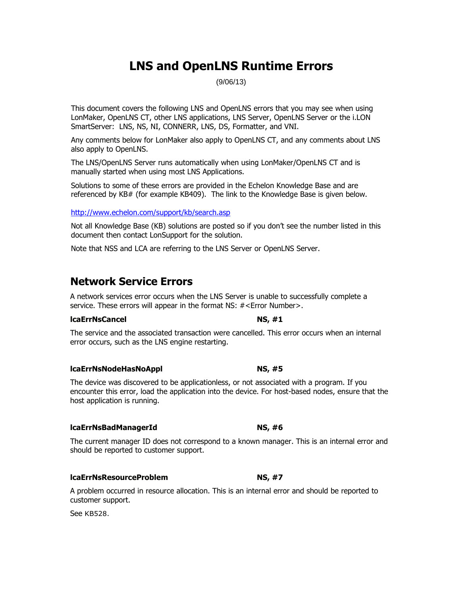# **LNS and OpenLNS Runtime Errors**

(9/06/13)

This document covers the following LNS and OpenLNS errors that you may see when using LonMaker, OpenLNS CT, other LNS applications, LNS Server, OpenLNS Server or the i.LON SmartServer: LNS, NS, NI, CONNERR, LNS, DS, Formatter, and VNI.

Any comments below for LonMaker also apply to OpenLNS CT, and any comments about LNS also apply to OpenLNS.

The LNS/OpenLNS Server runs automatically when using LonMaker/OpenLNS CT and is manually started when using most LNS Applications.

Solutions to some of these errors are provided in the Echelon Knowledge Base and are referenced by KB# (for example KB409). The link to the Knowledge Base is given below.

### <http://www.echelon.com/support/kb/search.asp>

Not all Knowledge Base (KB) solutions are posted so if you don't see the number listed in this document then contact LonSupport for the solution.

Note that NSS and LCA are referring to the LNS Server or OpenLNS Server.

# **Network Service Errors**

A network services error occurs when the LNS Server is unable to successfully complete a service. These errors will appear in the format NS: #<Error Number>.

### **lcaErrNsCancel NS, #1**

The service and the associated transaction were cancelled. This error occurs when an internal error occurs, such as the LNS engine restarting.

### **lcaErrNsNodeHasNoAppl NS, #5**

The device was discovered to be applicationless, or not associated with a program. If you encounter this error, load the application into the device. For host-based nodes, ensure that the host application is running.

### **lcaErrNsBadManagerId NS, #6**

The current manager ID does not correspond to a known manager. This is an internal error and should be reported to customer support.

### **lcaErrNsResourceProblem NS, #7**

A problem occurred in resource allocation. This is an internal error and should be reported to customer support.

See KB528.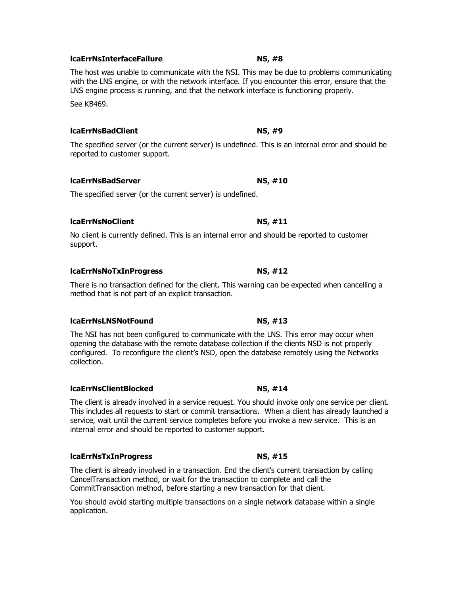# **lcaErrNsInterfaceFailure NS, #8**

The host was unable to communicate with the NSI. This may be due to problems communicating with the LNS engine, or with the network interface. If you encounter this error, ensure that the LNS engine process is running, and that the network interface is functioning properly.

See KB469.

### **lcaErrNsBadClient NS, #9**

The specified server (or the current server) is undefined. This is an internal error and should be reported to customer support.

### **lcaErrNsBadServer NS, #10**

The specified server (or the current server) is undefined.

### **lcaErrNsNoClient NS, #11**

No client is currently defined. This is an internal error and should be reported to customer support.

### **lcaErrNsNoTxInProgress NS, #12**

There is no transaction defined for the client. This warning can be expected when cancelling a method that is not part of an explicit transaction.

### **lcaErrNsLNSNotFound NS, #13**

The NSI has not been configured to communicate with the LNS. This error may occur when opening the database with the remote database collection if the clients NSD is not properly configured. To reconfigure the client's NSD, open the database remotely using the Networks collection.

### **lcaErrNsClientBlocked NS, #14**

The client is already involved in a service request. You should invoke only one service per client. This includes all requests to start or commit transactions. When a client has already launched a service, wait until the current service completes before you invoke a new service. This is an internal error and should be reported to customer support.

# **lcaErrNsTxInProgress NS, #15**

The client is already involved in a transaction. End the client's current transaction by calling CancelTransaction method, or wait for the transaction to complete and call the CommitTransaction method, before starting a new transaction for that client.

You should avoid starting multiple transactions on a single network database within a single application.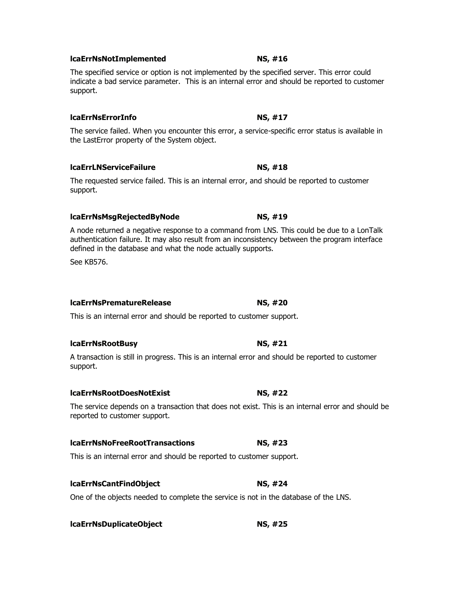# **lcaErrNsNotImplemented NS, #16**

The specified service or option is not implemented by the specified server. This error could indicate a bad service parameter. This is an internal error and should be reported to customer support.

# **lcaErrNsErrorInfo NS, #17**

The service failed. When you encounter this error, a service-specific error status is available in the LastError property of the System object.

# **lcaErrLNServiceFailure NS, #18**

The requested service failed. This is an internal error, and should be reported to customer support.

### **lcaErrNsMsgRejectedByNode NS, #19**

A node returned a negative response to a command from LNS. This could be due to a LonTalk authentication failure. It may also result from an inconsistency between the program interface defined in the database and what the node actually supports.

See KB576.

### **lcaErrNsPrematureRelease NS, #20**

This is an internal error and should be reported to customer support.

### **lcaErrNsRootBusy NS, #21**

A transaction is still in progress. This is an internal error and should be reported to customer support.

### **lcaErrNsRootDoesNotExist NS, #22**

The service depends on a transaction that does not exist. This is an internal error and should be reported to customer support.

# **lcaErrNsNoFreeRootTransactions NS, #23**

This is an internal error and should be reported to customer support.

### **lcaErrNsCantFindObject NS, #24**

One of the objects needed to complete the service is not in the database of the LNS.

# **lcaErrNsDuplicateObject NS, #25**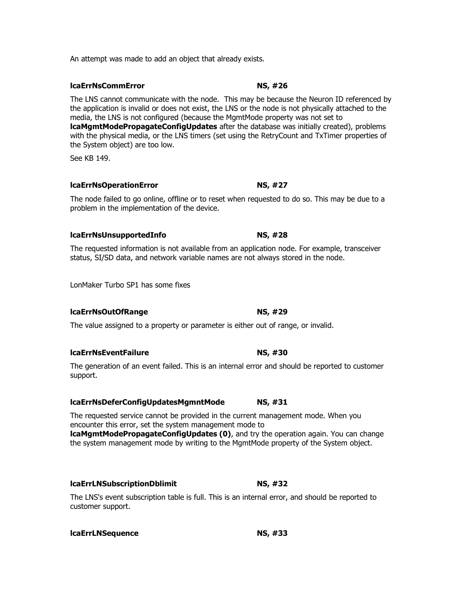An attempt was made to add an object that already exists.

The LNS cannot communicate with the node. This may be because the Neuron ID referenced by the application is invalid or does not exist, the LNS or the node is not physically attached to the media, the LNS is not configured (because the MgmtMode property was not set to **lcaMgmtModePropagateConfigUpdates** after the database was initially created), problems with the physical media, or the LNS timers (set using the RetryCount and TxTimer properties of the System object) are too low.

See KB 149.

# **lcaErrNsOperationError NS, #27**

The node failed to go online, offline or to reset when requested to do so. This may be due to a problem in the implementation of the device.

# **lcaErrNsUnsupportedInfo NS, #28**

The requested information is not available from an application node. For example, transceiver status, SI/SD data, and network variable names are not always stored in the node.

LonMaker Turbo SP1 has some fixes

# **lcaErrNsOutOfRange NS, #29**

The value assigned to a property or parameter is either out of range, or invalid.

# **lcaErrNsEventFailure NS, #30**

The generation of an event failed. This is an internal error and should be reported to customer support.

# **lcaErrNsDeferConfigUpdatesMgmntMode NS, #31**

The requested service cannot be provided in the current management mode. When you encounter this error, set the system management mode to **lcaMgmtModePropagateConfigUpdates (0)**, and try the operation again. You can change the system management mode by writing to the MgmtMode property of the System object.

# **lcaErrLNSubscriptionDblimit NS, #32**

The LNS's event subscription table is full. This is an internal error, and should be reported to customer support.

**lcaErrLNSequence NS, #33**

# **lcaErrNsCommError NS, #26**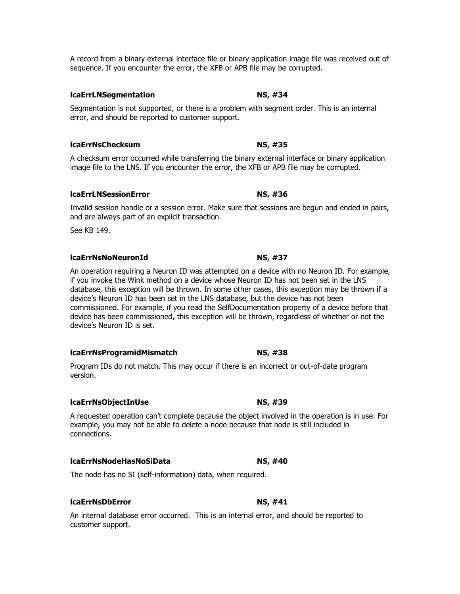A record from a binary external interface file or binary application image file was received out of sequence. If you encounter the error, the XFB or APB file may be corrupted.

# **lcaErrLNSegmentation NS, #34**

Segmentation is not supported, or there is a problem with segment order. This is an internal error, and should be reported to customer support.

# **lcaErrNsChecksum NS, #35**

A checksum error occurred while transferring the binary external interface or binary application image file to the LNS. If you encounter the error, the XFB or APB file may be corrupted.

# **lcaErrLNSessionError NS, #36**

Invalid session handle or a session error. Make sure that sessions are begun and ended in pairs, and are always part of an explicit transaction.

See KB 149.

### **lcaErrNsNoNeuronId NS, #37**

An operation requiring a Neuron ID was attempted on a device with no Neuron ID. For example, if you invoke the Wink method on a device whose Neuron ID has not been set in the LNS database, this exception will be thrown. In some other cases, this exception may be thrown if a device's Neuron ID has been set in the LNS database, but the device has not been commissioned. For example, if you read the SelfDocumentation property of a device before that device has been commissioned, this exception will be thrown, regardless of whether or not the device's Neuron ID is set.

### **lcaErrNsProgramidMismatch NS, #38**

Program IDs do not match. This may occur if there is an incorrect or out-of-date program version.

### **lcaErrNsObjectInUse NS, #39**

A requested operation can't complete because the object involved in the operation is in use. For example, you may not be able to delete a node because that node is still included in connections.

### **lcaErrNsNodeHasNoSiData NS, #40**

The node has no SI (self-information) data, when required.

### **lcaErrNsDbError NS, #41**

An internal database error occurred. This is an internal error, and should be reported to customer support.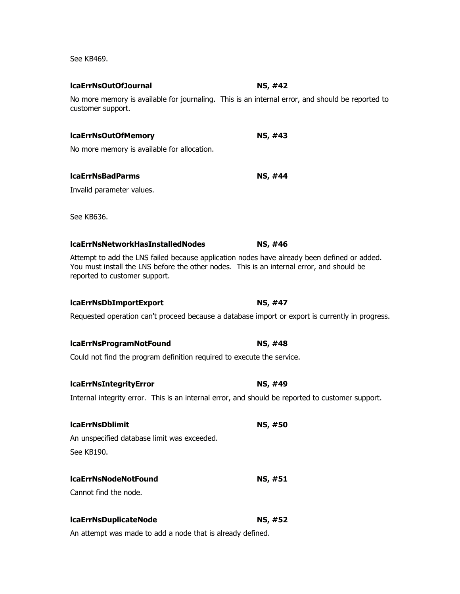See KB469.

# No more memory is available for journaling. This is an internal error, and should be reported to customer support.

# **lcaErrNsOutOfMemory NS, #43**

**lcaErrNsOutOfJournal NS, #42**

No more memory is available for allocation.

### **lcaErrNsBadParms NS, #44**

Invalid parameter values.

See KB636.

### **lcaErrNsNetworkHasInstalledNodes NS, #46**

Attempt to add the LNS failed because application nodes have already been defined or added. You must install the LNS before the other nodes. This is an internal error, and should be reported to customer support.

### **lcaErrNsDbImportExport NS, #47**

Requested operation can't proceed because a database import or export is currently in progress.

### **lcaErrNsProgramNotFound NS, #48**

Could not find the program definition required to execute the service.

### **lcaErrNsIntegrityError NS, #49**

Internal integrity error. This is an internal error, and should be reported to customer support.

# **lcaErrNsDblimit NS, #50**

An unspecified database limit was exceeded. See KB190.

### **lcaErrNsNodeNotFound NS, #51**

Cannot find the node.

# **lcaErrNsDuplicateNode NS, #52**

An attempt was made to add a node that is already defined.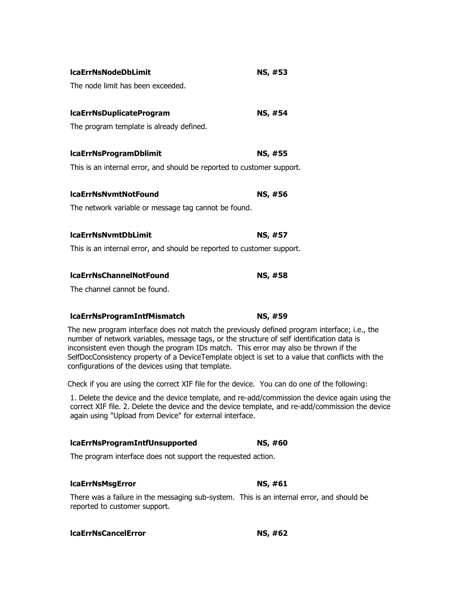| <b>IcaErrNsNodeDbLimit</b>                                             | NS, #53 |
|------------------------------------------------------------------------|---------|
| The node limit has been exceeded.                                      |         |
| <b>IcaErrNsDuplicateProgram</b>                                        | NS, #54 |
| The program template is already defined.                               |         |
| <b>IcaErrNsProgramDblimit</b>                                          | NS, #55 |
| This is an internal error, and should be reported to customer support. |         |
| <b>IcaErrNsNvmtNotFound</b>                                            | NS, #56 |
| The network variable or message tag cannot be found.                   |         |
| <b>IcaErrNsNvmtDbLimit</b>                                             | NS, #57 |
| This is an internal error, and should be reported to customer support. |         |
| <b>IcaErrNsChannelNotFound</b>                                         | NS, #58 |
| The channel cannot be found.                                           |         |
| <b>IcaErrNsProgramIntfMismatch</b>                                     | NS, #59 |

The new program interface does not match the previously defined program interface; i.e., the number of network variables, message tags, or the structure of self identification data is inconsistent even though the program IDs match. This error may also be thrown if the SelfDocConsistency property of a DeviceTemplate object is set to a value that conflicts with the configurations of the devices using that template.

Check if you are using the correct XIF file for the device. You can do one of the following:

1. Delete the device and the device template, and re-add/commission the device again using the correct XIF file. 2. Delete the device and the device template, and re-add/commission the device again using "Upload from Device" for external interface.

### **lcaErrNsProgramIntfUnsupported NS, #60**

The program interface does not support the requested action.

### **lcaErrNsMsgError NS, #61**

There was a failure in the messaging sub-system. This is an internal error, and should be reported to customer support.

### **lcaErrNsCancelError NS, #62**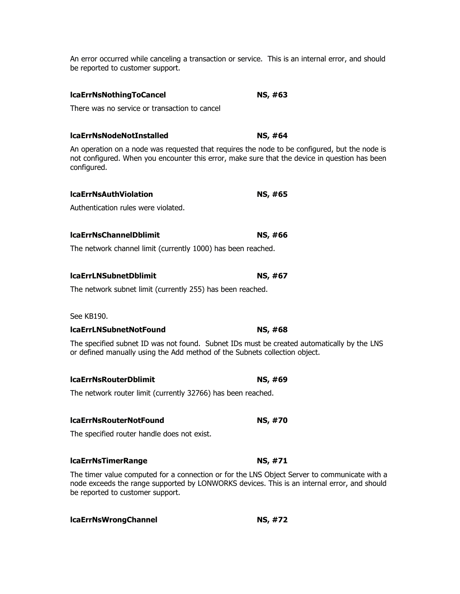An error occurred while canceling a transaction or service. This is an internal error, and should be reported to customer support.

### **lcaErrNsNothingToCancel NS, #63**

There was no service or transaction to cancel

### **lcaErrNsNodeNotInstalled NS, #64**

An operation on a node was requested that requires the node to be configured, but the node is not configured. When you encounter this error, make sure that the device in question has been configured.

| <b>IcaErrNsAuthViolation</b> | NS, #65 |
|------------------------------|---------|
|                              |         |

Authentication rules were violated.

### **lcaErrNsChannelDblimit NS, #66**

The network channel limit (currently 1000) has been reached.

### **lcaErrLNSubnetDblimit** NS, #67

The network subnet limit (currently 255) has been reached.

### See KB190.

### **lcaErrLNSubnetNotFound NS, #68**

The specified subnet ID was not found. Subnet IDs must be created automatically by the LNS or defined manually using the Add method of the Subnets collection object.

### **lcaErrNsRouterDblimit NS, #69**

The network router limit (currently 32766) has been reached.

# **lcaErrNsRouterNotFound NS, #70**

The specified router handle does not exist.

### **lcaErrNsTimerRange NS, #71**

The timer value computed for a connection or for the LNS Object Server to communicate with a node exceeds the range supported by LONWORKS devices. This is an internal error, and should be reported to customer support.

| <b>NS, #72</b> |
|----------------|
|                |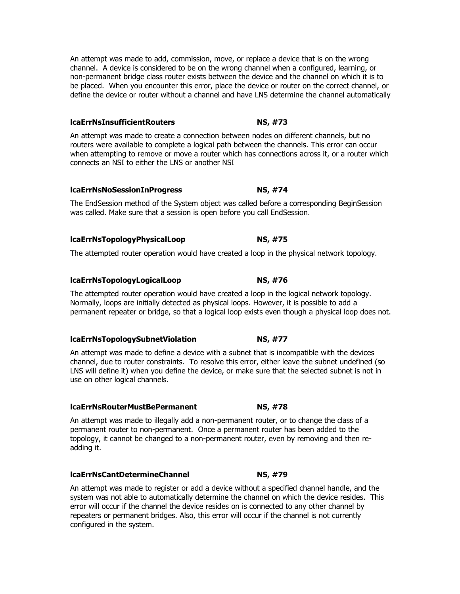An attempt was made to add, commission, move, or replace a device that is on the wrong channel. A device is considered to be on the wrong channel when a configured, learning, or non-permanent bridge class router exists between the device and the channel on which it is to be placed. When you encounter this error, place the device or router on the correct channel, or define the device or router without a channel and have LNS determine the channel automatically

# **lcaErrNsInsufficientRouters NS, #73**

An attempt was made to create a connection between nodes on different channels, but no routers were available to complete a logical path between the channels. This error can occur when attempting to remove or move a router which has connections across it, or a router which connects an NSI to either the LNS or another NSI

# **lcaErrNsNoSessionInProgress NS, #74**

The EndSession method of the System object was called before a corresponding BeginSession was called. Make sure that a session is open before you call EndSession.

# **lcaErrNsTopologyPhysicalLoop NS, #75**

The attempted router operation would have created a loop in the physical network topology.

# **lcaErrNsTopologyLogicalLoop NS, #76**

The attempted router operation would have created a loop in the logical network topology. Normally, loops are initially detected as physical loops. However, it is possible to add a permanent repeater or bridge, so that a logical loop exists even though a physical loop does not.

# **lcaErrNsTopologySubnetViolation NS, #77**

An attempt was made to define a device with a subnet that is incompatible with the devices channel, due to router constraints. To resolve this error, either leave the subnet undefined (so LNS will define it) when you define the device, or make sure that the selected subnet is not in use on other logical channels.

# **lcaErrNsRouterMustBePermanent NS, #78**

An attempt was made to illegally add a non-permanent router, or to change the class of a permanent router to non-permanent. Once a permanent router has been added to the topology, it cannot be changed to a non-permanent router, even by removing and then readding it.

# **lcaErrNsCantDetermineChannel NS, #79**

An attempt was made to register or add a device without a specified channel handle, and the system was not able to automatically determine the channel on which the device resides. This error will occur if the channel the device resides on is connected to any other channel by repeaters or permanent bridges. Also, this error will occur if the channel is not currently configured in the system.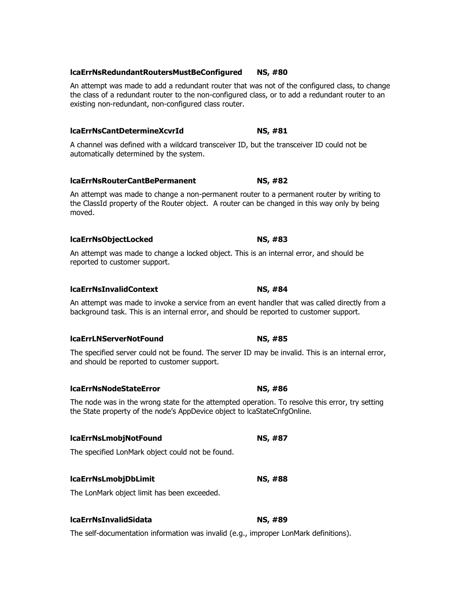### **lcaErrNsRedundantRoutersMustBeConfigured NS, #80**

An attempt was made to add a redundant router that was not of the configured class, to change the class of a redundant router to the non-configured class, or to add a redundant router to an existing non-redundant, non-configured class router.

### **lcaErrNsCantDetermineXcvrId NS, #81**

A channel was defined with a wildcard transceiver ID, but the transceiver ID could not be automatically determined by the system.

### **lcaErrNsRouterCantBePermanent NS, #82**

An attempt was made to change a non-permanent router to a permanent router by writing to the ClassId property of the Router object. A router can be changed in this way only by being moved.

### **lcaErrNsObjectLocked NS, #83**

An attempt was made to change a locked object. This is an internal error, and should be reported to customer support.

### **lcaErrNsInvalidContext NS, #84**

An attempt was made to invoke a service from an event handler that was called directly from a background task. This is an internal error, and should be reported to customer support.

### **lcaErrLNServerNotFound NS, #85**

The specified server could not be found. The server ID may be invalid. This is an internal error, and should be reported to customer support.

### **lcaErrNsNodeStateError NS, #86**

The node was in the wrong state for the attempted operation. To resolve this error, try setting the State property of the node's AppDevice object to lcaStateCnfgOnline.

### **lcaErrNsLmobjNotFound NS, #87**

The specified LonMark object could not be found.

### **lcaErrNsLmobjDbLimit NS, #88**

The LonMark object limit has been exceeded.

### **lcaErrNsInvalidSidata NS, #89**

The self-documentation information was invalid (e.g., improper LonMark definitions).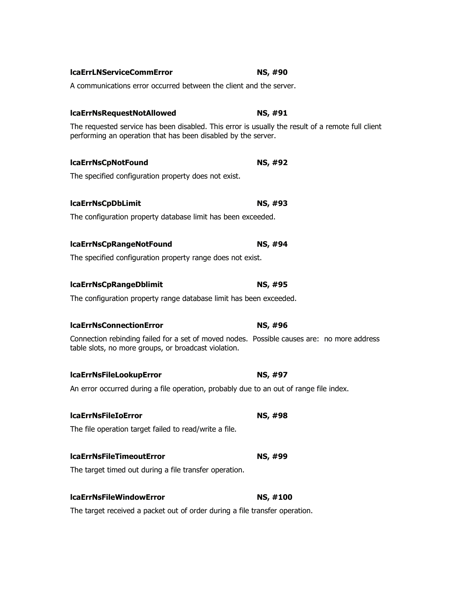| A communications error occurred between the client and the server.                                                                                                 |          |
|--------------------------------------------------------------------------------------------------------------------------------------------------------------------|----------|
| <b>IcaErrNsRequestNotAllowed</b>                                                                                                                                   | NS, #91  |
| The requested service has been disabled. This error is usually the result of a remote full client<br>performing an operation that has been disabled by the server. |          |
| <b>IcaErrNsCpNotFound</b>                                                                                                                                          | NS, #92  |
| The specified configuration property does not exist.                                                                                                               |          |
| <b>IcaErrNsCpDbLimit</b>                                                                                                                                           | NS, #93  |
| The configuration property database limit has been exceeded.                                                                                                       |          |
| <b>IcaErrNsCpRangeNotFound</b>                                                                                                                                     | NS, #94  |
| The specified configuration property range does not exist.                                                                                                         |          |
| <b>IcaErrNsCpRangeDblimit</b>                                                                                                                                      | NS, #95  |
| The configuration property range database limit has been exceeded.                                                                                                 |          |
| <b>IcaErrNsConnectionError</b>                                                                                                                                     | NS, #96  |
| Connection rebinding failed for a set of moved nodes. Possible causes are: no more address<br>table slots, no more groups, or broadcast violation.                 |          |
| <b>IcaErrNsFileLookupError</b>                                                                                                                                     | NS, #97  |
| An error occurred during a file operation, probably due to an out of range file index.                                                                             |          |
| <b>IcaErrNsFileIoError</b>                                                                                                                                         | NS, #98  |
| The file operation target failed to read/write a file.                                                                                                             |          |
| <b>IcaErrNsFileTimeoutError</b>                                                                                                                                    | NS, #99  |
| The target timed out during a file transfer operation.                                                                                                             |          |
| <b>IcaErrNsFileWindowError</b>                                                                                                                                     | NS, #100 |
| The target received a packet out of order during a file transfer operation.                                                                                        |          |

# **lcaErrLNServiceCommError NS, #90**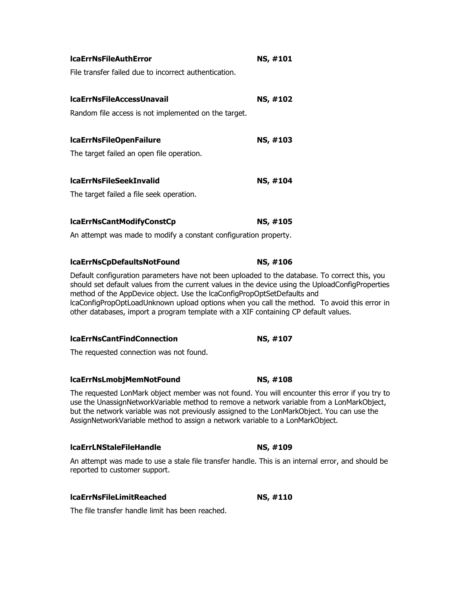| <b>IcaErrNsFileAuthError</b>                                                                                                                                                                                                                                                                                                                                                                                                                                       | NS, #101 |
|--------------------------------------------------------------------------------------------------------------------------------------------------------------------------------------------------------------------------------------------------------------------------------------------------------------------------------------------------------------------------------------------------------------------------------------------------------------------|----------|
| File transfer failed due to incorrect authentication.                                                                                                                                                                                                                                                                                                                                                                                                              |          |
| <b>IcaErrNsFileAccessUnavail</b>                                                                                                                                                                                                                                                                                                                                                                                                                                   | NS, #102 |
| Random file access is not implemented on the target.                                                                                                                                                                                                                                                                                                                                                                                                               |          |
| <b>IcaErrNsFileOpenFailure</b>                                                                                                                                                                                                                                                                                                                                                                                                                                     | NS, #103 |
| The target failed an open file operation.                                                                                                                                                                                                                                                                                                                                                                                                                          |          |
| <b>IcaErrNsFileSeekInvalid</b>                                                                                                                                                                                                                                                                                                                                                                                                                                     | NS, #104 |
| The target failed a file seek operation.                                                                                                                                                                                                                                                                                                                                                                                                                           |          |
| lcaErrNsCantModifyConstCp                                                                                                                                                                                                                                                                                                                                                                                                                                          | NS, #105 |
| An attempt was made to modify a constant configuration property.                                                                                                                                                                                                                                                                                                                                                                                                   |          |
| lcaErrNsCpDefaultsNotFound                                                                                                                                                                                                                                                                                                                                                                                                                                         | NS, #106 |
| Default configuration parameters have not been uploaded to the database. To correct this, you<br>should set default values from the current values in the device using the UploadConfigProperties<br>method of the AppDevice object. Use the IcaConfigPropOptSetDefaults and<br>IcaConfigPropOptLoadUnknown upload options when you call the method. To avoid this error in<br>other databases, import a program template with a XIF containing CP default values. |          |
| <b>IcaErrNsCantFindConnection</b>                                                                                                                                                                                                                                                                                                                                                                                                                                  | NS, #107 |
| The requested connection was not found.                                                                                                                                                                                                                                                                                                                                                                                                                            |          |

### **lcaErrNsLmobjMemNotFound NS, #108**

The requested LonMark object member was not found. You will encounter this error if you try to use the UnassignNetworkVariable method to remove a network variable from a LonMarkObject, but the network variable was not previously assigned to the LonMarkObject. You can use the AssignNetworkVariable method to assign a network variable to a LonMarkObject.

### **lcaErrLNStaleFileHandle NS, #109**

An attempt was made to use a stale file transfer handle. This is an internal error, and should be reported to customer support.

### **lcaErrNsFileLimitReached NS, #110**

The file transfer handle limit has been reached.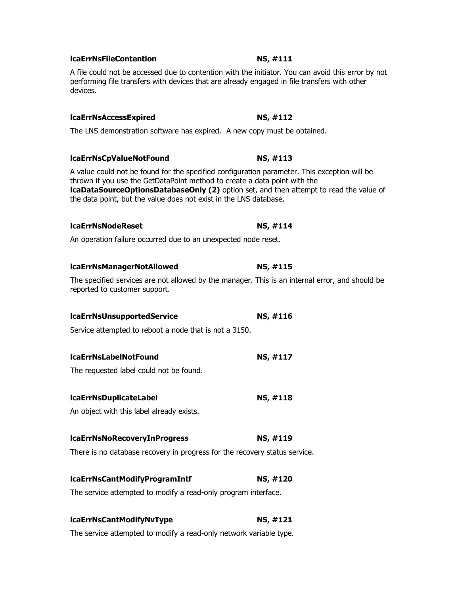# **lcaErrNsFileContention NS, #111**

A file could not be accessed due to contention with the initiator. You can avoid this error by not performing file transfers with devices that are already engaged in file transfers with other devices.

### **lcaErrNsAccessExpired NS, #112**

The LNS demonstration software has expired. A new copy must be obtained.

# **lcaErrNsCpValueNotFound** NS, #113

A value could not be found for the specified configuration parameter. This exception will be thrown if you use the GetDataPoint method to create a data point with the **lcaDataSourceOptionsDatabaseOnly (2)** option set, and then attempt to read the value of the data point, but the value does not exist in the LNS database.

### **lcaErrNsNodeReset NS, #114**

An operation failure occurred due to an unexpected node reset.

### **lcaErrNsManagerNotAllowed NS, #115**

The specified services are not allowed by the manager. This is an internal error, and should be reported to customer support.

### **lcaErrNsUnsupportedService NS, #116**

Service attempted to reboot a node that is not a 3150.

# **lcaErrNsLabelNotFound NS, #117**

The requested label could not be found.

# **lcaErrNsDuplicateLabel NS, #118**

An object with this label already exists.

# **lcaErrNsNoRecoveryInProgress NS, #119**

There is no database recovery in progress for the recovery status service.

# **lcaErrNsCantModifyProgramIntf NS, #120**

The service attempted to modify a read-only program interface.

# **lcaErrNsCantModifyNvType NS, #121**

The service attempted to modify a read-only network variable type.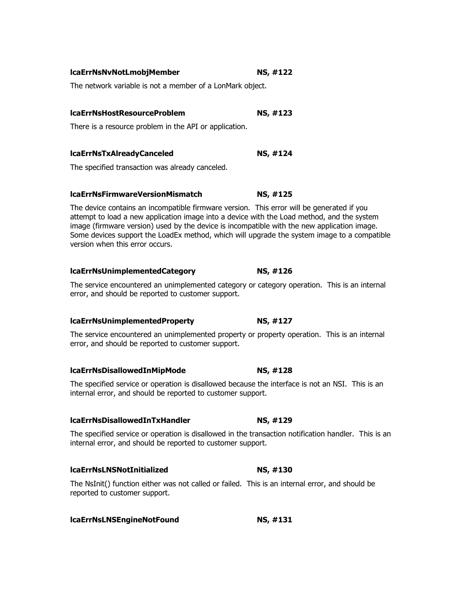| lcaErrNsNvNotLmobjMember | <b>NS, #122</b> |
|--------------------------|-----------------|
|                          |                 |

The network variable is not a member of a LonMark object.

### **lcaErrNsHostResourceProblem NS, #123**

There is a resource problem in the API or application.

### **lcaErrNsTxAlreadyCanceled NS, #124**

The specified transaction was already canceled.

### **lcaErrNsFirmwareVersionMismatch NS, #125**

The device contains an incompatible firmware version. This error will be generated if you attempt to load a new application image into a device with the Load method, and the system image (firmware version) used by the device is incompatible with the new application image. Some devices support the LoadEx method, which will upgrade the system image to a compatible version when this error occurs.

### **lcaErrNsUnimplementedCategory NS, #126**

The service encountered an unimplemented category or category operation. This is an internal error, and should be reported to customer support.

### **lcaErrNsUnimplementedProperty NS, #127**

The service encountered an unimplemented property or property operation. This is an internal error, and should be reported to customer support.

### **lcaErrNsDisallowedInMipMode NS, #128**

The specified service or operation is disallowed because the interface is not an NSI. This is an internal error, and should be reported to customer support.

### **lcaErrNsDisallowedInTxHandler NS, #129**

The specified service or operation is disallowed in the transaction notification handler. This is an internal error, and should be reported to customer support.

### **lcaErrNsLNSNotInitialized NS, #130**

The NsInit() function either was not called or failed. This is an internal error, and should be reported to customer support.

### **lcaErrNsLNSEngineNotFound NS, #131**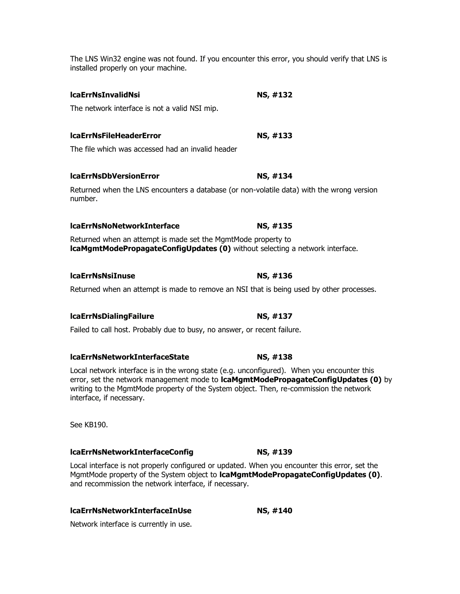The LNS Win32 engine was not found. If you encounter this error, you should verify that LNS is installed properly on your machine.

# **lcaErrNsInvalidNsi NS, #132**

The network interface is not a valid NSI mip.

# **lcaErrNsFileHeaderError NS, #133**

The file which was accessed had an invalid header

### **lcaErrNsDbVersionError NS, #134**

Returned when the LNS encounters a database (or non-volatile data) with the wrong version number.

### **lcaErrNsNoNetworkInterface NS, #135**

Returned when an attempt is made set the MgmtMode property to **lcaMgmtModePropagateConfigUpdates (0)** without selecting a network interface.

### **lcaErrNsNsiInuse NS, #136**

Returned when an attempt is made to remove an NSI that is being used by other processes.

### **lcaErrNsDialingFailure NS, #137**

Failed to call host. Probably due to busy, no answer, or recent failure.

### **lcaErrNsNetworkInterfaceState NS, #138**

Local network interface is in the wrong state (e.g. unconfigured). When you encounter this error, set the network management mode to **lcaMgmtModePropagateConfigUpdates (0)** by writing to the MgmtMode property of the System object. Then, re-commission the network interface, if necessary.

See KB190.

### **lcaErrNsNetworkInterfaceConfig NS, #139**

Local interface is not properly configured or updated. When you encounter this error, set the MgmtMode property of the System object to **lcaMgmtModePropagateConfigUpdates (0)**. and recommission the network interface, if necessary.

### **lcaErrNsNetworkInterfaceInUse NS, #140**

Network interface is currently in use.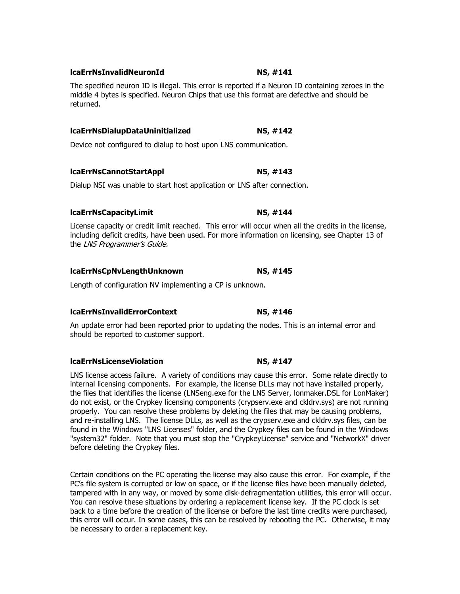### **lcaErrNsInvalidNeuronId NS, #141**

The specified neuron ID is illegal. This error is reported if a Neuron ID containing zeroes in the middle 4 bytes is specified. Neuron Chips that use this format are defective and should be returned.

### **lcaErrNsDialupDataUninitialized NS, #142**

Device not configured to dialup to host upon LNS communication.

### **lcaErrNsCannotStartAppl NS, #143**

Dialup NSI was unable to start host application or LNS after connection.

### **lcaErrNsCapacityLimit NS, #144**

License capacity or credit limit reached. This error will occur when all the credits in the license, including deficit credits, have been used. For more information on licensing, see Chapter 13 of the LNS Programmer's Guide.

### **lcaErrNsCpNvLengthUnknown NS, #145**

Length of configuration NV implementing a CP is unknown.

### **lcaErrNsInvalidErrorContext NS, #146**

An update error had been reported prior to updating the nodes. This is an internal error and should be reported to customer support.

### **lcaErrNsLicenseViolation NS, #147**

LNS license access failure. A variety of conditions may cause this error. Some relate directly to internal licensing components. For example, the license DLLs may not have installed properly, the files that identifies the license (LNSeng.exe for the LNS Server, lonmaker.DSL for LonMaker) do not exist, or the Crypkey licensing components (crypserv.exe and ckldrv.sys) are not running properly. You can resolve these problems by deleting the files that may be causing problems, and re-installing LNS. The license DLLs, as well as the crypserv.exe and ckldrv.sys files, can be found in the Windows "LNS Licenses" folder, and the Crypkey files can be found in the Windows "system32" folder. Note that you must stop the "CrypkeyLicense" service and "NetworkX" driver before deleting the Crypkey files.

Certain conditions on the PC operating the license may also cause this error. For example, if the PC's file system is corrupted or low on space, or if the license files have been manually deleted, tampered with in any way, or moved by some disk-defragmentation utilities, this error will occur. You can resolve these situations by ordering a replacement license key. If the PC clock is set back to a time before the creation of the license or before the last time credits were purchased, this error will occur. In some cases, this can be resolved by rebooting the PC. Otherwise, it may be necessary to order a replacement key.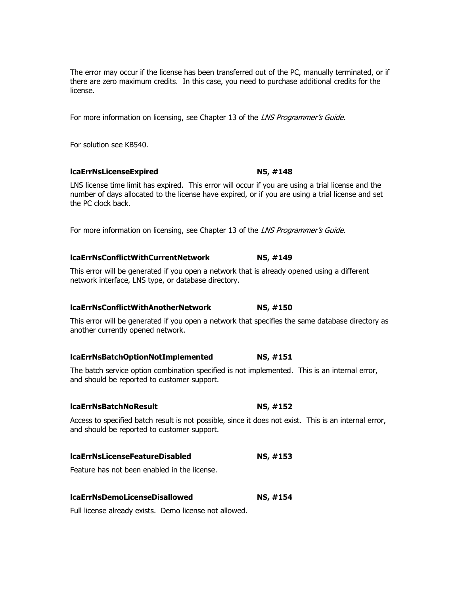The error may occur if the license has been transferred out of the PC, manually terminated, or if there are zero maximum credits. In this case, you need to purchase additional credits for the license.

For more information on licensing, see Chapter 13 of the LNS Programmer's Guide.

For solution see KB540.

### **lcaErrNsLicenseExpired NS, #148**

LNS license time limit has expired. This error will occur if you are using a trial license and the number of days allocated to the license have expired, or if you are using a trial license and set the PC clock back.

For more information on licensing, see Chapter 13 of the LNS Programmer's Guide.

### **lcaErrNsConflictWithCurrentNetwork NS, #149**

This error will be generated if you open a network that is already opened using a different network interface, LNS type, or database directory.

### **lcaErrNsConflictWithAnotherNetwork NS, #150**

This error will be generated if you open a network that specifies the same database directory as another currently opened network.

### **lcaErrNsBatchOptionNotImplemented NS, #151**

The batch service option combination specified is not implemented. This is an internal error, and should be reported to customer support.

### **lcaErrNsBatchNoResult NS, #152**

Access to specified batch result is not possible, since it does not exist. This is an internal error, and should be reported to customer support.

### **lcaErrNsLicenseFeatureDisabled NS, #153**

Feature has not been enabled in the license.

| <b>IcaErrNsDemoLicenseDisallowed</b> | NS, #154 |
|--------------------------------------|----------|
|--------------------------------------|----------|

Full license already exists. Demo license not allowed.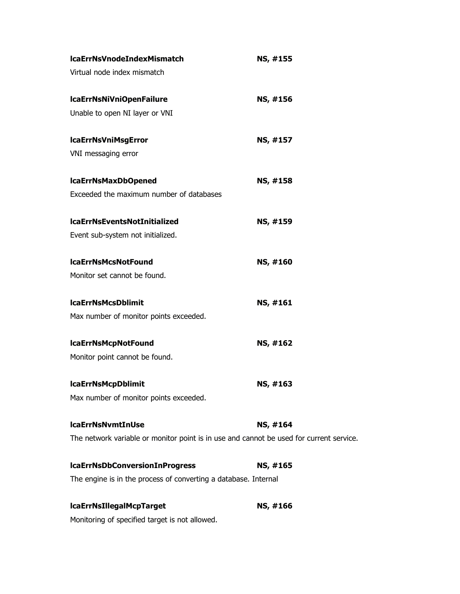| <b>IcaErrNsVnodeIndexMismatch</b>                                                       | NS, #155 |
|-----------------------------------------------------------------------------------------|----------|
| Virtual node index mismatch                                                             |          |
| IcaErrNsNiVniOpenFailure                                                                | NS, #156 |
| Unable to open NI layer or VNI                                                          |          |
| <b>IcaErrNsVniMsgError</b>                                                              | NS, #157 |
| VNI messaging error                                                                     |          |
| <b>IcaErrNsMaxDbOpened</b>                                                              | NS, #158 |
| Exceeded the maximum number of databases                                                |          |
| <b>IcaErrNsEventsNotInitialized</b>                                                     | NS, #159 |
| Event sub-system not initialized.                                                       |          |
| <b>IcaErrNsMcsNotFound</b>                                                              | NS, #160 |
| Monitor set cannot be found.                                                            |          |
| <b>IcaErrNsMcsDblimit</b>                                                               | NS, #161 |
| Max number of monitor points exceeded.                                                  |          |
| <b>IcaErrNsMcpNotFound</b>                                                              | NS, #162 |
| Monitor point cannot be found.                                                          |          |
| <b>IcaErrNsMcpDblimit</b>                                                               | NS, #163 |
| Max number of monitor points exceeded.                                                  |          |
| <b>IcaErrNsNvmtInUse</b>                                                                | NS, #164 |
| The network variable or monitor point is in use and cannot be used for current service. |          |
| <b>IcaErrNsDbConversionInProgress</b>                                                   | NS, #165 |
| The engine is in the process of converting a database. Internal                         |          |
| <b>IcaErrNsIIIegalMcpTarget</b>                                                         | NS, #166 |
|                                                                                         |          |

Monitoring of specified target is not allowed.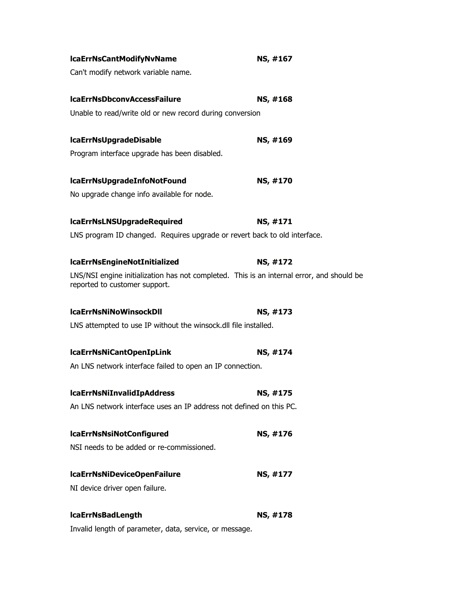| <b>IcaErrNsCantModifyNvName</b>                                                                                            | NS, #167 |
|----------------------------------------------------------------------------------------------------------------------------|----------|
| Can't modify network variable name.                                                                                        |          |
|                                                                                                                            |          |
| <b>IcaErrNsDbconvAccessFailure</b>                                                                                         | NS, #168 |
| Unable to read/write old or new record during conversion                                                                   |          |
| <b>IcaErrNsUpgradeDisable</b>                                                                                              | NS, #169 |
| Program interface upgrade has been disabled.                                                                               |          |
|                                                                                                                            |          |
| lcaErrNsUpgradeInfoNotFound                                                                                                | NS, #170 |
| No upgrade change info available for node.                                                                                 |          |
| <b>IcaErrNsLNSUpgradeRequired</b>                                                                                          | NS, #171 |
| LNS program ID changed. Requires upgrade or revert back to old interface.                                                  |          |
|                                                                                                                            |          |
| <b>IcaErrNsEngineNotInitialized</b>                                                                                        | NS, #172 |
| LNS/NSI engine initialization has not completed. This is an internal error, and should be<br>reported to customer support. |          |
| <b>IcaErrNsNiNoWinsockDII</b>                                                                                              | NS, #173 |
| LNS attempted to use IP without the winsock.dll file installed.                                                            |          |
|                                                                                                                            |          |
| <b>IcaErrNsNiCantOpenIpLink</b>                                                                                            | NS, #174 |
| An LNS network interface failed to open an IP connection.                                                                  |          |
| <b>IcaErrNsNiInvalidIpAddress</b>                                                                                          | NS, #175 |
| An LNS network interface uses an IP address not defined on this PC.                                                        |          |
|                                                                                                                            |          |
| <b>IcaErrNsNsiNotConfigured</b>                                                                                            | NS, #176 |
| NSI needs to be added or re-commissioned.                                                                                  |          |
| IcaErrNsNiDeviceOpenFailure                                                                                                | NS, #177 |
| NI device driver open failure.                                                                                             |          |
|                                                                                                                            |          |
| <b>IcaErrNsBadLength</b>                                                                                                   | NS, #178 |
| Invalid length of parameter, data, service, or message.                                                                    |          |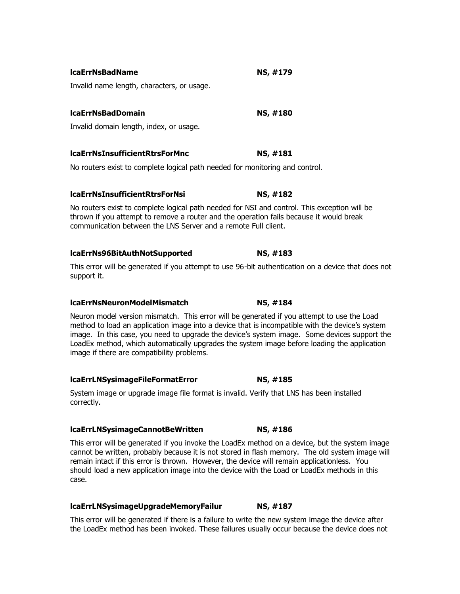| Invalid name length, characters, or usage.                                                                                                                                                                                                                                                                                                                                                                                                 |          |  |
|--------------------------------------------------------------------------------------------------------------------------------------------------------------------------------------------------------------------------------------------------------------------------------------------------------------------------------------------------------------------------------------------------------------------------------------------|----------|--|
| <b>IcaErrNsBadDomain</b>                                                                                                                                                                                                                                                                                                                                                                                                                   | NS, #180 |  |
| Invalid domain length, index, or usage.                                                                                                                                                                                                                                                                                                                                                                                                    |          |  |
| <b>IcaErrNsInsufficientRtrsForMnc</b>                                                                                                                                                                                                                                                                                                                                                                                                      | NS, #181 |  |
| No routers exist to complete logical path needed for monitoring and control.                                                                                                                                                                                                                                                                                                                                                               |          |  |
| <b>IcaErrNsInsufficientRtrsForNsi</b>                                                                                                                                                                                                                                                                                                                                                                                                      | NS, #182 |  |
| No routers exist to complete logical path needed for NSI and control. This exception will be<br>thrown if you attempt to remove a router and the operation fails because it would break<br>communication between the LNS Server and a remote Full client.                                                                                                                                                                                  |          |  |
| lcaErrNs96BitAuthNotSupported                                                                                                                                                                                                                                                                                                                                                                                                              | NS, #183 |  |
| This error will be generated if you attempt to use 96-bit authentication on a device that does not<br>support it.                                                                                                                                                                                                                                                                                                                          |          |  |
| <b>IcaErrNsNeuronModelMismatch</b>                                                                                                                                                                                                                                                                                                                                                                                                         | NS, #184 |  |
| Neuron model version mismatch. This error will be generated if you attempt to use the Load<br>method to load an application image into a device that is incompatible with the device's system<br>image. In this case, you need to upgrade the device's system image. Some devices support the<br>LoadEx method, which automatically upgrades the system image before loading the application<br>image if there are compatibility problems. |          |  |
| <b>IcaErrLNSysimageFileFormatError</b>                                                                                                                                                                                                                                                                                                                                                                                                     | NS, #185 |  |
| System image or upgrade image file format is invalid. Verify that LNS has been installed<br>correctly.                                                                                                                                                                                                                                                                                                                                     |          |  |
| IcaErrLNSysimageCannotBeWritten                                                                                                                                                                                                                                                                                                                                                                                                            | NS, #186 |  |
| This error will be generated if you invoke the LoadEx method on a device, but the system image<br>cannot be written, probably because it is not stored in flash memory. The old system image will<br>remain intact if this error is thrown. However, the device will remain applicationless. You<br>should load a new application image into the device with the Load or LoadEx methods in this                                            |          |  |

**lcaErrNsBadName NS, #179** 

# **lcaErrLNSysimageUpgradeMemoryFailur NS, #187**

case.

This error will be generated if there is a failure to write the new system image the device after the LoadEx method has been invoked. These failures usually occur because the device does not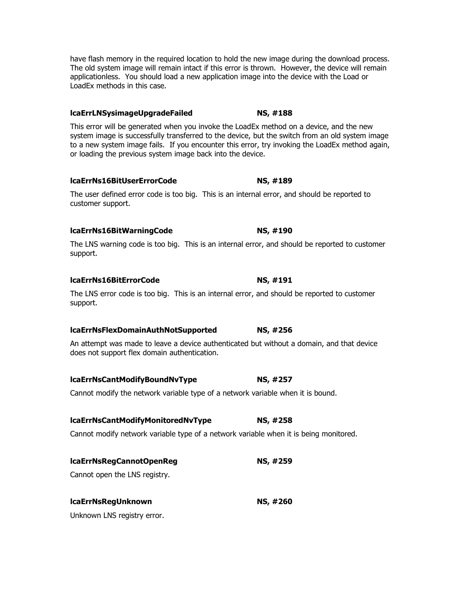have flash memory in the required location to hold the new image during the download process. The old system image will remain intact if this error is thrown. However, the device will remain applicationless. You should load a new application image into the device with the Load or LoadEx methods in this case.

### **lcaErrLNSysimageUpgradeFailed NS, #188**

This error will be generated when you invoke the LoadEx method on a device, and the new system image is successfully transferred to the device, but the switch from an old system image to a new system image fails. If you encounter this error, try invoking the LoadEx method again, or loading the previous system image back into the device.

### **lcaErrNs16BitUserErrorCode NS, #189**

The user defined error code is too big. This is an internal error, and should be reported to customer support.

# **lcaErrNs16BitWarningCode NS, #190**

The LNS warning code is too big. This is an internal error, and should be reported to customer support.

# **lcaErrNs16BitErrorCode NS, #191**

The LNS error code is too big. This is an internal error, and should be reported to customer support.

# **lcaErrNsFlexDomainAuthNotSupported NS, #256**

An attempt was made to leave a device authenticated but without a domain, and that device does not support flex domain authentication.

# **lcaErrNsCantModifyBoundNvType NS, #257**

Cannot modify the network variable type of a network variable when it is bound.

# **lcaErrNsCantModifyMonitoredNvType NS, #258**

Cannot modify network variable type of a network variable when it is being monitored.

# **lcaErrNsRegCannotOpenReg NS, #259**

Cannot open the LNS registry.

# **lcaErrNsRegUnknown NS, #260**

Unknown LNS registry error.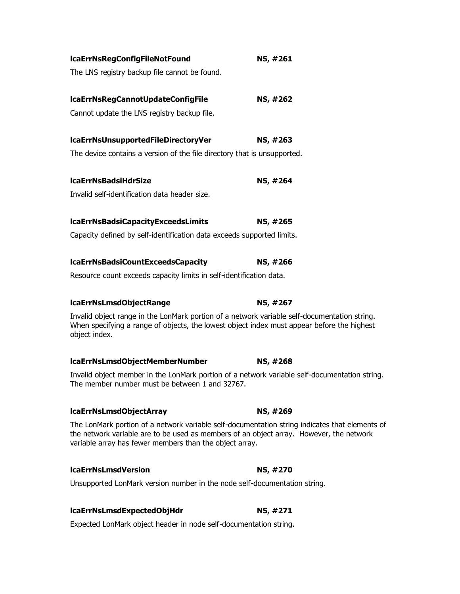| IcaErrNsRegConfigFileNotFound                                                                                                                                                                                                                        | NS, #261        |
|------------------------------------------------------------------------------------------------------------------------------------------------------------------------------------------------------------------------------------------------------|-----------------|
| The LNS registry backup file cannot be found.                                                                                                                                                                                                        |                 |
| IcaErrNsRegCannotUpdateConfigFile                                                                                                                                                                                                                    | NS, #262        |
| Cannot update the LNS registry backup file.                                                                                                                                                                                                          |                 |
| lcaErrNsUnsupportedFileDirectoryVer                                                                                                                                                                                                                  | NS, #263        |
| The device contains a version of the file directory that is unsupported.                                                                                                                                                                             |                 |
| <b>IcaErrNsBadsiHdrSize</b>                                                                                                                                                                                                                          | NS, #264        |
| Invalid self-identification data header size.                                                                                                                                                                                                        |                 |
| IcaErrNsBadsiCapacityExceedsLimits                                                                                                                                                                                                                   | <b>NS, #265</b> |
| Capacity defined by self-identification data exceeds supported limits.                                                                                                                                                                               |                 |
| <b>IcaErrNsBadsiCountExceedsCapacity</b>                                                                                                                                                                                                             | NS, #266        |
| Resource count exceeds capacity limits in self-identification data.                                                                                                                                                                                  |                 |
| lcaErrNsLmsdObjectRange                                                                                                                                                                                                                              | NS, #267        |
| Invalid object range in the LonMark portion of a network variable self-documentation string.<br>When specifying a range of objects, the lowest object index must appear before the highest<br>object index.                                          |                 |
| lcaErrNsLmsdObjectMemberNumber                                                                                                                                                                                                                       | NS, #268        |
| Invalid object member in the LonMark portion of a network variable self-documentation string.<br>The member number must be between 1 and 32767.                                                                                                      |                 |
| lcaErrNsLmsdObjectArray                                                                                                                                                                                                                              | <b>NS, #269</b> |
| The LonMark portion of a network variable self-documentation string indicates that elements of<br>the network variable are to be used as members of an object array. However, the network<br>variable array has fewer members than the object array. |                 |
| <b>IcaErrNsLmsdVersion</b>                                                                                                                                                                                                                           | <b>NS, #270</b> |
| Unsupported LonMark version number in the node self-documentation string.                                                                                                                                                                            |                 |
| lcaErrNsLmsdExpectedObjHdr                                                                                                                                                                                                                           | <b>NS, #271</b> |
| Expected LonMark object header in node self-documentation string.                                                                                                                                                                                    |                 |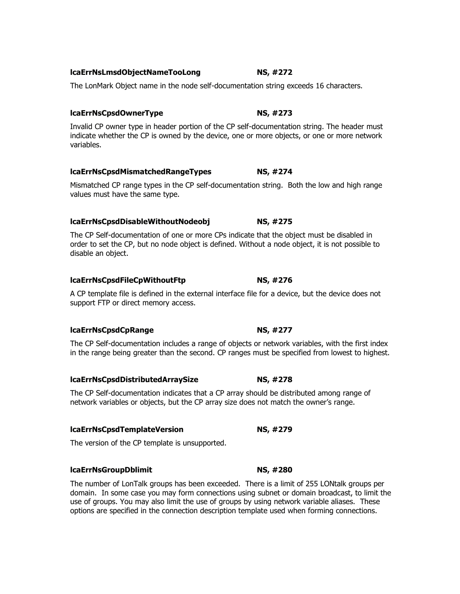# **lcaErrNsLmsdObjectNameTooLong NS, #272**

The LonMark Object name in the node self-documentation string exceeds 16 characters.

# **lcaErrNsCpsdOwnerType NS, #273**

Invalid CP owner type in header portion of the CP self-documentation string. The header must indicate whether the CP is owned by the device, one or more objects, or one or more network variables.

# **lcaErrNsCpsdMismatchedRangeTypes NS, #274**

Mismatched CP range types in the CP self-documentation string. Both the low and high range values must have the same type.

# **lcaErrNsCpsdDisableWithoutNodeobj NS, #275**

The CP Self-documentation of one or more CPs indicate that the object must be disabled in order to set the CP, but no node object is defined. Without a node object, it is not possible to disable an object.

# **lcaErrNsCpsdFileCpWithoutFtp NS, #276**

A CP template file is defined in the external interface file for a device, but the device does not support FTP or direct memory access.

# **lcaErrNsCpsdCpRange NS, #277**

The CP Self-documentation includes a range of objects or network variables, with the first index in the range being greater than the second. CP ranges must be specified from lowest to highest.

# **lcaErrNsCpsdDistributedArraySize NS, #278**

The CP Self-documentation indicates that a CP array should be distributed among range of network variables or objects, but the CP array size does not match the owner's range.

# **lcaErrNsCpsdTemplateVersion NS, #279**

The version of the CP template is unsupported.

# **lcaErrNsGroupDblimit NS, #280**

The number of LonTalk groups has been exceeded. There is a limit of 255 LONtalk groups per domain. In some case you may form connections using subnet or domain broadcast, to limit the use of groups. You may also limit the use of groups by using network variable aliases. These options are specified in the connection description template used when forming connections.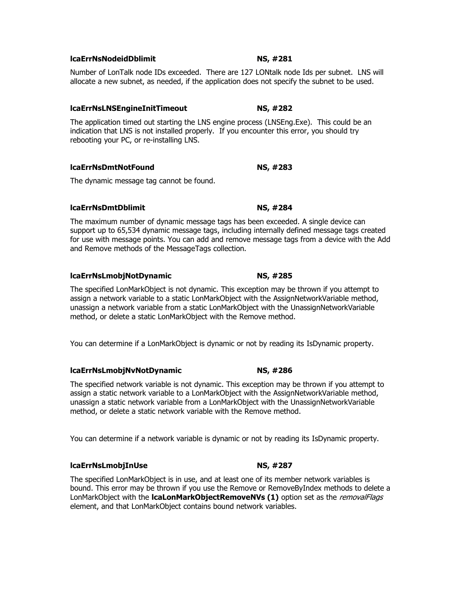# **lcaErrNsNodeidDblimit NS, #281**

Number of LonTalk node IDs exceeded. There are 127 LONtalk node Ids per subnet. LNS will allocate a new subnet, as needed, if the application does not specify the subnet to be used.

# **lcaErrNsLNSEngineInitTimeout NS, #282**

The application timed out starting the LNS engine process (LNSEng.Exe). This could be an indication that LNS is not installed properly. If you encounter this error, you should try rebooting your PC, or re-installing LNS.

# **lcaErrNsDmtNotFound NS, #283**

The dynamic message tag cannot be found.

# **lcaErrNsDmtDblimit NS, #284**

The maximum number of dynamic message tags has been exceeded. A single device can support up to 65,534 dynamic message tags, including internally defined message tags created for use with message points. You can add and remove message tags from a device with the Add and Remove methods of the MessageTags collection.

# **lcaErrNsLmobjNotDynamic NS, #285**

The specified LonMarkObject is not dynamic. This exception may be thrown if you attempt to assign a network variable to a static LonMarkObject with the AssignNetworkVariable method, unassign a network variable from a static LonMarkObject with the UnassignNetworkVariable method, or delete a static LonMarkObject with the Remove method.

You can determine if a LonMarkObject is dynamic or not by reading its IsDynamic property.

# **lcaErrNsLmobjNvNotDynamic NS, #286**

The specified network variable is not dynamic. This exception may be thrown if you attempt to assign a static network variable to a LonMarkObject with the AssignNetworkVariable method, unassign a static network variable from a LonMarkObject with the UnassignNetworkVariable method, or delete a static network variable with the Remove method.

You can determine if a network variable is dynamic or not by reading its IsDynamic property.

# **lcaErrNsLmobjInUse NS, #287**

The specified LonMarkObject is in use, and at least one of its member network variables is bound. This error may be thrown if you use the Remove or RemoveByIndex methods to delete a LonMarkObject with the **lcaLonMarkObjectRemoveNVs (1)** option set as the *removalFlags* element, and that LonMarkObject contains bound network variables.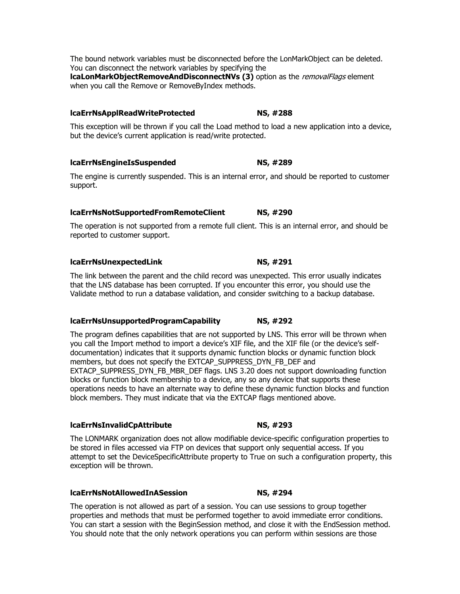# **lcaErrNsApplReadWriteProtected NS, #288**

This exception will be thrown if you call the Load method to load a new application into a device, but the device's current application is read/write protected.

# **lcaErrNsEngineIsSuspended NS, #289**

The engine is currently suspended. This is an internal error, and should be reported to customer support.

# **lcaErrNsNotSupportedFromRemoteClient NS, #290**

The operation is not supported from a remote full client. This is an internal error, and should be reported to customer support.

# **lcaErrNsUnexpectedLink NS, #291**

The link between the parent and the child record was unexpected. This error usually indicates that the LNS database has been corrupted. If you encounter this error, you should use the Validate method to run a database validation, and consider switching to a backup database.

# **lcaErrNsUnsupportedProgramCapability NS, #292**

The program defines capabilities that are not supported by LNS. This error will be thrown when you call the Import method to import a device's XIF file, and the XIF file (or the device's selfdocumentation) indicates that it supports dynamic function blocks or dynamic function block members, but does not specify the EXTCAP\_SUPPRESS\_DYN\_FB\_DEF and EXTACP\_SUPPRESS\_DYN\_FB\_MBR\_DEF flags. LNS 3.20 does not support downloading function blocks or function block membership to a device, any so any device that supports these operations needs to have an alternate way to define these dynamic function blocks and function block members. They must indicate that via the EXTCAP flags mentioned above.

# **lcaErrNsInvalidCpAttribute NS, #293**

The LONMARK organization does not allow modifiable device-specific configuration properties to be stored in files accessed via FTP on devices that support only sequential access. If you attempt to set the DeviceSpecificAttribute property to True on such a configuration property, this exception will be thrown.

# **lcaErrNsNotAllowedInASession NS, #294**

The operation is not allowed as part of a session. You can use sessions to group together properties and methods that must be performed together to avoid immediate error conditions. You can start a session with the BeginSession method, and close it with the EndSession method. You should note that the only network operations you can perform within sessions are those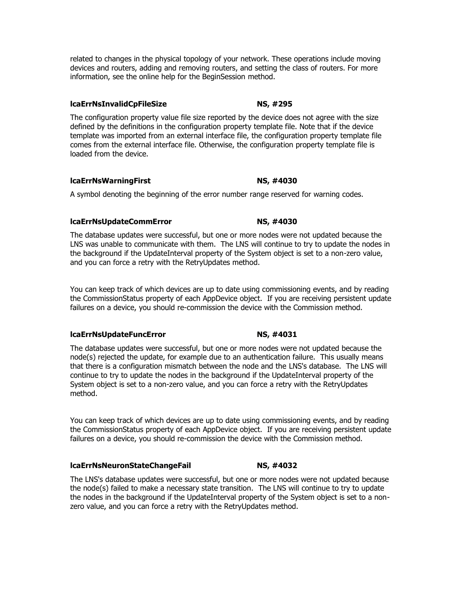related to changes in the physical topology of your network. These operations include moving devices and routers, adding and removing routers, and setting the class of routers. For more information, see the online help for the BeginSession method.

### **lcaErrNsInvalidCpFileSize NS, #295**

The configuration property value file size reported by the device does not agree with the size defined by the definitions in the configuration property template file. Note that if the device template was imported from an external interface file, the configuration property template file comes from the external interface file. Otherwise, the configuration property template file is loaded from the device.

### **lcaErrNsWarningFirst NS, #4030**

A symbol denoting the beginning of the error number range reserved for warning codes.

### **lcaErrNsUpdateCommError NS, #4030**

The database updates were successful, but one or more nodes were not updated because the LNS was unable to communicate with them. The LNS will continue to try to update the nodes in the background if the UpdateInterval property of the System object is set to a non-zero value, and you can force a retry with the RetryUpdates method.

You can keep track of which devices are up to date using commissioning events, and by reading the CommissionStatus property of each AppDevice object. If you are receiving persistent update failures on a device, you should re-commission the device with the Commission method.

### **lcaErrNsUpdateFuncError NS, #4031**

The database updates were successful, but one or more nodes were not updated because the node(s) rejected the update, for example due to an authentication failure. This usually means that there is a configuration mismatch between the node and the LNS's database. The LNS will continue to try to update the nodes in the background if the UpdateInterval property of the System object is set to a non-zero value, and you can force a retry with the RetryUpdates method.

You can keep track of which devices are up to date using commissioning events, and by reading the CommissionStatus property of each AppDevice object. If you are receiving persistent update failures on a device, you should re-commission the device with the Commission method.

### **lcaErrNsNeuronStateChangeFail NS, #4032**

The LNS's database updates were successful, but one or more nodes were not updated because the node(s) failed to make a necessary state transition. The LNS will continue to try to update the nodes in the background if the UpdateInterval property of the System object is set to a nonzero value, and you can force a retry with the RetryUpdates method.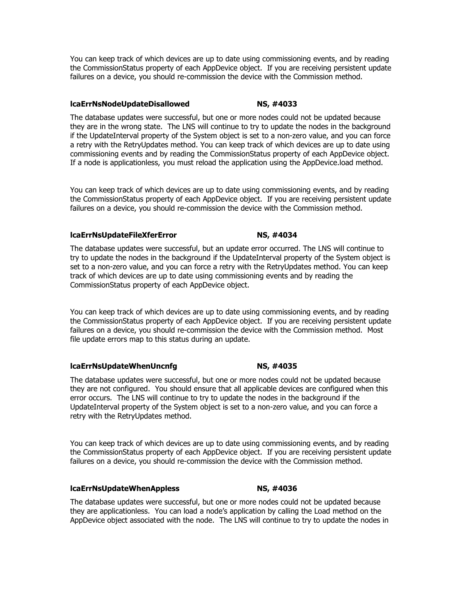You can keep track of which devices are up to date using commissioning events, and by reading the CommissionStatus property of each AppDevice object. If you are receiving persistent update failures on a device, you should re-commission the device with the Commission method.

### **lcaErrNsNodeUpdateDisallowed NS, #4033**

The database updates were successful, but one or more nodes could not be updated because they are in the wrong state. The LNS will continue to try to update the nodes in the background if the UpdateInterval property of the System object is set to a non-zero value, and you can force a retry with the RetryUpdates method. You can keep track of which devices are up to date using commissioning events and by reading the CommissionStatus property of each AppDevice object. If a node is applicationless, you must reload the application using the AppDevice.load method.

You can keep track of which devices are up to date using commissioning events, and by reading the CommissionStatus property of each AppDevice object. If you are receiving persistent update failures on a device, you should re-commission the device with the Commission method.

### **lcaErrNsUpdateFileXferError NS, #4034**

The database updates were successful, but an update error occurred. The LNS will continue to try to update the nodes in the background if the UpdateInterval property of the System object is set to a non-zero value, and you can force a retry with the RetryUpdates method. You can keep track of which devices are up to date using commissioning events and by reading the CommissionStatus property of each AppDevice object.

You can keep track of which devices are up to date using commissioning events, and by reading the CommissionStatus property of each AppDevice object. If you are receiving persistent update failures on a device, you should re-commission the device with the Commission method. Most file update errors map to this status during an update.

### **lcaErrNsUpdateWhenUncnfg NS, #4035**

The database updates were successful, but one or more nodes could not be updated because they are not configured. You should ensure that all applicable devices are configured when this error occurs. The LNS will continue to try to update the nodes in the background if the UpdateInterval property of the System object is set to a non-zero value, and you can force a retry with the RetryUpdates method.

You can keep track of which devices are up to date using commissioning events, and by reading the CommissionStatus property of each AppDevice object. If you are receiving persistent update failures on a device, you should re-commission the device with the Commission method.

### **lcaErrNsUpdateWhenAppless NS, #4036**

The database updates were successful, but one or more nodes could not be updated because they are applicationless. You can load a node's application by calling the Load method on the AppDevice object associated with the node. The LNS will continue to try to update the nodes in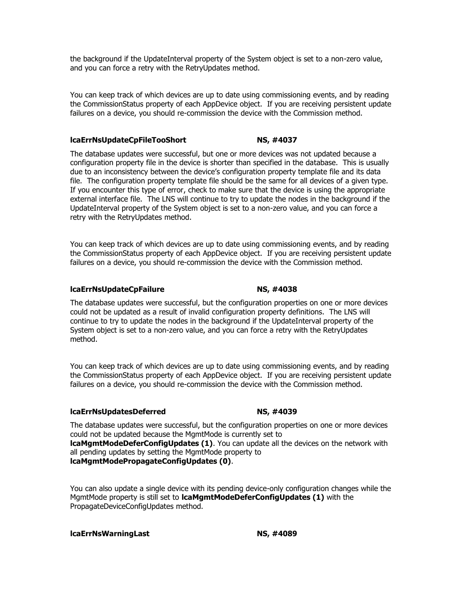the background if the UpdateInterval property of the System object is set to a non-zero value, and you can force a retry with the RetryUpdates method.

You can keep track of which devices are up to date using commissioning events, and by reading the CommissionStatus property of each AppDevice object. If you are receiving persistent update failures on a device, you should re-commission the device with the Commission method.

### **lcaErrNsUpdateCpFileTooShort NS, #4037**

The database updates were successful, but one or more devices was not updated because a configuration property file in the device is shorter than specified in the database. This is usually due to an inconsistency between the device's configuration property template file and its data file. The configuration property template file should be the same for all devices of a given type. If you encounter this type of error, check to make sure that the device is using the appropriate external interface file. The LNS will continue to try to update the nodes in the background if the UpdateInterval property of the System object is set to a non-zero value, and you can force a retry with the RetryUpdates method.

You can keep track of which devices are up to date using commissioning events, and by reading the CommissionStatus property of each AppDevice object. If you are receiving persistent update failures on a device, you should re-commission the device with the Commission method.

### **lcaErrNsUpdateCpFailure NS, #4038**

The database updates were successful, but the configuration properties on one or more devices could not be updated as a result of invalid configuration property definitions. The LNS will continue to try to update the nodes in the background if the UpdateInterval property of the System object is set to a non-zero value, and you can force a retry with the RetryUpdates method.

You can keep track of which devices are up to date using commissioning events, and by reading the CommissionStatus property of each AppDevice object. If you are receiving persistent update failures on a device, you should re-commission the device with the Commission method.

### **lcaErrNsUpdatesDeferred NS, #4039**

The database updates were successful, but the configuration properties on one or more devices could not be updated because the MgmtMode is currently set to **lcaMgmtModeDeferConfigUpdates (1)**. You can update all the devices on the network with all pending updates by setting the MgmtMode property to **lcaMgmtModePropagateConfigUpdates (0)**.

You can also update a single device with its pending device-only configuration changes while the MgmtMode property is still set to **lcaMgmtModeDeferConfigUpdates (1)** with the PropagateDeviceConfigUpdates method.

**lcaErrNsWarningLast NS, #4089**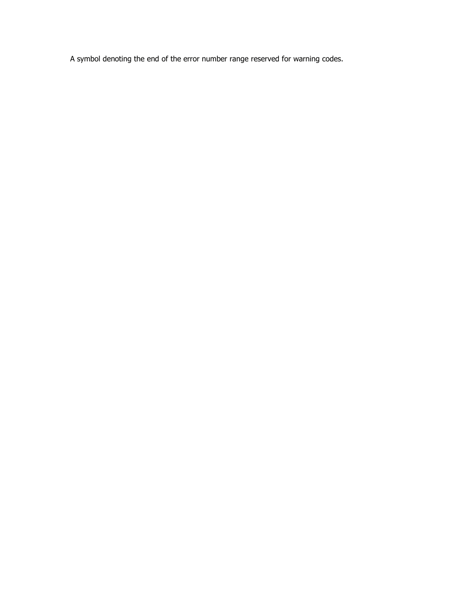A symbol denoting the end of the error number range reserved for warning codes.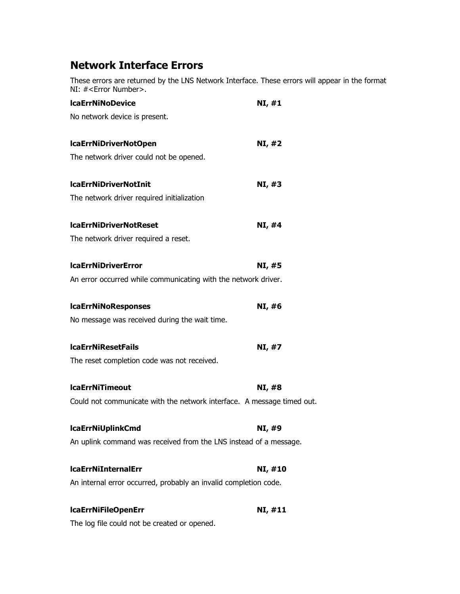# **Network Interface Errors**

These errors are returned by the LNS Network Interface. These errors will appear in the format NI: #<Error Number>.

| <b>IcaErrNiNoDevice</b>                                                | NI, #1  |
|------------------------------------------------------------------------|---------|
| No network device is present.                                          |         |
| IcaErrNiDriverNotOpen                                                  | NI, #2  |
| The network driver could not be opened.                                |         |
| <b>IcaErrNiDriverNotInit</b>                                           | NI, #3  |
| The network driver required initialization                             |         |
| <b>IcaErrNiDriverNotReset</b>                                          | NI, #4  |
| The network driver required a reset.                                   |         |
| <b>IcaErrNiDriverError</b>                                             | NI, #5  |
| An error occurred while communicating with the network driver.         |         |
| <b>IcaErrNiNoResponses</b>                                             | NI, #6  |
| No message was received during the wait time.                          |         |
| <b>IcaErrNiResetFails</b>                                              | NI, #7  |
| The reset completion code was not received.                            |         |
| <b>IcaErrNiTimeout</b>                                                 | NI, #8  |
| Could not communicate with the network interface. A message timed out. |         |
| <b>IcaErrNiUplinkCmd</b>                                               | NI, #9  |
| An uplink command was received from the LNS instead of a message.      |         |
| <b>IcaErrNiInternalErr</b>                                             | NI, #10 |
| An internal error occurred, probably an invalid completion code.       |         |
| <b>IcaErrNiFileOpenErr</b>                                             | NI, #11 |

The log file could not be created or opened.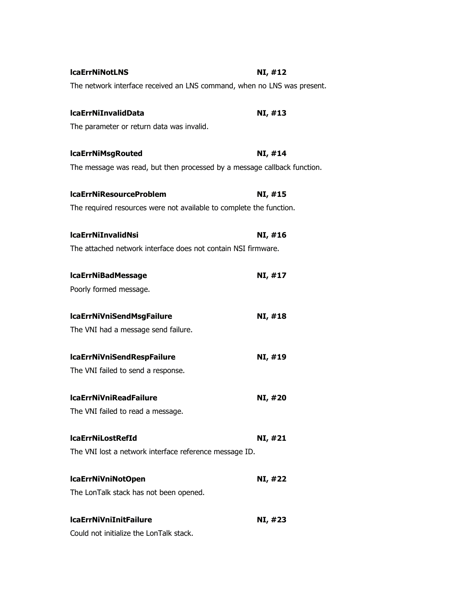| <b>IcaErrNiNotLNS</b>                                                    | NI, #12 |
|--------------------------------------------------------------------------|---------|
| The network interface received an LNS command, when no LNS was present.  |         |
| <b>IcaErrNiInvalidData</b>                                               | NI, #13 |
| The parameter or return data was invalid.                                |         |
| <b>IcaErrNiMsgRouted</b>                                                 | NI, #14 |
| The message was read, but then processed by a message callback function. |         |
| <b>IcaErrNiResourceProblem</b>                                           | NI, #15 |
| The required resources were not available to complete the function.      |         |
| <b>IcaErrNiInvalidNsi</b>                                                | NI, #16 |
| The attached network interface does not contain NSI firmware.            |         |
| <b>IcaErrNiBadMessage</b>                                                | NI, #17 |
| Poorly formed message.                                                   |         |
| <b>IcaErrNiVniSendMsgFailure</b>                                         | NI, #18 |
| The VNI had a message send failure.                                      |         |
| <b>IcaErrNiVniSendRespFailure</b>                                        | NI, #19 |
| The VNI failed to send a response.                                       |         |
| <b>IcaErrNiVniReadFailure</b>                                            | NI, #20 |
| The VNI failed to read a message.                                        |         |
| <b>IcaErrNiLostRefId</b>                                                 | NI, #21 |
| The VNI lost a network interface reference message ID.                   |         |
| IcaErrNiVniNotOpen                                                       | NI, #22 |
| The LonTalk stack has not been opened.                                   |         |
| <b>IcaErrNiVniInitFailure</b>                                            | NI, #23 |
| Could not initialize the LonTalk stack.                                  |         |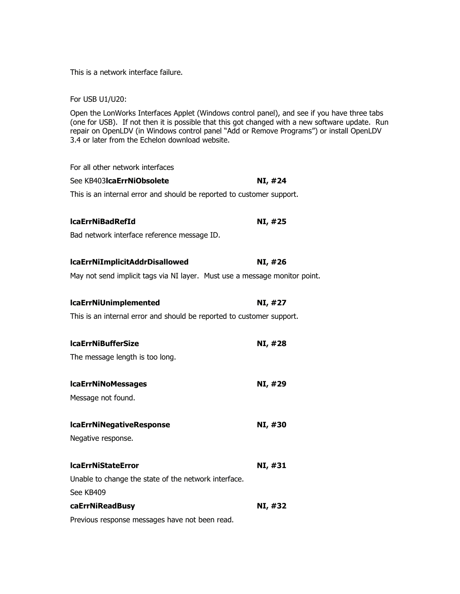This is a network interface failure.

For USB U1/U20:

Open the LonWorks Interfaces Applet (Windows control panel), and see if you have three tabs (one for USB). If not then it is possible that this got changed with a new software update. Run repair on OpenLDV (in Windows control panel "Add or Remove Programs") or install OpenLDV 3.4 or later from the Echelon download website.

| For all other network interfaces                                           |         |
|----------------------------------------------------------------------------|---------|
| See KB403 <b>IcaErrNiObsolete</b>                                          | NI, #24 |
| This is an internal error and should be reported to customer support.      |         |
| <b>IcaErrNiBadRefId</b>                                                    | NI, #25 |
| Bad network interface reference message ID.                                |         |
| <b>IcaErrNiImplicitAddrDisallowed</b>                                      | NI, #26 |
| May not send implicit tags via NI layer. Must use a message monitor point. |         |
| <b>IcaErrNiUnimplemented</b>                                               | NI, #27 |
| This is an internal error and should be reported to customer support.      |         |
| <b>IcaErrNiBufferSize</b>                                                  | NI, #28 |
| The message length is too long.                                            |         |
| <b>IcaErrNiNoMessages</b>                                                  | NI, #29 |
| Message not found.                                                         |         |
| <b>IcaErrNiNegativeResponse</b>                                            | NI, #30 |
| Negative response.                                                         |         |
| <b>IcaErrNiStateError</b>                                                  | NI, #31 |
| Unable to change the state of the network interface.                       |         |
| See KB409                                                                  |         |
| caErrNiReadBusy                                                            | NI, #32 |
| Previous response messages have not been read.                             |         |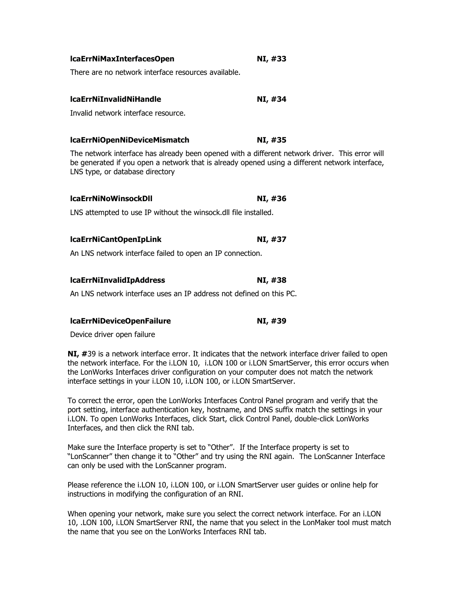| lcaErrNiMaxInterfacesOpen                                                                                                                                                                                                                                                                                                                                                   | NI, #33 |  |
|-----------------------------------------------------------------------------------------------------------------------------------------------------------------------------------------------------------------------------------------------------------------------------------------------------------------------------------------------------------------------------|---------|--|
| There are no network interface resources available.                                                                                                                                                                                                                                                                                                                         |         |  |
| <b>IcaErrNiInvalidNiHandle</b>                                                                                                                                                                                                                                                                                                                                              | NI, #34 |  |
| Invalid network interface resource.                                                                                                                                                                                                                                                                                                                                         |         |  |
| <b>IcaErrNiOpenNiDeviceMismatch</b>                                                                                                                                                                                                                                                                                                                                         | NI, #35 |  |
| The network interface has already been opened with a different network driver. This error will<br>be generated if you open a network that is already opened using a different network interface,<br>LNS type, or database directory                                                                                                                                         |         |  |
| <b>IcaErrNiNoWinsockDII</b>                                                                                                                                                                                                                                                                                                                                                 | NI, #36 |  |
| LNS attempted to use IP without the winsock.dll file installed.                                                                                                                                                                                                                                                                                                             |         |  |
| <b>IcaErrNiCantOpenIpLink</b>                                                                                                                                                                                                                                                                                                                                               | NI, #37 |  |
| An LNS network interface failed to open an IP connection.                                                                                                                                                                                                                                                                                                                   |         |  |
| <b>IcaErrNiInvalidIpAddress</b>                                                                                                                                                                                                                                                                                                                                             | NI, #38 |  |
| An LNS network interface uses an IP address not defined on this PC.                                                                                                                                                                                                                                                                                                         |         |  |
| IcaErrNiDeviceOpenFailure                                                                                                                                                                                                                                                                                                                                                   | NI, #39 |  |
| Device driver open failure                                                                                                                                                                                                                                                                                                                                                  |         |  |
| NI, #39 is a network interface error. It indicates that the network interface driver failed to open<br>the network interface. For the i.LON 10, i.LON 100 or i.LON SmartServer, this error occurs when<br>the LonWorks Interfaces driver configuration on your computer does not match the network<br>interface settings in your i.LON 10, i.LON 100, or i.LON SmartServer. |         |  |

To correct the error, open the LonWorks Interfaces Control Panel program and verify that the port setting, interface authentication key, hostname, and DNS suffix match the settings in your i.LON. To open LonWorks Interfaces, click Start, click Control Panel, double-click LonWorks Interfaces, and then click the RNI tab.

Make sure the Interface property is set to "Other". If the Interface property is set to "LonScanner" then change it to "Other" and try using the RNI again. The LonScanner Interface can only be used with the LonScanner program.

Please reference the i.LON 10, i.LON 100, or i.LON SmartServer user guides or online help for instructions in modifying the configuration of an RNI.

When opening your network, make sure you select the correct network interface. For an i.LON 10, .LON 100, i.LON SmartServer RNI, the name that you select in the LonMaker tool must match the name that you see on the LonWorks Interfaces RNI tab.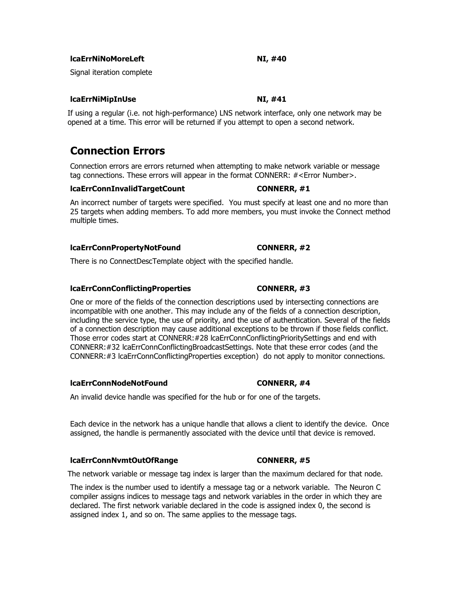**lcaErrNiNoMoreLeft NI, #40**

Signal iteration complete

### **lcaErrNiMipInUse NI, #41**

If using a regular (i.e. not high-performance) LNS network interface, only one network may be opened at a time. This error will be returned if you attempt to open a second network.

# **Connection Errors**

Connection errors are errors returned when attempting to make network variable or message tag connections. These errors will appear in the format CONNERR: #<Error Number>.

### **lcaErrConnInvalidTargetCount CONNERR, #1**

An incorrect number of targets were specified. You must specify at least one and no more than 25 targets when adding members. To add more members, you must invoke the Connect method multiple times.

### **lcaErrConnPropertyNotFound CONNERR, #2**

There is no ConnectDescTemplate object with the specified handle.

### **lcaErrConnConflictingProperties CONNERR, #3**

One or more of the fields of the connection descriptions used by intersecting connections are incompatible with one another. This may include any of the fields of a connection description, including the service type, the use of priority, and the use of authentication. Several of the fields of a connection description may cause additional exceptions to be thrown if those fields conflict. Those error codes start at CONNERR:#28 lcaErrConnConflictingPrioritySettings and end with CONNERR:#32 lcaErrConnConflictingBroadcastSettings. Note that these error codes (and the CONNERR:#3 lcaErrConnConflictingProperties exception) do not apply to monitor connections.

### **lcaErrConnNodeNotFound CONNERR, #4**

An invalid device handle was specified for the hub or for one of the targets.

Each device in the network has a unique handle that allows a client to identify the device. Once assigned, the handle is permanently associated with the device until that device is removed.

### **lcaErrConnNvmtOutOfRange CONNERR, #5**

The network variable or message tag index is larger than the maximum declared for that node.

The index is the number used to identify a message tag or a network variable. The Neuron C compiler assigns indices to message tags and network variables in the order in which they are declared. The first network variable declared in the code is assigned index 0, the second is assigned index 1, and so on. The same applies to the message tags.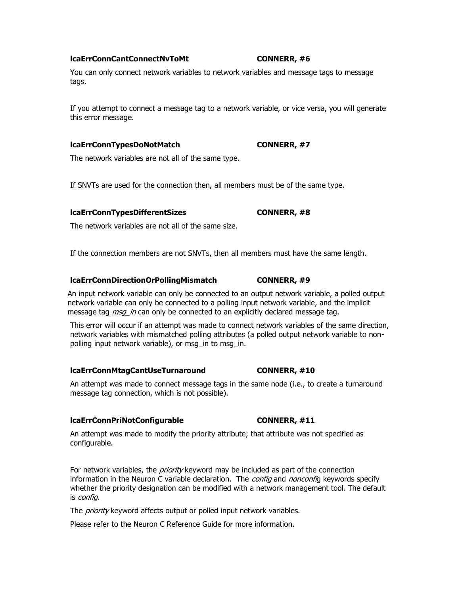### **lcaErrConnCantConnectNvToMt CONNERR, #6**

You can only connect network variables to network variables and message tags to message tags.

If you attempt to connect a message tag to a network variable, or vice versa, you will generate this error message.

### **lcaErrConnTypesDoNotMatch CONNERR, #7**

The network variables are not all of the same type.

If SNVTs are used for the connection then, all members must be of the same type.

### **lcaErrConnTypesDifferentSizes CONNERR, #8**

The network variables are not all of the same size.

If the connection members are not SNVTs, then all members must have the same length.

### **lcaErrConnDirectionOrPollingMismatch CONNERR, #9**

An input network variable can only be connected to an output network variable, a polled output network variable can only be connected to a polling input network variable, and the implicit message tag *msg\_in* can only be connected to an explicitly declared message tag.

This error will occur if an attempt was made to connect network variables of the same direction, network variables with mismatched polling attributes (a polled output network variable to nonpolling input network variable), or msg in to msg in.

### **lcaErrConnMtagCantUseTurnaround CONNERR, #10**

An attempt was made to connect message tags in the same node (i.e., to create a turnaround message tag connection, which is not possible).

### **lcaErrConnPriNotConfigurable CONNERR, #11**

An attempt was made to modify the priority attribute; that attribute was not specified as configurable.

For network variables, the *priority* keyword may be included as part of the connection information in the Neuron C variable declaration. The *config* and *nonconfi*g keywords specify whether the priority designation can be modified with a network management tool. The default is config.

The *priority* keyword affects output or polled input network variables.

Please refer to the Neuron C Reference Guide for more information.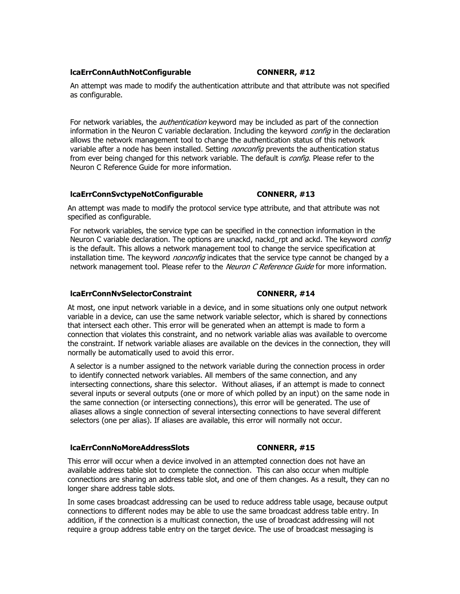### **lcaErrConnAuthNotConfigurable <b>CONNERR**, #12

An attempt was made to modify the authentication attribute and that attribute was not specified as configurable.

For network variables, the *authentication* keyword may be included as part of the connection information in the Neuron C variable declaration. Including the keyword *config* in the declaration allows the network management tool to change the authentication status of this network variable after a node has been installed. Setting *nonconfig* prevents the authentication status from ever being changed for this network variable. The default is *config*. Please refer to the Neuron C Reference Guide for more information.

### **lcaErrConnSvctypeNotConfigurable CONNERR, #13**

An attempt was made to modify the protocol service type attribute, and that attribute was not specified as configurable.

For network variables, the service type can be specified in the connection information in the Neuron C variable declaration. The options are unackd, nackd rpt and ackd. The keyword *config* is the default. This allows a network management tool to change the service specification at installation time. The keyword *nonconfig* indicates that the service type cannot be changed by a network management tool. Please refer to the Neuron C Reference Guide for more information.

### **lcaErrConnNvSelectorConstraint CONNERR, #14**

At most, one input network variable in a device, and in some situations only one output network variable in a device, can use the same network variable selector, which is shared by connections that intersect each other. This error will be generated when an attempt is made to form a connection that violates this constraint, and no network variable alias was available to overcome the constraint. If network variable aliases are available on the devices in the connection, they will normally be automatically used to avoid this error.

A selector is a number assigned to the network variable during the connection process in order to identify connected network variables. All members of the same connection, and any intersecting connections, share this selector. Without aliases, if an attempt is made to connect several inputs or several outputs (one or more of which polled by an input) on the same node in the same connection (or intersecting connections), this error will be generated. The use of aliases allows a single connection of several intersecting connections to have several different selectors (one per alias). If aliases are available, this error will normally not occur.

### **lcaErrConnNoMoreAddressSlots CONNERR, #15**

This error will occur when a device involved in an attempted connection does not have an available address table slot to complete the connection. This can also occur when multiple connections are sharing an address table slot, and one of them changes. As a result, they can no longer share address table slots.

In some cases broadcast addressing can be used to reduce address table usage, because output connections to different nodes may be able to use the same broadcast address table entry. In addition, if the connection is a multicast connection, the use of broadcast addressing will not require a group address table entry on the target device. The use of broadcast messaging is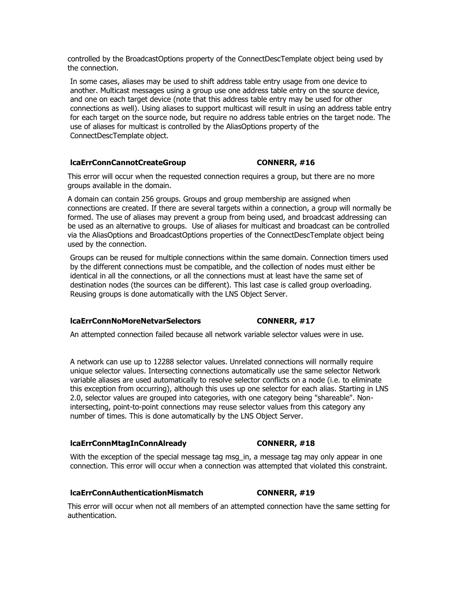controlled by the BroadcastOptions property of the ConnectDescTemplate object being used by the connection.

In some cases, aliases may be used to shift address table entry usage from one device to another. Multicast messages using a group use one address table entry on the source device, and one on each target device (note that this address table entry may be used for other connections as well). Using aliases to support multicast will result in using an address table entry for each target on the source node, but require no address table entries on the target node. The use of aliases for multicast is controlled by the AliasOptions property of the ConnectDescTemplate object.

## **lcaErrConnCannotCreateGroup CONNERR, #16**

This error will occur when the requested connection requires a group, but there are no more groups available in the domain.

A domain can contain 256 groups. Groups and group membership are assigned when connections are created. If there are several targets within a connection, a group will normally be formed. The use of aliases may prevent a group from being used, and broadcast addressing can be used as an alternative to groups. Use of aliases for multicast and broadcast can be controlled via the AliasOptions and BroadcastOptions properties of the ConnectDescTemplate object being used by the connection.

Groups can be reused for multiple connections within the same domain. Connection timers used by the different connections must be compatible, and the collection of nodes must either be identical in all the connections, or all the connections must at least have the same set of destination nodes (the sources can be different). This last case is called group overloading. Reusing groups is done automatically with the LNS Object Server.

## **lcaErrConnNoMoreNetvarSelectors CONNERR, #17**

An attempted connection failed because all network variable selector values were in use.

A network can use up to 12288 selector values. Unrelated connections will normally require unique selector values. Intersecting connections automatically use the same selector Network variable aliases are used automatically to resolve selector conflicts on a node (i.e. to eliminate this exception from occurring), although this uses up one selector for each alias. Starting in LNS 2.0, selector values are grouped into categories, with one category being "shareable". Nonintersecting, point-to-point connections may reuse selector values from this category any number of times. This is done automatically by the LNS Object Server.

## **lcaErrConnMtagInConnAlready CONNERR, #18**

With the exception of the special message tag msg in, a message tag may only appear in one connection. This error will occur when a connection was attempted that violated this constraint.

## **lcaErrConnAuthenticationMismatch CONNERR, #19**

This error will occur when not all members of an attempted connection have the same setting for authentication.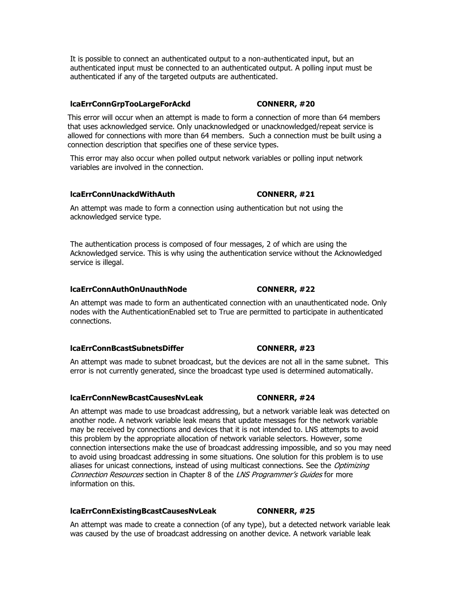It is possible to connect an authenticated output to a non-authenticated input, but an authenticated input must be connected to an authenticated output. A polling input must be authenticated if any of the targeted outputs are authenticated.

## **lcaErrConnGrpTooLargeForAckd CONNERR, #20**

This error will occur when an attempt is made to form a connection of more than 64 members that uses acknowledged service. Only unacknowledged or unacknowledged/repeat service is allowed for connections with more than 64 members. Such a connection must be built using a connection description that specifies one of these service types.

This error may also occur when polled output network variables or polling input network variables are involved in the connection.

## **lcaErrConnUnackdWithAuth CONNERR, #21**

An attempt was made to form a connection using authentication but not using the acknowledged service type.

The authentication process is composed of four messages, 2 of which are using the Acknowledged service. This is why using the authentication service without the Acknowledged service is illegal.

## **lcaErrConnAuthOnUnauthNode CONNERR, #22**

An attempt was made to form an authenticated connection with an unauthenticated node. Only nodes with the AuthenticationEnabled set to True are permitted to participate in authenticated connections.

## **lcaErrConnBcastSubnetsDiffer CONNERR, #23**

An attempt was made to subnet broadcast, but the devices are not all in the same subnet. This error is not currently generated, since the broadcast type used is determined automatically.

## **lcaErrConnNewBcastCausesNvLeak CONNERR, #24**

An attempt was made to use broadcast addressing, but a network variable leak was detected on another node. A network variable leak means that update messages for the network variable may be received by connections and devices that it is not intended to. LNS attempts to avoid this problem by the appropriate allocation of network variable selectors. However, some connection intersections make the use of broadcast addressing impossible, and so you may need to avoid using broadcast addressing in some situations. One solution for this problem is to use aliases for unicast connections, instead of using multicast connections. See the Optimizing Connection Resources section in Chapter 8 of the LNS Programmer's Guides for more information on this.

## **lcaErrConnExistingBcastCausesNvLeak CONNERR, #25**

An attempt was made to create a connection (of any type), but a detected network variable leak was caused by the use of broadcast addressing on another device. A network variable leak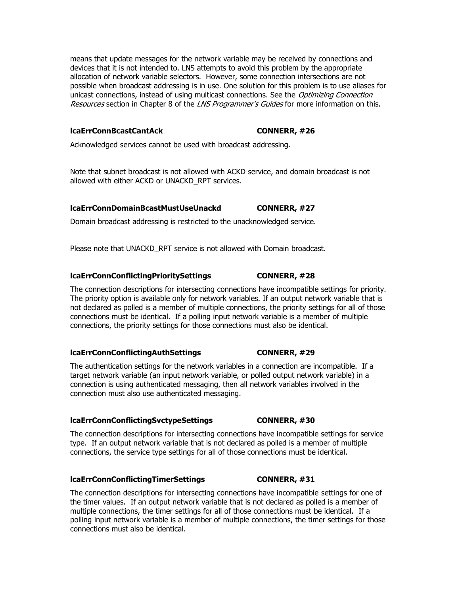means that update messages for the network variable may be received by connections and devices that it is not intended to. LNS attempts to avoid this problem by the appropriate allocation of network variable selectors. However, some connection intersections are not possible when broadcast addressing is in use. One solution for this problem is to use aliases for unicast connections, instead of using multicast connections. See the Optimizing Connection Resources section in Chapter 8 of the LNS Programmer's Guides for more information on this.

## **lcaErrConnBcastCantAck CONNERR, #26**

Acknowledged services cannot be used with broadcast addressing.

Note that subnet broadcast is not allowed with ACKD service, and domain broadcast is not allowed with either ACKD or UNACKD\_RPT services.

## **lcaErrConnDomainBcastMustUseUnackd CONNERR, #27**

Domain broadcast addressing is restricted to the unacknowledged service.

Please note that UNACKD RPT service is not allowed with Domain broadcast.

## **lcaErrConnConflictingPrioritySettings CONNERR, #28**

The connection descriptions for intersecting connections have incompatible settings for priority. The priority option is available only for network variables. If an output network variable that is not declared as polled is a member of multiple connections, the priority settings for all of those connections must be identical. If a polling input network variable is a member of multiple connections, the priority settings for those connections must also be identical.

## **lcaErrConnConflictingAuthSettings CONNERR, #29**

The authentication settings for the network variables in a connection are incompatible. If a target network variable (an input network variable, or polled output network variable) in a connection is using authenticated messaging, then all network variables involved in the connection must also use authenticated messaging.

## **lcaErrConnConflictingSvctypeSettings CONNERR, #30**

The connection descriptions for intersecting connections have incompatible settings for service type. If an output network variable that is not declared as polled is a member of multiple connections, the service type settings for all of those connections must be identical.

## **lcaErrConnConflictingTimerSettings CONNERR, #31**

The connection descriptions for intersecting connections have incompatible settings for one of the timer values. If an output network variable that is not declared as polled is a member of multiple connections, the timer settings for all of those connections must be identical. If a polling input network variable is a member of multiple connections, the timer settings for those connections must also be identical.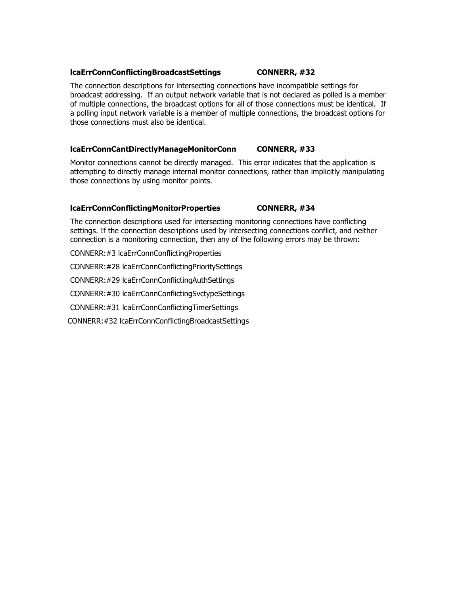## **lcaErrConnConflictingBroadcastSettings CONNERR, #32**

## The connection descriptions for intersecting connections have incompatible settings for broadcast addressing. If an output network variable that is not declared as polled is a member of multiple connections, the broadcast options for all of those connections must be identical. If a polling input network variable is a member of multiple connections, the broadcast options for those connections must also be identical.

## **lcaErrConnCantDirectlyManageMonitorConn CONNERR, #33**

Monitor connections cannot be directly managed. This error indicates that the application is attempting to directly manage internal monitor connections, rather than implicitly manipulating those connections by using monitor points.

## **lcaErrConnConflictingMonitorProperties CONNERR, #34**

The connection descriptions used for intersecting monitoring connections have conflicting settings. If the connection descriptions used by intersecting connections conflict, and neither connection is a monitoring connection, then any of the following errors may be thrown:

CONNERR:#3 lcaErrConnConflictingProperties

CONNERR:#28 lcaErrConnConflictingPrioritySettings

CONNERR:#29 lcaErrConnConflictingAuthSettings

CONNERR:#30 lcaErrConnConflictingSvctypeSettings

CONNERR:#31 lcaErrConnConflictingTimerSettings

CONNERR:#32 lcaErrConnConflictingBroadcastSettings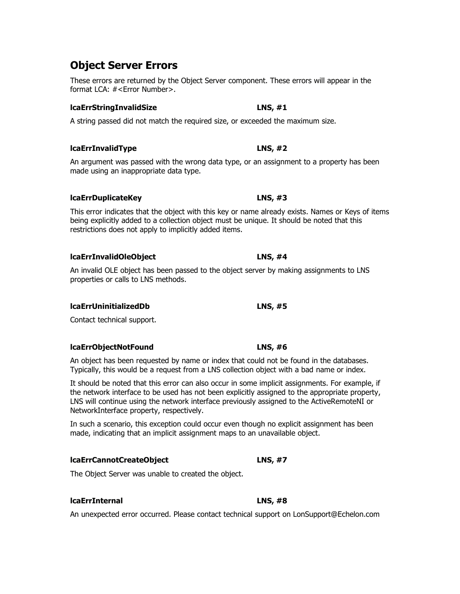# **Object Server Errors**

These errors are returned by the Object Server component. These errors will appear in the format LCA: #<Error Number>.

# **lcaErrStringInvalidSize LNS, #1**

A string passed did not match the required size, or exceeded the maximum size.

# **lcaErrInvalidType LNS, #2**

An argument was passed with the wrong data type, or an assignment to a property has been made using an inappropriate data type.

# **lcaErrDuplicateKey LNS, #3**

This error indicates that the object with this key or name already exists. Names or Keys of items being explicitly added to a collection object must be unique. It should be noted that this restrictions does not apply to implicitly added items.

# **lcaErrInvalidOleObject LNS, #4**

An invalid OLE object has been passed to the object server by making assignments to LNS properties or calls to LNS methods.

# **lcaErrUninitializedDb LNS, #5**

Contact technical support.

# **lcaErrObjectNotFound LNS, #6**

An object has been requested by name or index that could not be found in the databases. Typically, this would be a request from a LNS collection object with a bad name or index.

It should be noted that this error can also occur in some implicit assignments. For example, if the network interface to be used has not been explicitly assigned to the appropriate property, LNS will continue using the network interface previously assigned to the ActiveRemoteNI or NetworkInterface property, respectively.

In such a scenario, this exception could occur even though no explicit assignment has been made, indicating that an implicit assignment maps to an unavailable object.

# **lcaErrCannotCreateObject LNS, #7**

The Object Server was unable to created the object.

# **lcaErrInternal LNS, #8**

An unexpected error occurred. Please contact technical support on LonSupport@Echelon.com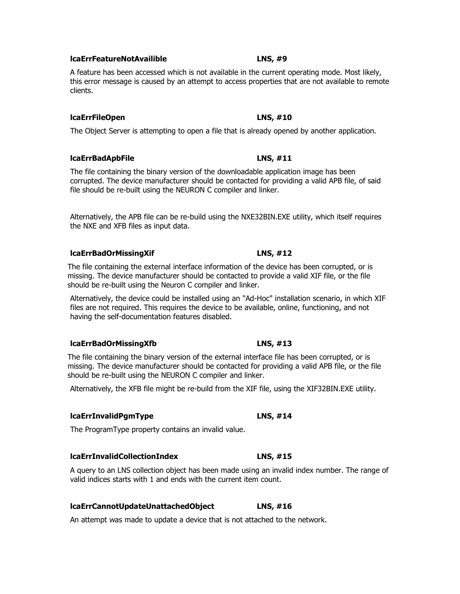# **lcaErrFeatureNotAvailible LNS, #9**

A feature has been accessed which is not available in the current operating mode. Most likely, this error message is caused by an attempt to access properties that are not available to remote clients.

## **lcaErrFileOpen LNS, #10**

The Object Server is attempting to open a file that is already opened by another application.

## **lcaErrBadApbFile LNS, #11**

The file containing the binary version of the downloadable application image has been corrupted. The device manufacturer should be contacted for providing a valid APB file, of said file should be re-built using the NEURON C compiler and linker.

Alternatively, the APB file can be re-build using the NXE32BIN.EXE utility, which itself requires the NXE and XFB files as input data.

## **lcaErrBadOrMissingXif LNS, #12**

The file containing the external interface information of the device has been corrupted, or is missing. The device manufacturer should be contacted to provide a valid XIF file, or the file should be re-built using the Neuron C compiler and linker.

Alternatively, the device could be installed using an "Ad-Hoc" installation scenario, in which XIF files are not required. This requires the device to be available, online, functioning, and not having the self-documentation features disabled.

## **lcaErrBadOrMissingXfb LNS, #13**

The file containing the binary version of the external interface file has been corrupted, or is missing. The device manufacturer should be contacted for providing a valid APB file, or the file should be re-built using the NEURON C compiler and linker.

Alternatively, the XFB file might be re-build from the XIF file, using the XIF32BIN.EXE utility.

## **lcaErrInvalidPgmType LNS, #14**

The ProgramType property contains an invalid value.

## **lcaErrInvalidCollectionIndex LNS, #15**

A query to an LNS collection object has been made using an invalid index number. The range of valid indices starts with 1 and ends with the current item count.

## **lcaErrCannotUpdateUnattachedObject LNS, #16**

An attempt was made to update a device that is not attached to the network.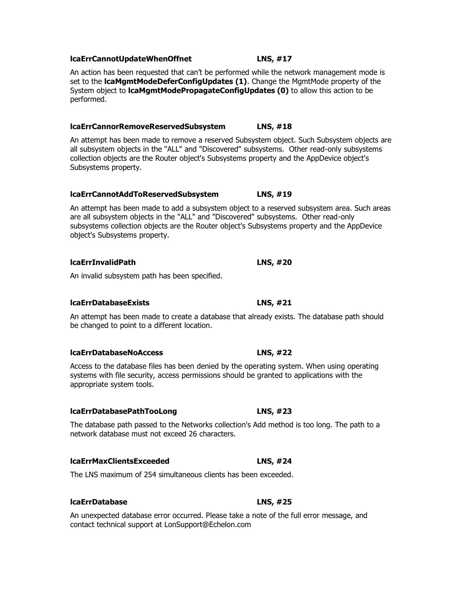## **lcaErrCannotUpdateWhenOffnet LNS, #17**

An action has been requested that can't be performed while the network management mode is set to the **lcaMgmtModeDeferConfigUpdates (1)**. Change the MgmtMode property of the System object to **lcaMgmtModePropagateConfigUpdates (0)** to allow this action to be performed.

## **lcaErrCannorRemoveReservedSubsystem LNS, #18**

An attempt has been made to remove a reserved Subsystem object. Such Subsystem objects are all subsystem objects in the "ALL" and "Discovered" subsystems. Other read-only subsystems collection objects are the Router object's Subsystems property and the AppDevice object's Subsystems property.

## **lcaErrCannotAddToReservedSubsystem LNS, #19**

An attempt has been made to add a subsystem object to a reserved subsystem area. Such areas are all subsystem objects in the "ALL" and "Discovered" subsystems. Other read-only subsystems collection objects are the Router object's Subsystems property and the AppDevice object's Subsystems property.

## **lcaErrInvalidPath LNS, #20**

An invalid subsystem path has been specified.

## **lcaErrDatabaseExists LNS, #21**

An attempt has been made to create a database that already exists. The database path should be changed to point to a different location.

## **lcaErrDatabaseNoAccess LNS, #22**

Access to the database files has been denied by the operating system. When using operating systems with file security, access permissions should be granted to applications with the appropriate system tools.

## **lcaErrDatabasePathTooLong LNS, #23**

The database path passed to the Networks collection's Add method is too long. The path to a network database must not exceed 26 characters.

## **lcaErrMaxClientsExceeded LNS, #24**

The LNS maximum of 254 simultaneous clients has been exceeded.

## **lcaErrDatabase LNS, #25**

An unexpected database error occurred. Please take a note of the full error message, and contact technical support at LonSupport@Echelon.com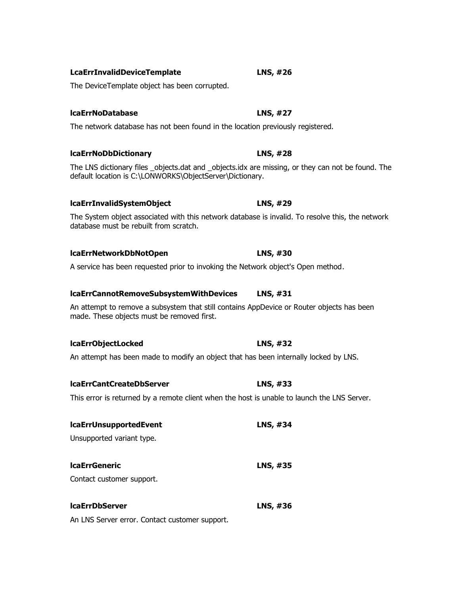| <b>LcaErrInvalidDeviceTemplate</b> | LNS, #26 |
|------------------------------------|----------|
|------------------------------------|----------|

The DeviceTemplate object has been corrupted.

# **lcaErrNoDatabase LNS, #27**

The network database has not been found in the location previously registered.

# **lcaErrNoDbDictionary LNS, #28**

The LNS dictionary files \_objects.dat and \_objects.idx are missing, or they can not be found. The default location is C:\LONWORKS\ObjectServer\Dictionary.

## **lcaErrInvalidSystemObject LNS, #29**

The System object associated with this network database is invalid. To resolve this, the network database must be rebuilt from scratch.

# **lcaErrNetworkDbNotOpen LNS, #30**

A service has been requested prior to invoking the Network object's Open method.

## **lcaErrCannotRemoveSubsystemWithDevices LNS, #31**

An attempt to remove a subsystem that still contains AppDevice or Router objects has been made. These objects must be removed first.

## **lcaErrObjectLocked LNS, #32**

An attempt has been made to modify an object that has been internally locked by LNS.

## **lcaErrCantCreateDbServer LNS, #33**

This error is returned by a remote client when the host is unable to launch the LNS Server.

| <b>IcaErrUnsupportedEvent</b> | LNS, #34 |
|-------------------------------|----------|
| Unsupported variant type.     |          |
|                               |          |
| <b>IcaErrGeneric</b>          | LNS, #35 |
| Contact customer support.     |          |
|                               |          |
| <b>IcaErrDbServer</b>         | LNS, #36 |

An LNS Server error. Contact customer support.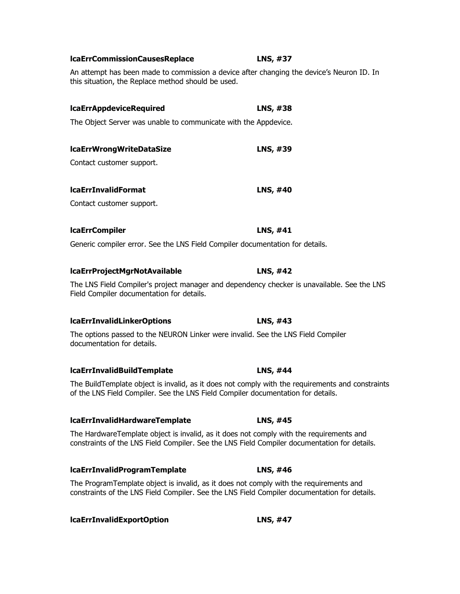| <b>IcaErrAppdeviceRequired</b>                                                                                                                                                          | LNS, #38        |
|-----------------------------------------------------------------------------------------------------------------------------------------------------------------------------------------|-----------------|
| The Object Server was unable to communicate with the Appdevice.                                                                                                                         |                 |
| <b>IcaErrWrongWriteDataSize</b>                                                                                                                                                         | LNS, #39        |
| Contact customer support.                                                                                                                                                               |                 |
| <b>IcaErrInvalidFormat</b>                                                                                                                                                              | <b>LNS, #40</b> |
| Contact customer support.                                                                                                                                                               |                 |
| <b>IcaErrCompiler</b>                                                                                                                                                                   | LNS, #41        |
| Generic compiler error. See the LNS Field Compiler documentation for details.                                                                                                           |                 |
| IcaErrProjectMgrNotAvailable                                                                                                                                                            | LNS, #42        |
| The LNS Field Compiler's project manager and dependency checker is unavailable. See the LNS<br>Field Compiler documentation for details.                                                |                 |
| <b>IcaErrInvalidLinkerOptions</b>                                                                                                                                                       | LNS, #43        |
| The options passed to the NEURON Linker were invalid. See the LNS Field Compiler<br>documentation for details.                                                                          |                 |
| <b>IcaErrInvalidBuildTemplate</b>                                                                                                                                                       | LNS, #44        |
| The BuildTemplate object is invalid, as it does not comply with the requirements and constraints<br>of the LNS Field Compiler. See the LNS Field Compiler documentation for details.    |                 |
| <b>IcaErrInvalidHardwareTemplate</b>                                                                                                                                                    | LNS, #45        |
| The HardwareTemplate object is invalid, as it does not comply with the requirements and<br>constraints of the LNS Field Compiler. See the LNS Field Compiler documentation for details. |                 |

**lcaErrInvalidProgramTemplate LNS, #46**

The ProgramTemplate object is invalid, as it does not comply with the requirements and constraints of the LNS Field Compiler. See the LNS Field Compiler documentation for details.

**lcaErrInvalidExportOption LNS, #47**

**lcaErrCommissionCausesReplace LNS, #37**

An attempt has been made to commission a device after changing the device's Neuron ID. In

this situation, the Replace method should be used.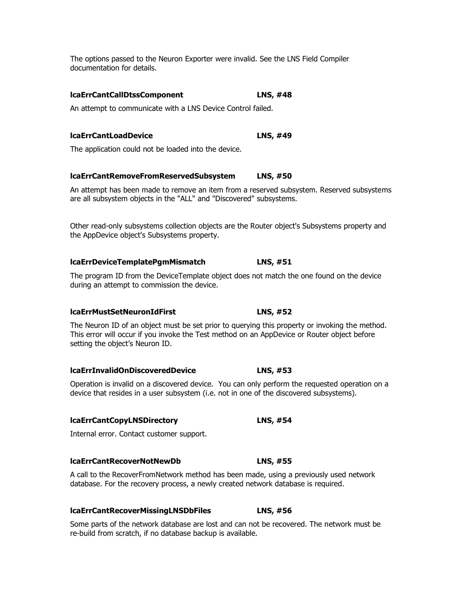The options passed to the Neuron Exporter were invalid. See the LNS Field Compiler documentation for details.

## **lcaErrCantCallDtssComponent LNS, #48**

An attempt to communicate with a LNS Device Control failed.

# **lcaErrCantLoadDevice LNS, #49**

The application could not be loaded into the device.

## **lcaErrCantRemoveFromReservedSubsystem LNS, #50**

An attempt has been made to remove an item from a reserved subsystem. Reserved subsystems are all subsystem objects in the "ALL" and "Discovered" subsystems.

Other read-only subsystems collection objects are the Router object's Subsystems property and the AppDevice object's Subsystems property.

## **lcaErrDeviceTemplatePgmMismatch LNS, #51**

The program ID from the DeviceTemplate object does not match the one found on the device during an attempt to commission the device.

## **lcaErrMustSetNeuronIdFirst LNS, #52**

The Neuron ID of an object must be set prior to querying this property or invoking the method. This error will occur if you invoke the Test method on an AppDevice or Router object before setting the object's Neuron ID.

## **lcaErrInvalidOnDiscoveredDevice LNS, #53**

Operation is invalid on a discovered device. You can only perform the requested operation on a device that resides in a user subsystem (i.e. not in one of the discovered subsystems).

## **lcaErrCantCopyLNSDirectory LNS, #54**

Internal error. Contact customer support.

## **lcaErrCantRecoverNotNewDb LNS, #55**

A call to the RecoverFromNetwork method has been made, using a previously used network database. For the recovery process, a newly created network database is required.

## **lcaErrCantRecoverMissingLNSDbFiles LNS, #56**

Some parts of the network database are lost and can not be recovered. The network must be re-build from scratch, if no database backup is available.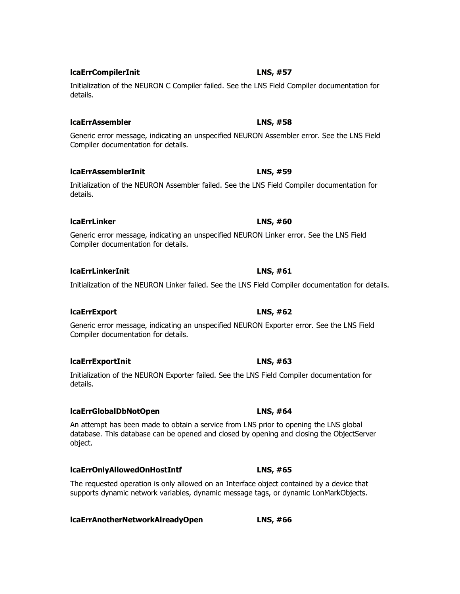**lcaErrCompilerInit LNS, #57**

**lcaErrLinkerInit LNS, #61**

Initialization of the NEURON C Compiler failed. See the LNS Field Compiler documentation for details.

Generic error message, indicating an unspecified NEURON Assembler error. See the LNS Field Compiler documentation for details.

Initialization of the NEURON Assembler failed. See the LNS Field Compiler documentation for details.

Generic error message, indicating an unspecified NEURON Linker error. See the LNS Field Compiler documentation for details.

Initialization of the NEURON Linker failed. See the LNS Field Compiler documentation for details.

Generic error message, indicating an unspecified NEURON Exporter error. See the LNS Field Compiler documentation for details.

Initialization of the NEURON Exporter failed. See the LNS Field Compiler documentation for details.

**lcaErrGlobalDbNotOpen LNS, #64** An attempt has been made to obtain a service from LNS prior to opening the LNS global database. This database can be opened and closed by opening and closing the ObjectServer object.

The requested operation is only allowed on an Interface object contained by a device that

**lcaErrOnlyAllowedOnHostIntf LNS, #65**

supports dynamic network variables, dynamic message tags, or dynamic LonMarkObjects.

**lcaErrAnotherNetworkAlreadyOpen LNS, #66**

# **lcaErrAssembler LNS, #58**

# **lcaErrLinker LNS, #60**

# **lcaErrExportInit LNS, #63**

# **lcaErrExport LNS, #62**

# **lcaErrAssemblerInit LNS, #59**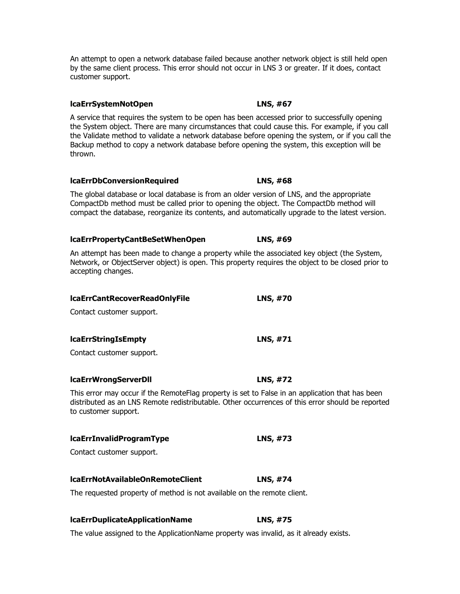An attempt to open a network database failed because another network object is still held open by the same client process. This error should not occur in LNS 3 or greater. If it does, contact customer support.

**lcaErrSystemNotOpen LNS, #67**

A service that requires the system to be open has been accessed prior to successfully opening the System object. There are many circumstances that could cause this. For example, if you call the Validate method to validate a network database before opening the system, or if you call the Backup method to copy a network database before opening the system, this exception will be thrown.

**lcaErrDbConversionRequired LNS, #68**

The global database or local database is from an older version of LNS, and the appropriate CompactDb method must be called prior to opening the object. The CompactDb method will compact the database, reorganize its contents, and automatically upgrade to the latest version.

## **lcaErrPropertyCantBeSetWhenOpen LNS, #69**

An attempt has been made to change a property while the associated key object (the System, Network, or ObjectServer object) is open. This property requires the object to be closed prior to accepting changes.

## **lcaErrCantRecoverReadOnlyFile LNS, #70**

Contact customer support.

## **lcaErrStringIsEmpty LNS, #71**

Contact customer support.

## **lcaErrWrongServerDll LNS, #72**

This error may occur if the RemoteFlag property is set to False in an application that has been distributed as an LNS Remote redistributable. Other occurrences of this error should be reported to customer support.

## **lcaErrInvalidProgramType LNS, #73**

Contact customer support.

## **lcaErrNotAvailableOnRemoteClient LNS, #74**

The requested property of method is not available on the remote client.

## **lcaErrDuplicateApplicationName LNS, #75**

The value assigned to the ApplicationName property was invalid, as it already exists.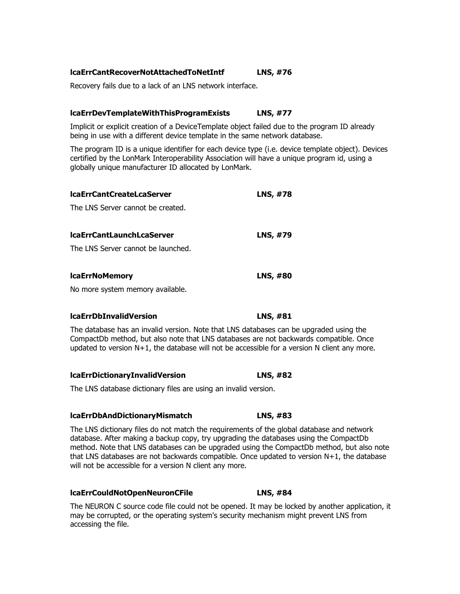## **lcaErrCantRecoverNotAttachedToNetIntf LNS, #76**

Recovery fails due to a lack of an LNS network interface.

## **lcaErrDevTemplateWithThisProgramExists LNS, #77**

Implicit or explicit creation of a DeviceTemplate object failed due to the program ID already being in use with a different device template in the same network database.

The program ID is a unique identifier for each device type (i.e. device template object). Devices certified by the LonMark Interoperability Association will have a unique program id, using a globally unique manufacturer ID allocated by LonMark.

| <b>IcaErrCantCreateLcaServer</b>   | LNS, #78        |
|------------------------------------|-----------------|
| The LNS Server cannot be created.  |                 |
| <b>IcaErrCantLaunchLcaServer</b>   | LNS, #79        |
| The LNS Server cannot be launched. |                 |
| <b>IcaErrNoMemory</b>              | <b>LNS, #80</b> |
| No more system memory available.   |                 |
|                                    |                 |

## **lcaErrDbInvalidVersion LNS, #81**

The database has an invalid version. Note that LNS databases can be upgraded using the CompactDb method, but also note that LNS databases are not backwards compatible. Once updated to version N+1, the database will not be accessible for a version N client any more.

## **lcaErrDictionaryInvalidVersion LNS, #82**

The LNS database dictionary files are using an invalid version.

## **lcaErrDbAndDictionaryMismatch LNS, #83**

The LNS dictionary files do not match the requirements of the global database and network database. After making a backup copy, try upgrading the databases using the CompactDb method. Note that LNS databases can be upgraded using the CompactDb method, but also note that LNS databases are not backwards compatible. Once updated to version N+1, the database will not be accessible for a version N client any more.

## **lcaErrCouldNotOpenNeuronCFile LNS, #84**

The NEURON C source code file could not be opened. It may be locked by another application, it may be corrupted, or the operating system's security mechanism might prevent LNS from accessing the file.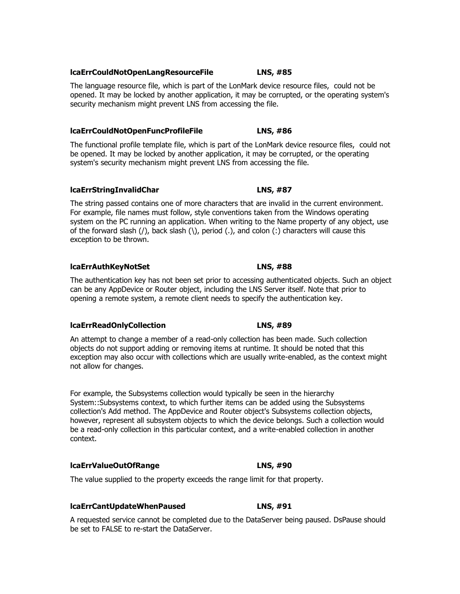## **lcaErrCouldNotOpenLangResourceFile LNS, #85**

The language resource file, which is part of the LonMark device resource files, could not be opened. It may be locked by another application, it may be corrupted, or the operating system's security mechanism might prevent LNS from accessing the file.

# **lcaErrCouldNotOpenFuncProfileFile LNS, #86**

The functional profile template file, which is part of the LonMark device resource files, could not be opened. It may be locked by another application, it may be corrupted, or the operating system's security mechanism might prevent LNS from accessing the file.

# **lcaErrStringInvalidChar LNS, #87**

The string passed contains one of more characters that are invalid in the current environment. For example, file names must follow, style conventions taken from the Windows operating system on the PC running an application. When writing to the Name property of any object, use of the forward slash  $($ ), back slash  $($  \), period  $(.)$ , and colon  $($  :) characters will cause this exception to be thrown.

# **lcaErrAuthKeyNotSet LNS, #88**

The authentication key has not been set prior to accessing authenticated objects. Such an object can be any AppDevice or Router object, including the LNS Server itself. Note that prior to opening a remote system, a remote client needs to specify the authentication key.

## **lcaErrReadOnlyCollection LNS, #89**

An attempt to change a member of a read-only collection has been made. Such collection objects do not support adding or removing items at runtime. It should be noted that this exception may also occur with collections which are usually write-enabled, as the context might not allow for changes.

For example, the Subsystems collection would typically be seen in the hierarchy System::Subsystems context, to which further items can be added using the Subsystems collection's Add method. The AppDevice and Router object's Subsystems collection objects, however, represent all subsystem objects to which the device belongs. Such a collection would be a read-only collection in this particular context, and a write-enabled collection in another context.

# **lcaErrValueOutOfRange LNS, #90**

The value supplied to the property exceeds the range limit for that property.

# **lcaErrCantUpdateWhenPaused LNS, #91**

A requested service cannot be completed due to the DataServer being paused. DsPause should be set to FALSE to re-start the DataServer.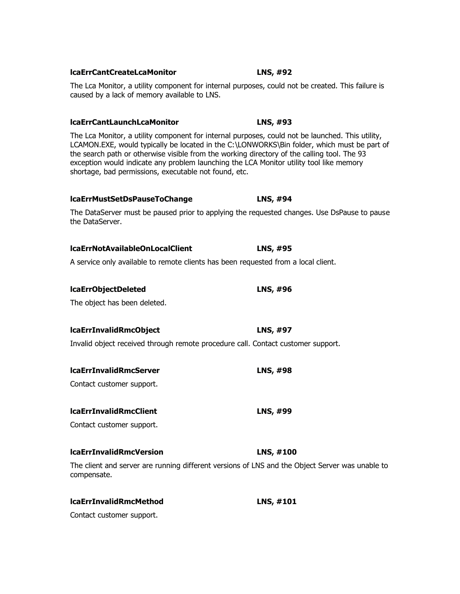# The Lca Monitor, a utility component for internal purposes, could not be launched. This utility, LCAMON.EXE, would typically be located in the C:\LONWORKS\Bin folder, which must be part of the search path or otherwise visible from the working directory of the calling tool. The 93 exception would indicate any problem launching the LCA Monitor utility tool like memory shortage, bad permissions, executable not found, etc. **lcaErrMustSetDsPauseToChange LNS, #94** The DataServer must be paused prior to applying the requested changes. Use DsPause to pause the DataServer. **lcaErrNotAvailableOnLocalClient LNS, #95** A service only available to remote clients has been requested from a local client. **lcaErrObjectDeleted LNS, #96** The object has been deleted. **lcaErrInvalidRmcObject LNS, #97** Invalid object received through remote procedure call. Contact customer support. **lcaErrInvalidRmcServer LNS, #98** Contact customer support. **lcaErrInvalidRmcClient LNS, #99** Contact customer support. **lcaErrInvalidRmcVersion LNS, #100** The client and server are running different versions of LNS and the Object Server was unable to compensate.

**lcaErrInvalidRmcMethod LNS, #101** Contact customer support.

## **lcaErrCantCreateLcaMonitor LNS, #92**

The Lca Monitor, a utility component for internal purposes, could not be created. This failure is caused by a lack of memory available to LNS.

# **lcaErrCantLaunchLcaMonitor LNS, #93**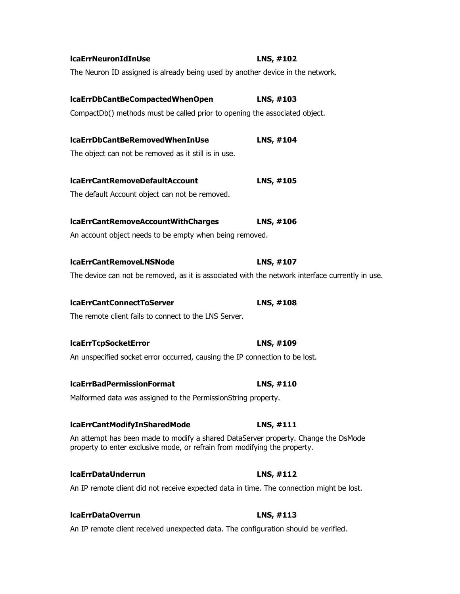| <b>IcaErrNeuronIdInUse</b>                                                                                                                                      | LNS, #102 |
|-----------------------------------------------------------------------------------------------------------------------------------------------------------------|-----------|
| The Neuron ID assigned is already being used by another device in the network.                                                                                  |           |
| lcaErrDbCantBeCompactedWhenOpen                                                                                                                                 | LNS, #103 |
| CompactDb() methods must be called prior to opening the associated object.                                                                                      |           |
|                                                                                                                                                                 |           |
| lcaErrDbCantBeRemovedWhenInUse                                                                                                                                  | LNS, #104 |
| The object can not be removed as it still is in use.                                                                                                            |           |
| <b>IcaErrCantRemoveDefaultAccount</b>                                                                                                                           | LNS, #105 |
| The default Account object can not be removed.                                                                                                                  |           |
|                                                                                                                                                                 |           |
| IcaErrCantRemoveAccountWithCharges                                                                                                                              | LNS, #106 |
| An account object needs to be empty when being removed.                                                                                                         |           |
|                                                                                                                                                                 |           |
| <b>IcaErrCantRemoveLNSNode</b>                                                                                                                                  | LNS, #107 |
| The device can not be removed, as it is associated with the network interface currently in use.                                                                 |           |
| <b>IcaErrCantConnectToServer</b>                                                                                                                                | LNS, #108 |
| The remote client fails to connect to the LNS Server.                                                                                                           |           |
|                                                                                                                                                                 |           |
| <b>IcaErrTcpSocketError</b>                                                                                                                                     | LNS, #109 |
| An unspecified socket error occurred, causing the IP connection to be lost.                                                                                     |           |
| <b>IcaErrBadPermissionFormat</b>                                                                                                                                | LNS, #110 |
| Malformed data was assigned to the PermissionString property.                                                                                                   |           |
|                                                                                                                                                                 |           |
| <b>IcaErrCantModifyInSharedMode</b>                                                                                                                             | LNS, #111 |
| An attempt has been made to modify a shared DataServer property. Change the DsMode<br>property to enter exclusive mode, or refrain from modifying the property. |           |
| <b>IcaErrDataUnderrun</b>                                                                                                                                       | LNS, #112 |
| An IP remote client did not receive expected data in time. The connection might be lost.                                                                        |           |
|                                                                                                                                                                 |           |

An IP remote client received unexpected data. The configuration should be verified.

**lcaErrDataOverrun LNS, #113**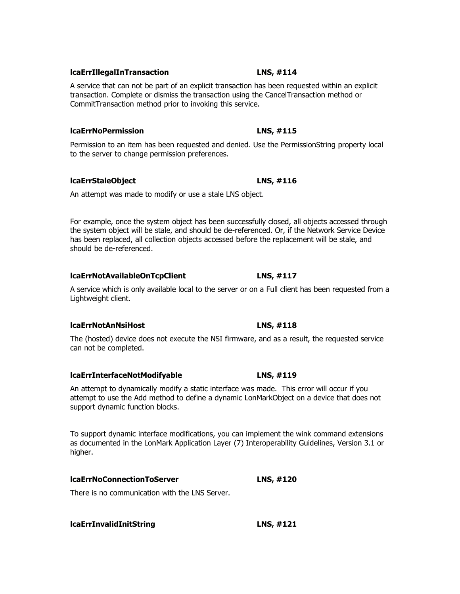## **lcaErrIllegalInTransaction LNS, #114**

A service that can not be part of an explicit transaction has been requested within an explicit transaction. Complete or dismiss the transaction using the CancelTransaction method or CommitTransaction method prior to invoking this service.

## **lcaErrNoPermission LNS, #115**

Permission to an item has been requested and denied. Use the PermissionString property local to the server to change permission preferences.

## **lcaErrStaleObject LNS, #116**

An attempt was made to modify or use a stale LNS object.

For example, once the system object has been successfully closed, all objects accessed through the system object will be stale, and should be de-referenced. Or, if the Network Service Device has been replaced, all collection objects accessed before the replacement will be stale, and should be de-referenced.

## **lcaErrNotAvailableOnTcpClient LNS, #117**

A service which is only available local to the server or on a Full client has been requested from a Lightweight client.

## **lcaErrNotAnNsiHost LNS, #118**

The (hosted) device does not execute the NSI firmware, and as a result, the requested service can not be completed.

## **lcaErrInterfaceNotModifyable LNS, #119**

An attempt to dynamically modify a static interface was made. This error will occur if you attempt to use the Add method to define a dynamic LonMarkObject on a device that does not support dynamic function blocks.

To support dynamic interface modifications, you can implement the wink command extensions as documented in the LonMark Application Layer (7) Interoperability Guidelines, Version 3.1 or higher.

## **lcaErrNoConnectionToServer LNS, #120**

There is no communication with the LNS Server.

**lcaErrInvalidInitString LNS, #121**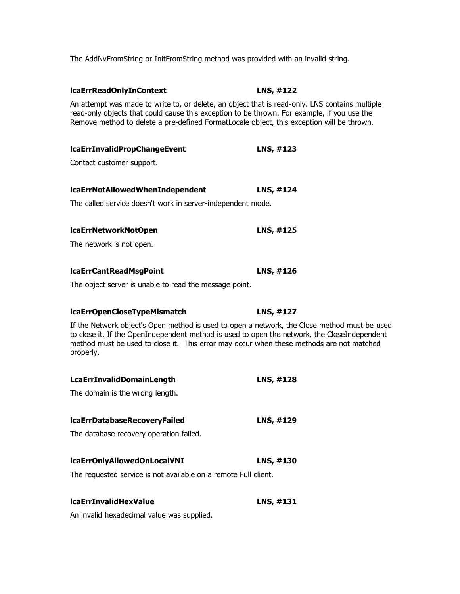The AddNvFromString or InitFromString method was provided with an invalid string.

| lcaErrReadOnlyInContext                                                                                                                                                                                                                                                                               | LNS, #122 |  |
|-------------------------------------------------------------------------------------------------------------------------------------------------------------------------------------------------------------------------------------------------------------------------------------------------------|-----------|--|
| An attempt was made to write to, or delete, an object that is read-only. LNS contains multiple<br>read-only objects that could cause this exception to be thrown. For example, if you use the<br>Remove method to delete a pre-defined FormatLocale object, this exception will be thrown.            |           |  |
| IcaErrInvalidPropChangeEvent                                                                                                                                                                                                                                                                          | LNS, #123 |  |
| Contact customer support.                                                                                                                                                                                                                                                                             |           |  |
| lcaErrNotAllowedWhenIndependent                                                                                                                                                                                                                                                                       | LNS, #124 |  |
| The called service doesn't work in server-independent mode.                                                                                                                                                                                                                                           |           |  |
| lcaErrNetworkNotOpen                                                                                                                                                                                                                                                                                  | LNS, #125 |  |
| The network is not open.                                                                                                                                                                                                                                                                              |           |  |
| lcaErrCantReadMsgPoint                                                                                                                                                                                                                                                                                | LNS, #126 |  |
| The object server is unable to read the message point.                                                                                                                                                                                                                                                |           |  |
| IcaErrOpenCloseTypeMismatch                                                                                                                                                                                                                                                                           | LNS, #127 |  |
| If the Network object's Open method is used to open a network, the Close method must be used<br>to close it. If the OpenIndependent method is used to open the network, the CloseIndependent<br>method must be used to close it. This error may occur when these methods are not matched<br>properly. |           |  |
| <b>LcaErrInvalidDomainLength</b>                                                                                                                                                                                                                                                                      | LNS, #128 |  |
| The domain is the wrong length.                                                                                                                                                                                                                                                                       |           |  |
| <b>IcaErrDatabaseRecoveryFailed</b>                                                                                                                                                                                                                                                                   | LNS, #129 |  |
| The database recovery operation failed.                                                                                                                                                                                                                                                               |           |  |
| IcaErrOnlyAllowedOnLocalVNI                                                                                                                                                                                                                                                                           | LNS, #130 |  |
| The requested service is not available on a remote Full client.                                                                                                                                                                                                                                       |           |  |
| <b>IcaErrInvalidHexValue</b>                                                                                                                                                                                                                                                                          | LNS, #131 |  |
|                                                                                                                                                                                                                                                                                                       |           |  |

An invalid hexadecimal value was supplied.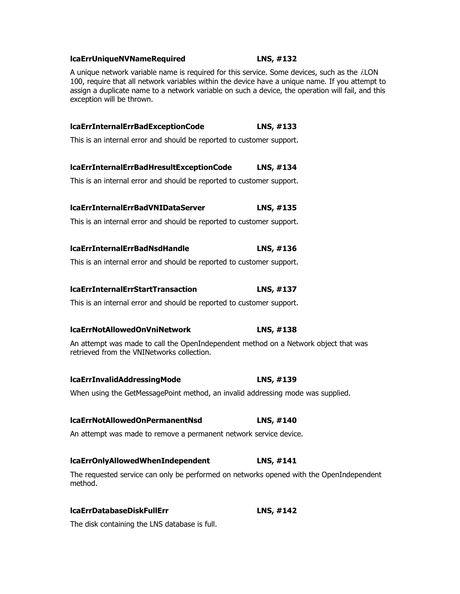## **lcaErrUniqueNVNameRequired LNS, #132**

A unique network variable name is required for this service. Some devices, such as the *i*.LON 100, require that all network variables within the device have a unique name. If you attempt to assign a duplicate name to a network variable on such a device, the operation will fail, and this exception will be thrown.

| IcaErrInternalErrBadExceptionCode                                                                                                 | LNS, #133 |
|-----------------------------------------------------------------------------------------------------------------------------------|-----------|
| This is an internal error and should be reported to customer support.                                                             |           |
| lcaErrInternalErrBadHresultExceptionCode                                                                                          | LNS, #134 |
| This is an internal error and should be reported to customer support.                                                             |           |
| <b>IcaErrInternalErrBadVNIDataServer</b>                                                                                          | LNS, #135 |
| This is an internal error and should be reported to customer support.                                                             |           |
| <b>IcaErrInternalErrBadNsdHandle</b>                                                                                              | LNS, #136 |
| This is an internal error and should be reported to customer support.                                                             |           |
| <b>IcaErrInternalErrStartTransaction</b>                                                                                          | LNS, #137 |
| This is an internal error and should be reported to customer support.                                                             |           |
| <b>IcaErrNotAllowedOnVniNetwork</b>                                                                                               | LNS, #138 |
| An attempt was made to call the OpenIndependent method on a Network object that was<br>retrieved from the VNINetworks collection. |           |
| <b>IcaErrInvalidAddressingMode</b>                                                                                                | LNS, #139 |
| When using the GetMessagePoint method, an invalid addressing mode was supplied.                                                   |           |
| <b>IcaErrNotAllowedOnPermanentNsd</b>                                                                                             | LNS, #140 |
| An attempt was made to remove a permanent network service device.                                                                 |           |
| <b>IcaErrOnlyAllowedWhenIndependent</b>                                                                                           | LNS, #141 |
| The requested service can only be performed on networks opened with the OpenIndependent<br>method.                                |           |

## **lcaErrDatabaseDiskFullErr LNS, #142**

The disk containing the LNS database is full.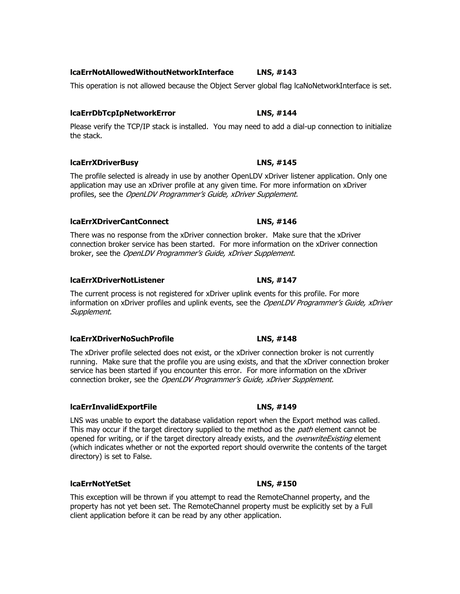## **lcaErrNotAllowedWithoutNetworkInterface LNS, #143**

This operation is not allowed because the Object Server global flag lcaNoNetworkInterface is set.

## **lcaErrDbTcpIpNetworkError LNS, #144**

Please verify the TCP/IP stack is installed. You may need to add a dial-up connection to initialize the stack.

## **lcaErrXDriverBusy LNS, #145**

The profile selected is already in use by another OpenLDV xDriver listener application. Only one application may use an xDriver profile at any given time. For more information on xDriver profiles, see the OpenLDV Programmer's Guide, xDriver Supplement.

## **lcaErrXDriverCantConnect LNS, #146**

There was no response from the xDriver connection broker. Make sure that the xDriver connection broker service has been started. For more information on the xDriver connection broker, see the OpenLDV Programmer's Guide, xDriver Supplement.

## **lcaErrXDriverNotListener LNS, #147**

The current process is not registered for xDriver uplink events for this profile. For more information on xDriver profiles and uplink events, see the *OpenLDV Programmer's Guide, xDriver* Supplement.

## **lcaErrXDriverNoSuchProfile LNS, #148**

The xDriver profile selected does not exist, or the xDriver connection broker is not currently running. Make sure that the profile you are using exists, and that the xDriver connection broker service has been started if you encounter this error. For more information on the xDriver connection broker, see the OpenLDV Programmer's Guide, xDriver Supplement.

## **lcaErrInvalidExportFile LNS, #149**

LNS was unable to export the database validation report when the Export method was called. This may occur if the target directory supplied to the method as the *path* element cannot be opened for writing, or if the target directory already exists, and the *overwriteExisting* element (which indicates whether or not the exported report should overwrite the contents of the target directory) is set to False.

## **lcaErrNotYetSet LNS, #150**

This exception will be thrown if you attempt to read the RemoteChannel property, and the property has not yet been set. The RemoteChannel property must be explicitly set by a Full client application before it can be read by any other application.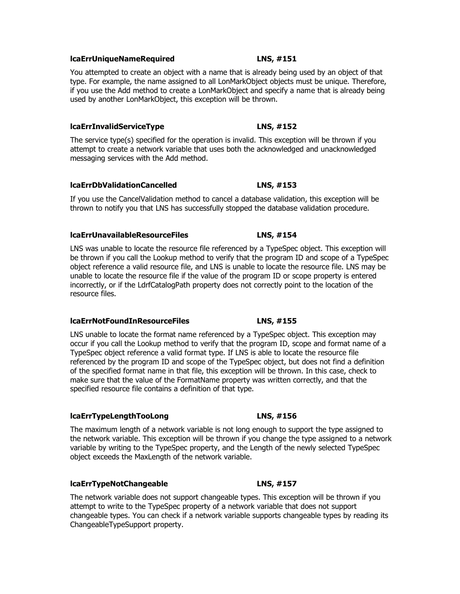## **lcaErrUniqueNameRequired LNS, #151**

You attempted to create an object with a name that is already being used by an object of that type. For example, the name assigned to all LonMarkObject objects must be unique. Therefore, if you use the Add method to create a LonMarkObject and specify a name that is already being used by another LonMarkObject, this exception will be thrown.

## **lcaErrInvalidServiceType LNS, #152**

The service type(s) specified for the operation is invalid. This exception will be thrown if you attempt to create a network variable that uses both the acknowledged and unacknowledged messaging services with the Add method.

## **lcaErrDbValidationCancelled LNS, #153**

If you use the CancelValidation method to cancel a database validation, this exception will be thrown to notify you that LNS has successfully stopped the database validation procedure.

## **lcaErrUnavailableResourceFiles LNS, #154**

LNS was unable to locate the resource file referenced by a TypeSpec object. This exception will be thrown if you call the Lookup method to verify that the program ID and scope of a TypeSpec object reference a valid resource file, and LNS is unable to locate the resource file. LNS may be unable to locate the resource file if the value of the program ID or scope property is entered incorrectly, or if the LdrfCatalogPath property does not correctly point to the location of the resource files.

## **lcaErrNotFoundInResourceFiles LNS, #155**

LNS unable to locate the format name referenced by a TypeSpec object. This exception may occur if you call the Lookup method to verify that the program ID, scope and format name of a TypeSpec object reference a valid format type. If LNS is able to locate the resource file referenced by the program ID and scope of the TypeSpec object, but does not find a definition of the specified format name in that file, this exception will be thrown. In this case, check to make sure that the value of the FormatName property was written correctly, and that the specified resource file contains a definition of that type.

## **lcaErrTypeLengthTooLong LNS, #156**

The maximum length of a network variable is not long enough to support the type assigned to the network variable. This exception will be thrown if you change the type assigned to a network variable by writing to the TypeSpec property, and the Length of the newly selected TypeSpec object exceeds the MaxLength of the network variable.

## **lcaErrTypeNotChangeable LNS, #157**

The network variable does not support changeable types. This exception will be thrown if you attempt to write to the TypeSpec property of a network variable that does not support changeable types. You can check if a network variable supports changeable types by reading its ChangeableTypeSupport property.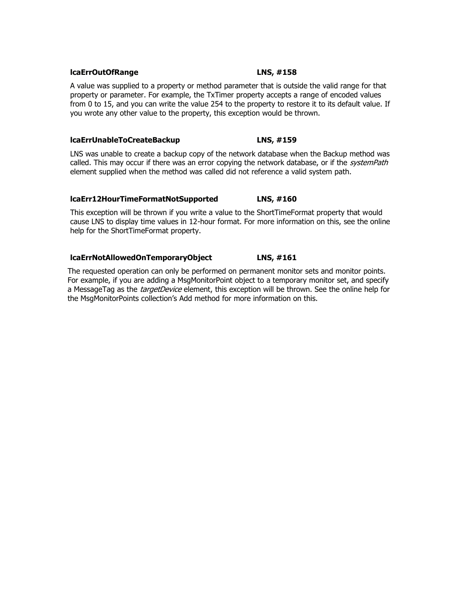## **lcaErrOutOfRange LNS, #158**

A value was supplied to a property or method parameter that is outside the valid range for that property or parameter. For example, the TxTimer property accepts a range of encoded values from 0 to 15, and you can write the value 254 to the property to restore it to its default value. If you wrote any other value to the property, this exception would be thrown.

## **lcaErrUnableToCreateBackup LNS, #159**

LNS was unable to create a backup copy of the network database when the Backup method was called. This may occur if there was an error copying the network database, or if the *systemPath* element supplied when the method was called did not reference a valid system path.

## **lcaErr12HourTimeFormatNotSupported LNS, #160**

This exception will be thrown if you write a value to the ShortTimeFormat property that would cause LNS to display time values in 12-hour format. For more information on this, see the online help for the ShortTimeFormat property.

## **lcaErrNotAllowedOnTemporaryObject LNS, #161**

The requested operation can only be performed on permanent monitor sets and monitor points. For example, if you are adding a MsgMonitorPoint object to a temporary monitor set, and specify a MessageTag as the *targetDevice* element, this exception will be thrown. See the online help for the MsgMonitorPoints collection's Add method for more information on this.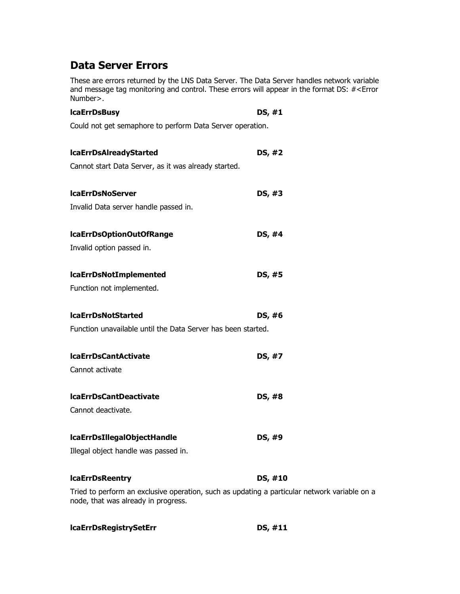# **Data Server Errors**

These are errors returned by the LNS Data Server. The Data Server handles network variable and message tag monitoring and control. These errors will appear in the format DS: #<Error Number>.

| <b>IcaErrDsBusy</b>                                                                                                          | DS, #1  |
|------------------------------------------------------------------------------------------------------------------------------|---------|
| Could not get semaphore to perform Data Server operation.                                                                    |         |
| <b>IcaErrDsAIreadyStarted</b>                                                                                                | DS, #2  |
| Cannot start Data Server, as it was already started.                                                                         |         |
| <b>IcaErrDsNoServer</b>                                                                                                      | DS, #3  |
| Invalid Data server handle passed in.                                                                                        |         |
| IcaErrDsOptionOutOfRange                                                                                                     | DS, #4  |
| Invalid option passed in.                                                                                                    |         |
| <b>IcaErrDsNotImplemented</b>                                                                                                | DS, #5  |
| Function not implemented.                                                                                                    |         |
| <b>IcaErrDsNotStarted</b>                                                                                                    | DS, #6  |
| Function unavailable until the Data Server has been started.                                                                 |         |
| <b>IcaErrDsCantActivate</b>                                                                                                  | DS, #7  |
| Cannot activate                                                                                                              |         |
| <b>IcaErrDsCantDeactivate</b>                                                                                                | DS, #8  |
| Cannot deactivate.                                                                                                           |         |
| IcaErrDsIllegalObjectHandle                                                                                                  | DS, #9  |
| Illegal object handle was passed in.                                                                                         |         |
| <b>IcaErrDsReentry</b>                                                                                                       | DS, #10 |
| Tried to perform an exclusive operation, such as updating a particular network variable on a<br>nodo that was alusady in nus |         |

node, that was already in progress.

| <b>IcaErrDsRegistrySetErr</b> | DS, #11 |
|-------------------------------|---------|
|-------------------------------|---------|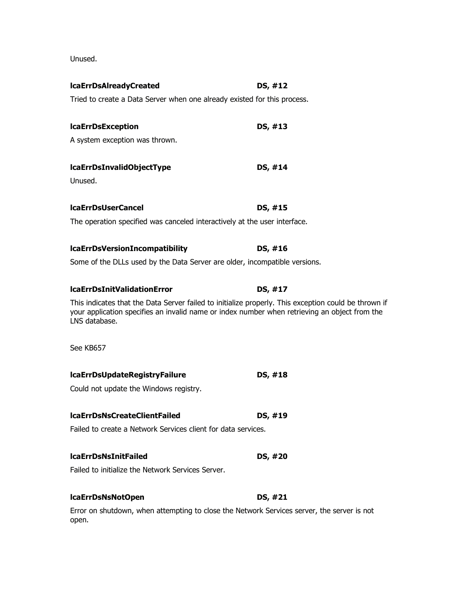Unused.

| <b>IcaErrDsAIreadyCreated</b>                                                              | DS, #12                                                                                                                                                                                               |
|--------------------------------------------------------------------------------------------|-------------------------------------------------------------------------------------------------------------------------------------------------------------------------------------------------------|
| Tried to create a Data Server when one already existed for this process.                   |                                                                                                                                                                                                       |
| <b>IcaErrDsException</b>                                                                   | DS, #13                                                                                                                                                                                               |
| A system exception was thrown.                                                             |                                                                                                                                                                                                       |
| lcaErrDsInvalidObjectType                                                                  | DS, #14                                                                                                                                                                                               |
| Unused.                                                                                    |                                                                                                                                                                                                       |
| <b>IcaErrDsUserCancel</b>                                                                  | DS, #15                                                                                                                                                                                               |
| The operation specified was canceled interactively at the user interface.                  |                                                                                                                                                                                                       |
| <b>IcaErrDsVersionIncompatibility</b>                                                      | DS, #16                                                                                                                                                                                               |
| Some of the DLLs used by the Data Server are older, incompatible versions.                 |                                                                                                                                                                                                       |
| <b>IcaErrDsInitValidationError</b>                                                         | DS, #17                                                                                                                                                                                               |
| LNS database.                                                                              | This indicates that the Data Server failed to initialize properly. This exception could be thrown if<br>your application specifies an invalid name or index number when retrieving an object from the |
| See KB657                                                                                  |                                                                                                                                                                                                       |
| <b>IcaErrDsUpdateRegistryFailure</b>                                                       | DS, #18                                                                                                                                                                                               |
| Could not update the Windows registry.                                                     |                                                                                                                                                                                                       |
| <b>IcaErrDsNsCreateClientFailed</b>                                                        | DS. #19                                                                                                                                                                                               |
| Failed to create a Network Services client for data services.                              |                                                                                                                                                                                                       |
| <b>IcaErrDsNsInitFailed</b>                                                                | DS, #20                                                                                                                                                                                               |
| Failed to initialize the Network Services Server.                                          |                                                                                                                                                                                                       |
| <b>IcaErrDsNsNotOpen</b>                                                                   | DS, #21                                                                                                                                                                                               |
| Error on shutdown, when attempting to close the Network Services server, the server is not |                                                                                                                                                                                                       |

on shutdown, when attempting to close the Network Services server, the server is not open.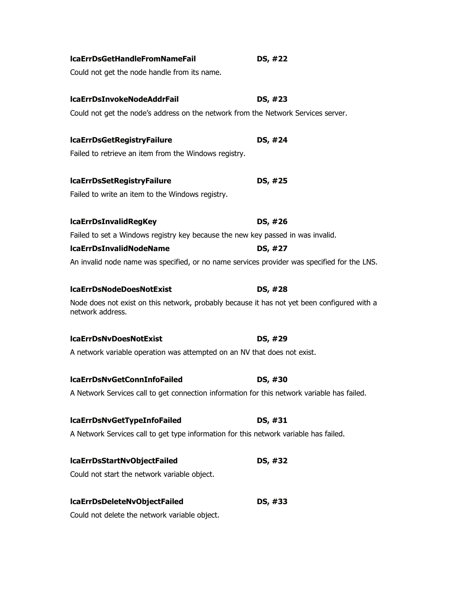| <b>IcaErrDsGetHandleFromNameFail</b>                                                                            | DS, #22 |  |
|-----------------------------------------------------------------------------------------------------------------|---------|--|
| Could not get the node handle from its name.                                                                    |         |  |
| <b>IcaErrDsInvokeNodeAddrFail</b>                                                                               | DS, #23 |  |
| Could not get the node's address on the network from the Network Services server.                               |         |  |
| <b>IcaErrDsGetRegistryFailure</b>                                                                               | DS, #24 |  |
| Failed to retrieve an item from the Windows registry.                                                           |         |  |
| <b>IcaErrDsSetRegistryFailure</b>                                                                               | DS, #25 |  |
|                                                                                                                 |         |  |
| Failed to write an item to the Windows registry.                                                                |         |  |
| <b>IcaErrDsInvalidRegKey</b>                                                                                    | DS, #26 |  |
| Failed to set a Windows registry key because the new key passed in was invalid.                                 |         |  |
| <b>IcaErrDsInvalidNodeName</b>                                                                                  | DS, #27 |  |
| An invalid node name was specified, or no name services provider was specified for the LNS.                     |         |  |
| <b>IcaErrDsNodeDoesNotExist</b>                                                                                 | DS, #28 |  |
| Node does not exist on this network, probably because it has not yet been configured with a<br>network address. |         |  |
| <b>IcaErrDsNvDoesNotExist</b>                                                                                   | DS, #29 |  |
| A network variable operation was attempted on an NV that does not exist.                                        |         |  |
| <b>IcaErrDsNvGetConnInfoFailed</b>                                                                              | DS, #30 |  |
| A Network Services call to get connection information for this network variable has failed.                     |         |  |
| lcaErrDsNvGetTypeInfoFailed                                                                                     | DS, #31 |  |
|                                                                                                                 |         |  |
| A Network Services call to get type information for this network variable has failed.                           |         |  |
| lcaErrDsStartNvObjectFailed                                                                                     | DS, #32 |  |
| Could not start the network variable object.                                                                    |         |  |
| lcaErrDsDeleteNvObjectFailed                                                                                    | DS, #33 |  |
| Could not delete the network variable object.                                                                   |         |  |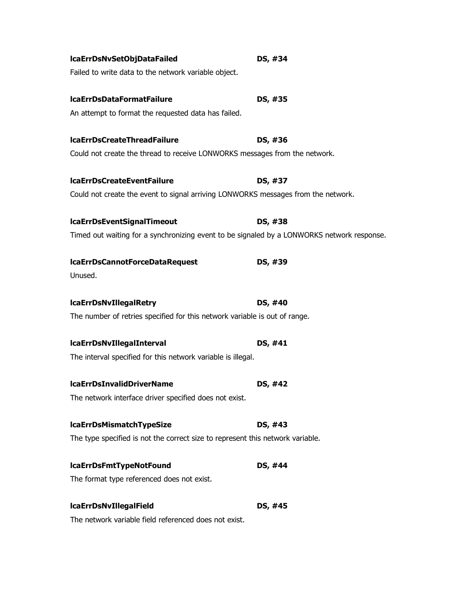| lcaErrDsNvSetObjDataFailed                                                                 | DS, #34 |
|--------------------------------------------------------------------------------------------|---------|
| Failed to write data to the network variable object.                                       |         |
| IcaErrDsDataFormatFailure                                                                  | DS, #35 |
| An attempt to format the requested data has failed.                                        |         |
| <b>IcaErrDsCreateThreadFailure</b>                                                         | DS, #36 |
| Could not create the thread to receive LONWORKS messages from the network.                 |         |
| <b>IcaErrDsCreateEventFailure</b>                                                          | DS, #37 |
| Could not create the event to signal arriving LONWORKS messages from the network.          |         |
| <b>IcaErrDsEventSignalTimeout</b>                                                          | DS, #38 |
| Timed out waiting for a synchronizing event to be signaled by a LONWORKS network response. |         |
| IcaErrDsCannotForceDataRequest                                                             | DS, #39 |
| Unused.                                                                                    |         |
| <b>IcaErrDsNvIllegalRetry</b>                                                              | DS, #40 |
| The number of retries specified for this network variable is out of range.                 |         |
| <b>IcaErrDsNvIllegalInterval</b>                                                           | DS, #41 |
| The interval specified for this network variable is illegal.                               |         |
| <b>IcaErrDsInvalidDriverName</b>                                                           | DS, #42 |
| The network interface driver specified does not exist.                                     |         |
| <b>IcaErrDsMismatchTypeSize</b>                                                            | DS, #43 |
| The type specified is not the correct size to represent this network variable.             |         |
| <b>IcaErrDsFmtTypeNotFound</b>                                                             | DS, #44 |
| The format type referenced does not exist.                                                 |         |
| <b>IcaErrDsNvIllegalField</b>                                                              | DS, #45 |
|                                                                                            |         |

The network variable field referenced does not exist.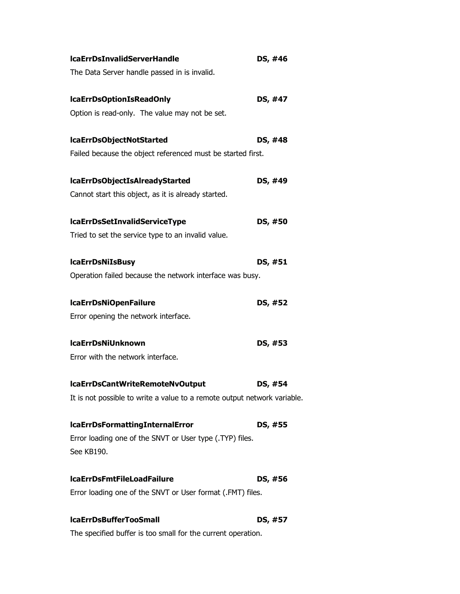| <b>IcaErrDsInvalidServerHandle</b>                                       | DS, #46 |
|--------------------------------------------------------------------------|---------|
| The Data Server handle passed in is invalid.                             |         |
| <b>IcaErrDsOptionIsReadOnly</b>                                          | DS, #47 |
| Option is read-only. The value may not be set.                           |         |
| lcaErrDsObjectNotStarted                                                 | DS, #48 |
| Failed because the object referenced must be started first.              |         |
| lcaErrDsObjectIsAlreadyStarted                                           | DS, #49 |
| Cannot start this object, as it is already started.                      |         |
| <b>IcaErrDsSetInvalidServiceType</b>                                     | DS, #50 |
| Tried to set the service type to an invalid value.                       |         |
| <b>IcaErrDsNiIsBusy</b>                                                  | DS, #51 |
| Operation failed because the network interface was busy.                 |         |
| <b>IcaErrDsNiOpenFailure</b>                                             | DS, #52 |
| Error opening the network interface.                                     |         |
| <b>IcaErrDsNiUnknown</b>                                                 | DS, #53 |
| Error with the network interface.                                        |         |
| lcaErrDsCantWriteRemoteNvOutput                                          | DS, #54 |
| It is not possible to write a value to a remote output network variable. |         |
| <b>IcaErrDsFormattingInternalError</b>                                   | DS, #55 |
| Error loading one of the SNVT or User type (.TYP) files.                 |         |
| See KB190.                                                               |         |
| <b>IcaErrDsFmtFileLoadFailure</b>                                        | DS, #56 |
| Error loading one of the SNVT or User format (.FMT) files.               |         |
| <b>IcaErrDsBufferTooSmall</b>                                            | DS, #57 |

The specified buffer is too small for the current operation.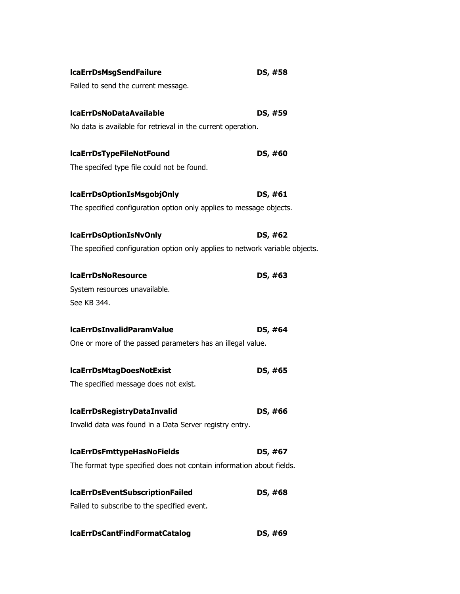| <b>IcaErrDsMsgSendFailure</b>                                                | DS, #58 |
|------------------------------------------------------------------------------|---------|
| Failed to send the current message.                                          |         |
| <b>IcaErrDsNoDataAvailable</b>                                               | DS, #59 |
| No data is available for retrieval in the current operation.                 |         |
| <b>IcaErrDsTypeFileNotFound</b>                                              | DS, #60 |
| The specifed type file could not be found.                                   |         |
| lcaErrDsOptionIsMsgobjOnly                                                   | DS, #61 |
| The specified configuration option only applies to message objects.          |         |
| <b>IcaErrDsOptionIsNvOnly</b>                                                | DS, #62 |
| The specified configuration option only applies to network variable objects. |         |
| <b>IcaErrDsNoResource</b>                                                    | DS, #63 |
| System resources unavailable.                                                |         |
| See KB 344.                                                                  |         |
| <b>IcaErrDsInvalidParamValue</b>                                             | DS, #64 |
| One or more of the passed parameters has an illegal value.                   |         |
| lcaErrDsMtagDoesNotExist                                                     | DS, #65 |
| The specified message does not exist.                                        |         |
| <b>IcaErrDsRegistryDataInvalid</b>                                           | DS, #66 |
| Invalid data was found in a Data Server registry entry.                      |         |
| <b>IcaErrDsFmttypeHasNoFields</b>                                            | DS, #67 |
|                                                                              |         |
| The format type specified does not contain information about fields.         |         |
| <b>IcaErrDsEventSubscriptionFailed</b>                                       | DS, #68 |
| Failed to subscribe to the specified event.                                  |         |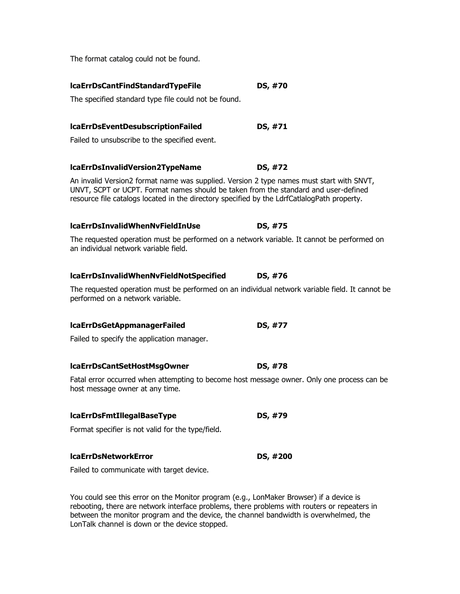The format catalog could not be found.

| IcaErrDsCantFindStandardTypeFile                                                                                                                                                                                                                                               | DS, #70  |
|--------------------------------------------------------------------------------------------------------------------------------------------------------------------------------------------------------------------------------------------------------------------------------|----------|
| The specified standard type file could not be found.                                                                                                                                                                                                                           |          |
| IcaErrDsEventDesubscriptionFailed                                                                                                                                                                                                                                              | DS, #71  |
| Failed to unsubscribe to the specified event.                                                                                                                                                                                                                                  |          |
| lcaErrDsInvalidVersion2TypeName                                                                                                                                                                                                                                                | DS, #72  |
| An invalid Version2 format name was supplied. Version 2 type names must start with SNVT,<br>UNVT, SCPT or UCPT. Format names should be taken from the standard and user-defined<br>resource file catalogs located in the directory specified by the LdrfCatlalogPath property. |          |
| lcaErrDsInvalidWhenNvFieldInUse                                                                                                                                                                                                                                                | DS, #75  |
| The requested operation must be performed on a network variable. It cannot be performed on<br>an individual network variable field.                                                                                                                                            |          |
| lcaErrDsInvalidWhenNvFieldNotSpecified                                                                                                                                                                                                                                         | DS, #76  |
| The requested operation must be performed on an individual network variable field. It cannot be<br>performed on a network variable.                                                                                                                                            |          |
| lcaErrDsGetAppmanagerFailed                                                                                                                                                                                                                                                    | DS, #77  |
| Failed to specify the application manager.                                                                                                                                                                                                                                     |          |
| lcaErrDsCantSetHostMsgOwner                                                                                                                                                                                                                                                    | DS, #78  |
| Fatal error occurred when attempting to become host message owner. Only one process can be<br>host message owner at any time.                                                                                                                                                  |          |
| <b>IcaErrDsFmtIllegalBaseType</b>                                                                                                                                                                                                                                              | DS, #79  |
| Format specifier is not valid for the type/field.                                                                                                                                                                                                                              |          |
| <b>IcaErrDsNetworkError</b>                                                                                                                                                                                                                                                    | DS, #200 |
| Failed to communicate with target device.                                                                                                                                                                                                                                      |          |

You could see this error on the Monitor program (e.g., LonMaker Browser) if a device is rebooting, there are network interface problems, there problems with routers or repeaters in between the monitor program and the device, the channel bandwidth is overwhelmed, the LonTalk channel is down or the device stopped.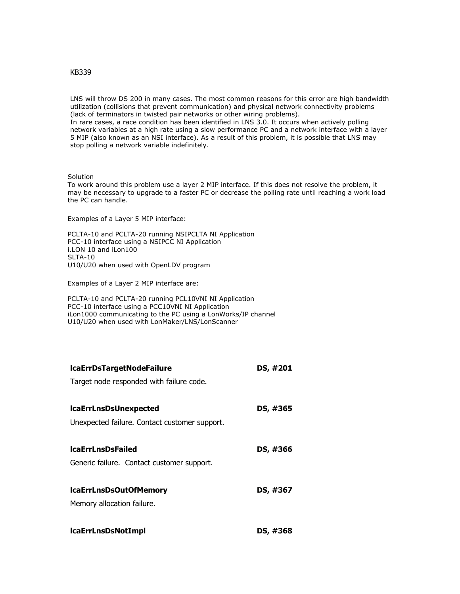## KB339

LNS will throw DS 200 in many cases. The most common reasons for this error are high bandwidth utilization (collisions that prevent communication) and physical network connectivity problems (lack of terminators in twisted pair networks or other wiring problems).

In rare cases, a race condition has been identified in LNS 3.0. It occurs when actively polling network variables at a high rate using a slow performance PC and a network interface with a layer 5 MIP (also known as an NSI interface). As a result of this problem, it is possible that LNS may stop polling a network variable indefinitely.

## Solution

To work around this problem use a layer 2 MIP interface. If this does not resolve the problem, it may be necessary to upgrade to a faster PC or decrease the polling rate until reaching a work load the PC can handle.

Examples of a Layer 5 MIP interface:

PCLTA-10 and PCLTA-20 running NSIPCLTA NI Application PCC-10 interface using a NSIPCC NI Application i.LON 10 and iLon100 SLTA-10 U10/U20 when used with OpenLDV program

Examples of a Layer 2 MIP interface are:

PCLTA-10 and PCLTA-20 running PCL10VNI NI Application PCC-10 interface using a PCC10VNI NI Application iLon1000 communicating to the PC using a LonWorks/IP channel U10/U20 when used with LonMaker/LNS/LonScanner

| DS, #201 |
|----------|
|          |
|          |
| DS, #365 |
|          |
|          |
| DS, #366 |
|          |
|          |
| DS, #367 |
|          |
| DS, #368 |
|          |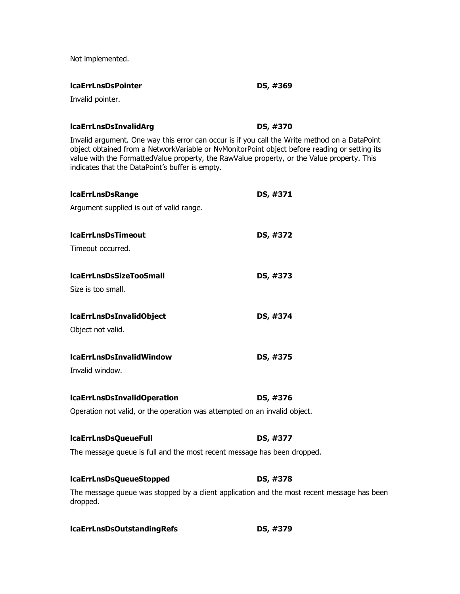Not implemented.

## **lcaErrLnsDsPointer DS, #369**

Invalid pointer.

# **lcaErrLnsDsInvalidArg DS, #370**

Invalid argument. One way this error can occur is if you call the Write method on a DataPoint object obtained from a NetworkVariable or NvMonitorPoint object before reading or setting its value with the FormattedValue property, the RawValue property, or the Value property. This indicates that the DataPoint's buffer is empty.

| <b>IcaErrLnsDsRange</b>                                                                                | DS, #371 |
|--------------------------------------------------------------------------------------------------------|----------|
| Argument supplied is out of valid range.                                                               |          |
| <b>IcaErrLnsDsTimeout</b>                                                                              | DS, #372 |
| Timeout occurred.                                                                                      |          |
| <b>IcaErrLnsDsSizeTooSmall</b>                                                                         | DS, #373 |
| Size is too small.                                                                                     |          |
| lcaErrLnsDsInvalidObject                                                                               | DS, #374 |
| Object not valid.                                                                                      |          |
| <b>IcaErrLnsDsInvalidWindow</b>                                                                        | DS, #375 |
| Invalid window.                                                                                        |          |
| <b>IcaErrLnsDsInvalidOperation</b>                                                                     | DS, #376 |
| Operation not valid, or the operation was attempted on an invalid object.                              |          |
| <b>IcaErrLnsDsQueueFull</b>                                                                            | DS, #377 |
| The message queue is full and the most recent message has been dropped.                                |          |
| lcaErrLnsDsQueueStopped                                                                                | DS, #378 |
| The message queue was stopped by a client application and the most recent message has been<br>dropped. |          |

| lcaErrLnsDsOutstandingRefs | DS, #379 |
|----------------------------|----------|
|----------------------------|----------|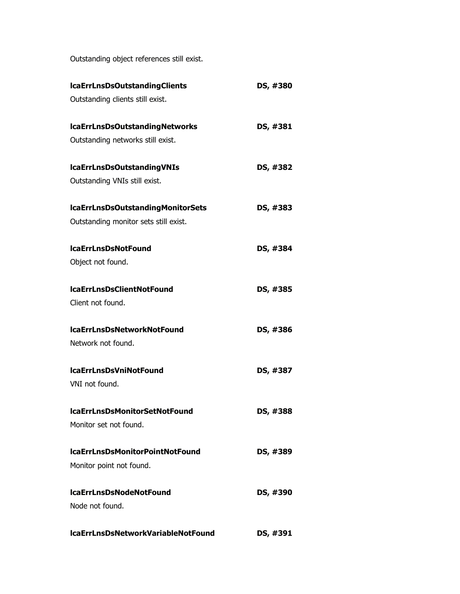Outstanding object references still exist.

| <b>IcaErrLnsDsOutstandingClients</b>  | DS, #380 |
|---------------------------------------|----------|
| Outstanding clients still exist.      |          |
| lcaErrLnsDsOutstandingNetworks        | DS, #381 |
| Outstanding networks still exist.     |          |
| lcaErrLnsDsOutstandingVNIs            | DS, #382 |
| Outstanding VNIs still exist.         |          |
| IcaErrLnsDsOutstandingMonitorSets     | DS, #383 |
| Outstanding monitor sets still exist. |          |
| <b>IcaErrLnsDsNotFound</b>            | DS, #384 |
| Object not found.                     |          |
| <b>IcaErrLnsDsClientNotFound</b>      | DS, #385 |
| Client not found.                     |          |
| <b>IcaErrLnsDsNetworkNotFound</b>     | DS, #386 |
| Network not found.                    |          |
| <b>IcaErrLnsDsVniNotFound</b>         | DS, #387 |
| VNI not found.                        |          |
| <b>IcaErrLnsDsMonitorSetNotFound</b>  | DS, #388 |
| Monitor set not found.                |          |
| IcaErrLnsDsMonitorPointNotFound       | DS, #389 |
| Monitor point not found.              |          |
| <b>IcaErrLnsDsNodeNotFound</b>        | DS, #390 |
| Node not found.                       |          |
| IcaErrLnsDsNetworkVariableNotFound    | DS, #391 |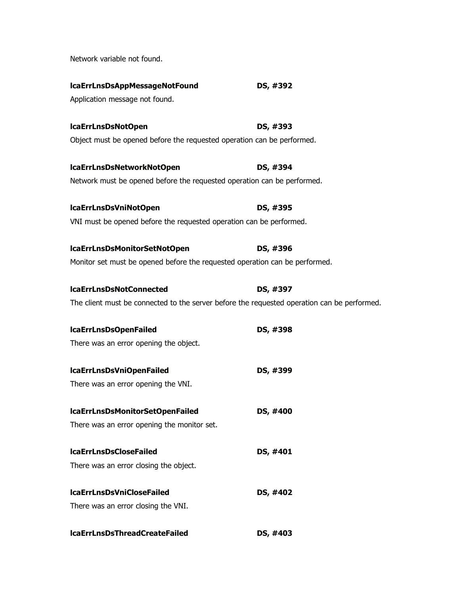Network variable not found.

| lcaErrLnsDsAppMessageNotFound                                                               | DS, #392 |
|---------------------------------------------------------------------------------------------|----------|
| Application message not found.                                                              |          |
| IcaErrLnsDsNotOpen                                                                          | DS, #393 |
| Object must be opened before the requested operation can be performed.                      |          |
| IcaErrLnsDsNetworkNotOpen                                                                   | DS, #394 |
| Network must be opened before the requested operation can be performed.                     |          |
| IcaErrLnsDsVniNotOpen                                                                       | DS, #395 |
| VNI must be opened before the requested operation can be performed.                         |          |
| IcaErrLnsDsMonitorSetNotOpen                                                                | DS, #396 |
| Monitor set must be opened before the requested operation can be performed.                 |          |
| <b>IcaErrLnsDsNotConnected</b>                                                              | DS, #397 |
| The client must be connected to the server before the requested operation can be performed. |          |
| <b>IcaErrLnsDsOpenFailed</b>                                                                | DS, #398 |
| There was an error opening the object.                                                      |          |
| IcaErrLnsDsVniOpenFailed                                                                    | DS, #399 |
| There was an error opening the VNI.                                                         |          |
| IcaErrLnsDsMonitorSetOpenFailed                                                             | DS, #400 |
| There was an error opening the monitor set.                                                 |          |
| <b>IcaErrLnsDsCloseFailed</b>                                                               | DS, #401 |
| There was an error closing the object.                                                      |          |
| <b>IcaErrLnsDsVniCloseFailed</b>                                                            | DS, #402 |
| There was an error closing the VNI.                                                         |          |
| <b>IcaErrLnsDsThreadCreateFailed</b>                                                        | DS, #403 |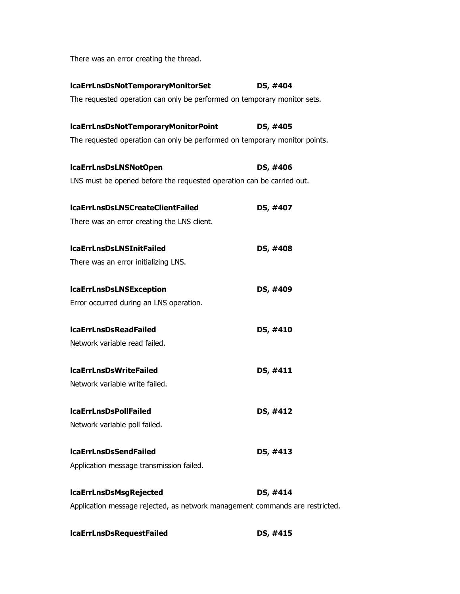There was an error creating the thread.

| lcaErrLnsDsNotTemporaryMonitorSet                                            | DS, #404 |
|------------------------------------------------------------------------------|----------|
| The requested operation can only be performed on temporary monitor sets.     |          |
| lcaErrLnsDsNotTemporaryMonitorPoint                                          | DS, #405 |
| The requested operation can only be performed on temporary monitor points.   |          |
| lcaErrLnsDsLNSNotOpen                                                        | DS, #406 |
| LNS must be opened before the requested operation can be carried out.        |          |
| <b>IcaErrLnsDsLNSCreateClientFailed</b>                                      | DS, #407 |
| There was an error creating the LNS client.                                  |          |
| <b>IcaErrLnsDsLNSInitFailed</b>                                              | DS, #408 |
| There was an error initializing LNS.                                         |          |
| <b>IcaErrLnsDsLNSException</b>                                               | DS, #409 |
| Error occurred during an LNS operation.                                      |          |
| <b>IcaErrLnsDsReadFailed</b>                                                 | DS, #410 |
| Network variable read failed.                                                |          |
| <b>IcaErrLnsDsWriteFailed</b>                                                | DS, #411 |
| Network variable write failed.                                               |          |
| <b>IcaErrLnsDsPollFailed</b>                                                 | DS, #412 |
| Network variable poll failed.                                                |          |
| <b>IcaErrLnsDsSendFailed</b>                                                 | DS, #413 |
| Application message transmission failed.                                     |          |
| <b>IcaErrLnsDsMsgRejected</b>                                                | DS, #414 |
| Application message rejected, as network management commands are restricted. |          |

| <b>IcaErrLnsDsRequestFailed</b> | DS, #415 |
|---------------------------------|----------|
|---------------------------------|----------|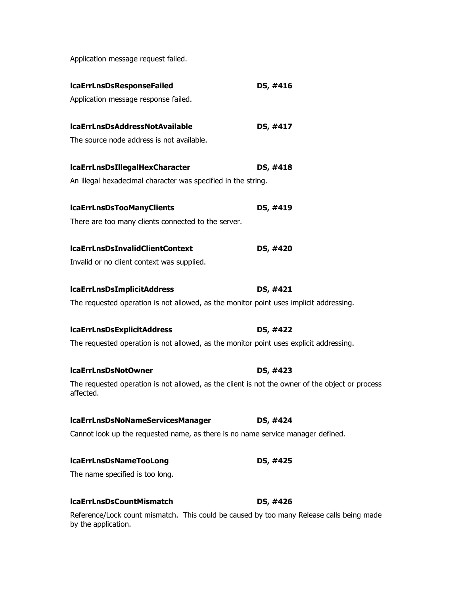Application message request failed.

| <b>IcaErrLnsDsResponseFailed</b>                                                                                | DS, #416 |
|-----------------------------------------------------------------------------------------------------------------|----------|
| Application message response failed.                                                                            |          |
| <b>IcaErrLnsDsAddressNotAvailable</b>                                                                           | DS, #417 |
| The source node address is not available.                                                                       |          |
| <b>IcaErrLnsDsIllegalHexCharacter</b>                                                                           | DS, #418 |
| An illegal hexadecimal character was specified in the string.                                                   |          |
| <b>IcaErrLnsDsTooManyClients</b>                                                                                | DS, #419 |
| There are too many clients connected to the server.                                                             |          |
| <b>IcaErrLnsDsInvalidClientContext</b>                                                                          | DS, #420 |
| Invalid or no client context was supplied.                                                                      |          |
| <b>IcaErrLnsDsImplicitAddress</b>                                                                               | DS, #421 |
| The requested operation is not allowed, as the monitor point uses implicit addressing.                          |          |
| <b>IcaErrLnsDsExplicitAddress</b>                                                                               | DS, #422 |
| The requested operation is not allowed, as the monitor point uses explicit addressing.                          |          |
| lcaErrLnsDsNotOwner                                                                                             | DS, #423 |
| The requested operation is not allowed, as the client is not the owner of the object or process<br>affected.    |          |
| IcaErrLnsDsNoNameServicesManager                                                                                | DS, #424 |
| Cannot look up the requested name, as there is no name service manager defined.                                 |          |
| <b>IcaErrLnsDsNameTooLong</b>                                                                                   | DS, #425 |
| The name specified is too long.                                                                                 |          |
| <b>IcaErrLnsDsCountMismatch</b>                                                                                 | DS, #426 |
| Reference/Lock count mismatch. This could be caused by too many Release calls being made<br>by the application. |          |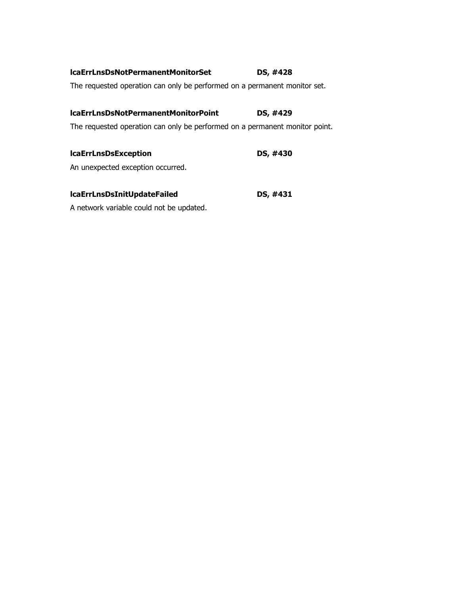| DS, #428 |  |
|----------|--|
|          |  |

The requested operation can only be performed on a permanent monitor set.

# **lcaErrLnsDsNotPermanentMonitorPoint DS, #429**

The requested operation can only be performed on a permanent monitor point.

| <b>IcaErrLnsDsException</b>       | DS, #430 |
|-----------------------------------|----------|
| An unexpected exception occurred. |          |

| lcaErrLnsDsInitUpdateFailed | DS, #431 |
|-----------------------------|----------|
|                             |          |

A network variable could not be updated.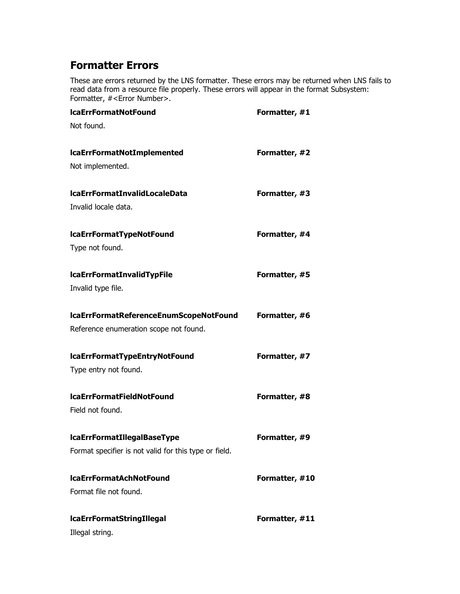## **Formatter Errors**

These are errors returned by the LNS formatter. These errors may be returned when LNS fails to read data from a resource file properly. These errors will appear in the format Subsystem: Formatter, #<Error Number>.

| <b>IcaErrFormatNotFound</b>                           | Formatter, #1  |
|-------------------------------------------------------|----------------|
| Not found.                                            |                |
| <b>IcaErrFormatNotImplemented</b>                     | Formatter, #2  |
| Not implemented.                                      |                |
| <b>IcaErrFormatInvalidLocaleData</b>                  | Formatter, #3  |
| Invalid locale data.                                  |                |
| <b>IcaErrFormatTypeNotFound</b>                       | Formatter, #4  |
| Type not found.                                       |                |
| <b>IcaErrFormatInvalidTypFile</b>                     | Formatter, #5  |
| Invalid type file.                                    |                |
| IcaErrFormatReferenceEnumScopeNotFound                | Formatter, #6  |
| Reference enumeration scope not found.                |                |
| lcaErrFormatTypeEntryNotFound                         | Formatter, #7  |
| Type entry not found.                                 |                |
| <b>IcaErrFormatFieldNotFound</b>                      | Formatter, #8  |
| Field not found.                                      |                |
| <b>IcaErrFormatIllegalBaseType</b>                    | Formatter, #9  |
| Format specifier is not valid for this type or field. |                |
| <b>IcaErrFormatAchNotFound</b>                        | Formatter, #10 |
| Format file not found.                                |                |
| <b>IcaErrFormatStringIllegal</b>                      | Formatter, #11 |
| Illegal string.                                       |                |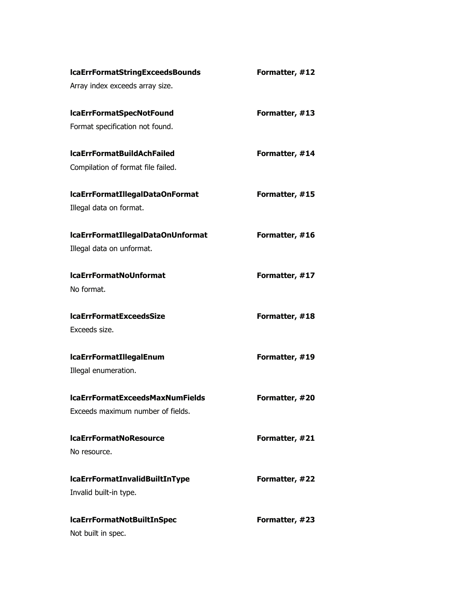| <b>IcaErrFormatStringExceedsBounds</b> | Formatter, #12 |
|----------------------------------------|----------------|
| Array index exceeds array size.        |                |
| <b>IcaErrFormatSpecNotFound</b>        | Formatter, #13 |
| Format specification not found.        |                |
| <b>IcaErrFormatBuildAchFailed</b>      | Formatter, #14 |
| Compilation of format file failed.     |                |
| IcaErrFormatIllegalDataOnFormat        | Formatter, #15 |
| Illegal data on format.                |                |
| IcaErrFormatIllegalDataOnUnformat      | Formatter, #16 |
| Illegal data on unformat.              |                |
| <b>IcaErrFormatNoUnformat</b>          | Formatter, #17 |
| No format.                             |                |
| <b>IcaErrFormatExceedsSize</b>         | Formatter, #18 |
| Exceeds size.                          |                |
| <b>IcaErrFormatIllegalEnum</b>         | Formatter, #19 |
| Illegal enumeration.                   |                |
| <b>IcaErrFormatExceedsMaxNumFields</b> | Formatter, #20 |
| Exceeds maximum number of fields.      |                |
| <b>IcaErrFormatNoResource</b>          | Formatter, #21 |
|                                        |                |
| No resource.                           |                |
| <b>IcaErrFormatInvalidBuiltInType</b>  | Formatter, #22 |
| Invalid built-in type.                 |                |
| lcaErrFormatNotBuiltInSpec             | Formatter, #23 |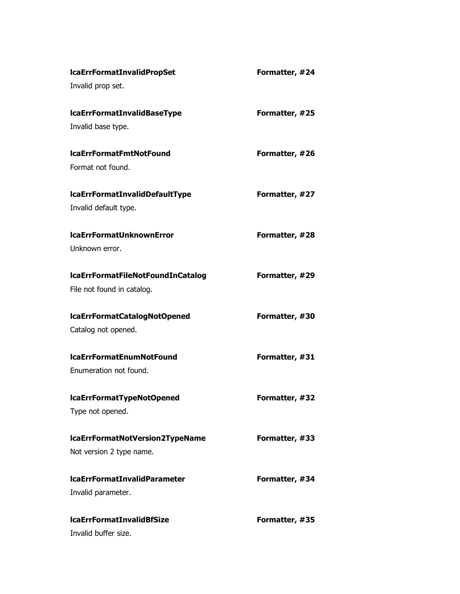| <b>IcaErrFormatInvalidPropSet</b>     | Formatter, #24 |
|---------------------------------------|----------------|
| Invalid prop set.                     |                |
| <b>IcaErrFormatInvalidBaseType</b>    | Formatter, #25 |
| Invalid base type.                    |                |
| <b>IcaErrFormatFmtNotFound</b>        | Formatter, #26 |
| Format not found.                     |                |
| <b>IcaErrFormatInvalidDefaultType</b> | Formatter, #27 |
| Invalid default type.                 |                |
| <b>IcaErrFormatUnknownError</b>       | Formatter, #28 |
| Unknown error.                        |                |
| IcaErrFormatFileNotFoundInCatalog     | Formatter, #29 |
| File not found in catalog.            |                |
| IcaErrFormatCatalogNotOpened          | Formatter, #30 |
| Catalog not opened.                   |                |
| <b>IcaErrFormatEnumNotFound</b>       | Formatter, #31 |
| Enumeration not found.                |                |
| lcaErrFormatTypeNotOpened             | Formatter, #32 |
| Type not opened.                      |                |
| IcaErrFormatNotVersion2TypeName       | Formatter, #33 |
| Not version 2 type name.              |                |
| <b>IcaErrFormatInvalidParameter</b>   | Formatter, #34 |
| Invalid parameter.                    |                |
| <b>IcaErrFormatInvalidBfSize</b>      | Formatter, #35 |
| Invalid buffer size.                  |                |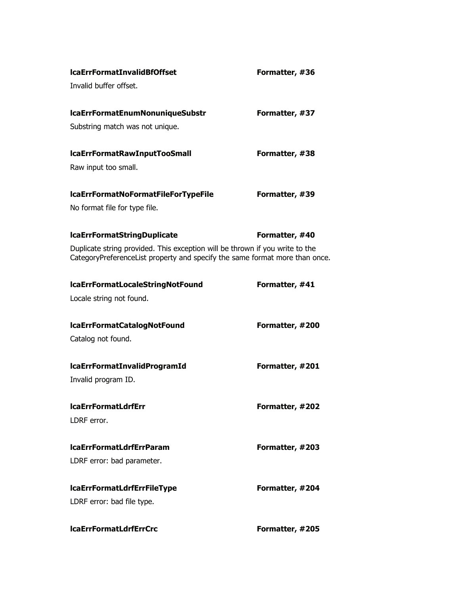| <b>IcaErrFormatInvalidBfOffset</b>                                                                                                                          | Formatter, #36  |
|-------------------------------------------------------------------------------------------------------------------------------------------------------------|-----------------|
| Invalid buffer offset.                                                                                                                                      |                 |
| IcaErrFormatEnumNonuniqueSubstr                                                                                                                             | Formatter, #37  |
| Substring match was not unique.                                                                                                                             |                 |
| lcaErrFormatRawInputTooSmall                                                                                                                                | Formatter, #38  |
| Raw input too small.                                                                                                                                        |                 |
| IcaErrFormatNoFormatFileForTypeFile                                                                                                                         | Formatter, #39  |
| No format file for type file.                                                                                                                               |                 |
| <b>IcaErrFormatStringDuplicate</b>                                                                                                                          | Formatter, #40  |
| Duplicate string provided. This exception will be thrown if you write to the<br>CategoryPreferenceList property and specify the same format more than once. |                 |
| lcaErrFormatLocaleStringNotFound                                                                                                                            | Formatter, #41  |
| Locale string not found.                                                                                                                                    |                 |
| IcaErrFormatCatalogNotFound                                                                                                                                 | Formatter, #200 |
| Catalog not found.                                                                                                                                          |                 |
| <b>IcaErrFormatInvalidProgramId</b>                                                                                                                         | Formatter, #201 |
| Invalid program ID.                                                                                                                                         |                 |
| <b>IcaErrFormatLdrfErr</b>                                                                                                                                  | Formatter, #202 |
| LDRF error.                                                                                                                                                 |                 |
| <b>IcaErrFormatLdrfErrParam</b>                                                                                                                             | Formatter, #203 |
| LDRF error: bad parameter.                                                                                                                                  |                 |
| <b>IcaErrFormatLdrfErrFileType</b>                                                                                                                          | Formatter, #204 |
| LDRF error: bad file type.                                                                                                                                  |                 |
| <b>IcaErrFormatLdrfErrCrc</b>                                                                                                                               | Formatter, #205 |
|                                                                                                                                                             |                 |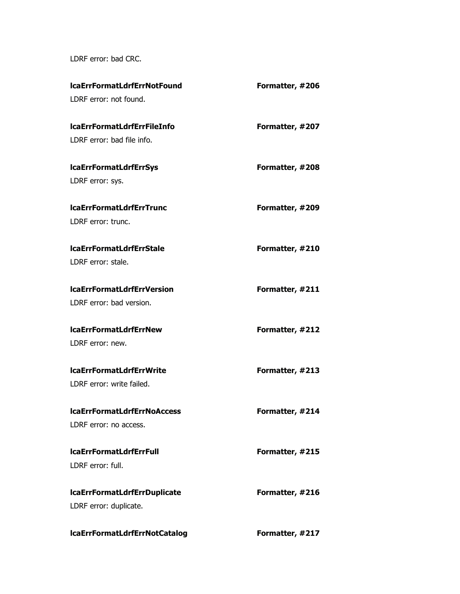LDRF error: bad CRC.

| lcaErrFormatLdrfErrNotFound          | Formatter, #206 |
|--------------------------------------|-----------------|
| LDRF error: not found.               |                 |
| <b>IcaErrFormatLdrfErrFileInfo</b>   | Formatter, #207 |
| LDRF error: bad file info.           |                 |
| <b>IcaErrFormatLdrfErrSys</b>        | Formatter, #208 |
| LDRF error: sys.                     |                 |
| <b>IcaErrFormatLdrfErrTrunc</b>      | Formatter, #209 |
| LDRF error: trunc.                   |                 |
| <b>IcaErrFormatLdrfErrStale</b>      | Formatter, #210 |
| LDRF error: stale.                   |                 |
| <b>IcaErrFormatLdrfErrVersion</b>    | Formatter, #211 |
| LDRF error: bad version.             |                 |
| <b>IcaErrFormatLdrfErrNew</b>        | Formatter, #212 |
| LDRF error: new.                     |                 |
| <b>IcaErrFormatLdrfErrWrite</b>      | Formatter, #213 |
| LDRF error: write failed.            |                 |
| <b>IcaErrFormatLdrfErrNoAccess</b>   | Formatter, #214 |
| LDRF error: no access.               |                 |
| <b>IcaErrFormatLdrfErrFull</b>       | Formatter, #215 |
| LDRF error: full.                    |                 |
| <b>IcaErrFormatLdrfErrDuplicate</b>  | Formatter, #216 |
| LDRF error: duplicate.               |                 |
| <b>IcaErrFormatLdrfErrNotCatalog</b> | Formatter, #217 |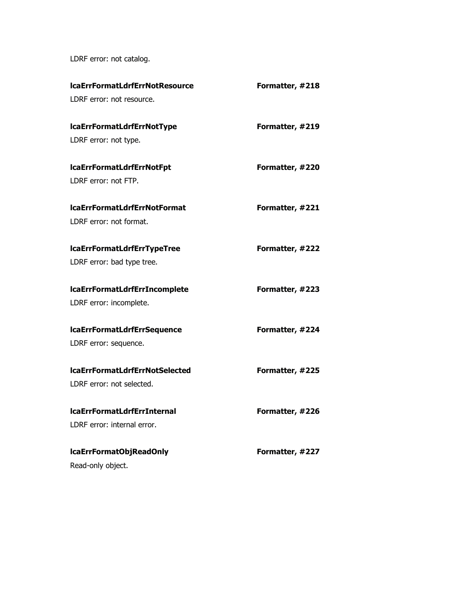LDRF error: not catalog.

| <b>IcaErrFormatLdrfErrNotResource</b> | Formatter, #218 |
|---------------------------------------|-----------------|
| LDRF error: not resource.             |                 |
| lcaErrFormatLdrfErrNotType            | Formatter, #219 |
| LDRF error: not type.                 |                 |
| lcaErrFormatLdrfErrNotFpt             | Formatter, #220 |
| LDRF error: not FTP.                  |                 |
| <b>IcaErrFormatLdrfErrNotFormat</b>   | Formatter, #221 |
| LDRF error: not format.               |                 |
| <b>IcaErrFormatLdrfErrTypeTree</b>    | Formatter, #222 |
| LDRF error: bad type tree.            |                 |
| <b>IcaErrFormatLdrfErrIncomplete</b>  | Formatter, #223 |
| LDRF error: incomplete.               |                 |
| <b>IcaErrFormatLdrfErrSequence</b>    | Formatter, #224 |
| LDRF error: sequence.                 |                 |
| <b>IcaErrFormatLdrfErrNotSelected</b> | Formatter, #225 |
| LDRF error: not selected.             |                 |
| <b>IcaErrFormatLdrfErrInternal</b>    | Formatter, #226 |
| LDRF error: internal error.           |                 |
| IcaErrFormatObjReadOnly               | Formatter, #227 |
| Read-only object.                     |                 |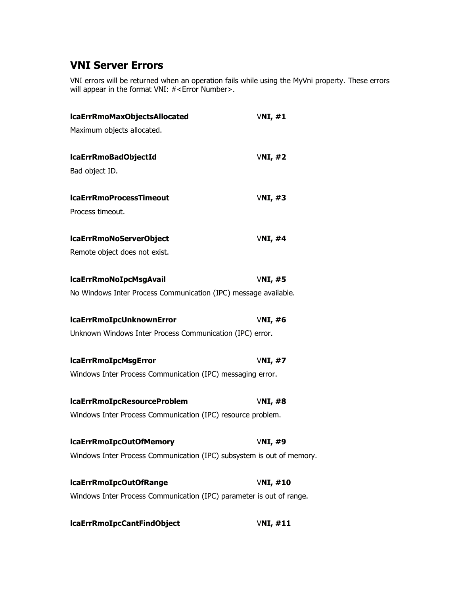## **VNI Server Errors**

VNI errors will be returned when an operation fails while using the MyVni property. These errors will appear in the format VNI: #<Error Number>.

| lcaErrRmoMaxObjectsAllocated                                          | VNI, #1  |
|-----------------------------------------------------------------------|----------|
| Maximum objects allocated.                                            |          |
| lcaErrRmoBadObjectId                                                  | VNI, #2  |
| Bad object ID.                                                        |          |
| <b>IcaErrRmoProcessTimeout</b>                                        | VNI, #3  |
| Process timeout.                                                      |          |
| lcaErrRmoNoServerObject                                               | VNI, #4  |
| Remote object does not exist.                                         |          |
| <b>IcaErrRmoNoIpcMsgAvail</b>                                         | VNI, #5  |
| No Windows Inter Process Communication (IPC) message available.       |          |
| <b>IcaErrRmoIpcUnknownError</b>                                       | VNI, #6  |
| Unknown Windows Inter Process Communication (IPC) error.              |          |
| <b>IcaErrRmoIpcMsgError</b>                                           | VNI, #7  |
| Windows Inter Process Communication (IPC) messaging error.            |          |
| lcaErrRmoIpcResourceProblem                                           | VNI, #8  |
| Windows Inter Process Communication (IPC) resource problem.           |          |
| lcaErrRmoIpcOutOfMemory                                               | VNI, #9  |
| Windows Inter Process Communication (IPC) subsystem is out of memory. |          |
| lcaErrRmoIpcOutOfRange                                                | VNI, #10 |
| Windows Inter Process Communication (IPC) parameter is out of range.  |          |
| lcaErrRmoIpcCantFindObject                                            | VNI, #11 |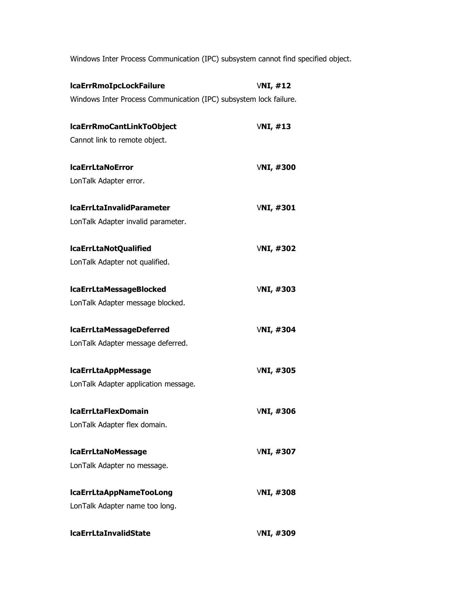Windows Inter Process Communication (IPC) subsystem cannot find specified object.

| <b>IcaErrRmoIpcLockFailure</b>                                    | VNI, #12         |
|-------------------------------------------------------------------|------------------|
| Windows Inter Process Communication (IPC) subsystem lock failure. |                  |
| lcaErrRmoCantLinkToObject                                         | VNI, #13         |
| Cannot link to remote object.                                     |                  |
| <b>IcaErrLtaNoError</b>                                           | VNI, $#300$      |
| LonTalk Adapter error.                                            |                  |
| <b>IcaErrLtaInvalidParameter</b>                                  | <b>VNI, #301</b> |
| LonTalk Adapter invalid parameter.                                |                  |
| IcaErrLtaNotQualified                                             | <b>VNI, #302</b> |
| LonTalk Adapter not qualified.                                    |                  |
| <b>IcaErrLtaMessageBlocked</b>                                    | <b>VNI, #303</b> |
| LonTalk Adapter message blocked.                                  |                  |
| <b>IcaErrLtaMessageDeferred</b>                                   | <b>VNI, #304</b> |
| LonTalk Adapter message deferred.                                 |                  |
| <b>IcaErrLtaAppMessage</b>                                        | <b>VNI, #305</b> |
| LonTalk Adapter application message.                              |                  |
| <b>IcaErrLtaFlexDomain</b>                                        | <b>VNI, #306</b> |
| LonTalk Adapter flex domain.                                      |                  |
| <b>IcaErrLtaNoMessage</b>                                         | <b>VNI, #307</b> |
| LonTalk Adapter no message.                                       |                  |
| <b>IcaErrLtaAppNameTooLong</b>                                    | <b>VNI, #308</b> |
| LonTalk Adapter name too long.                                    |                  |
| <b>IcaErrLtaInvalidState</b>                                      | VNI, #309        |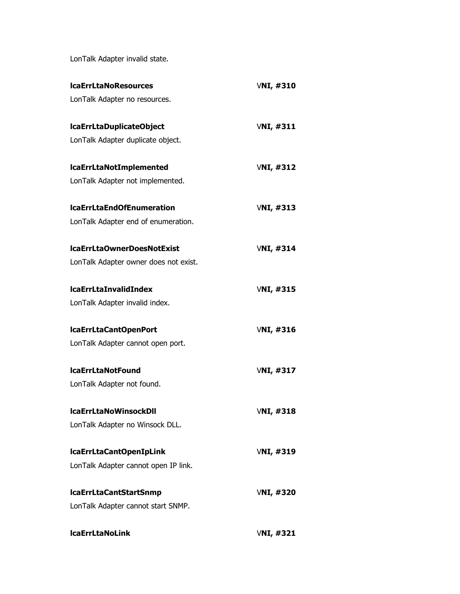LonTalk Adapter invalid state.

| <b>IcaErrLtaNoResources</b>           | VNI, $#310$      |
|---------------------------------------|------------------|
| LonTalk Adapter no resources.         |                  |
| lcaErrLtaDuplicateObject              | VNI, #311        |
| LonTalk Adapter duplicate object.     |                  |
| <b>IcaErrLtaNotImplemented</b>        | <b>VNI, #312</b> |
| LonTalk Adapter not implemented.      |                  |
| <b>IcaErrLtaEndOfEnumeration</b>      | <b>VNI, #313</b> |
| LonTalk Adapter end of enumeration.   |                  |
| IcaErrLtaOwnerDoesNotExist            | <b>VNI, #314</b> |
| LonTalk Adapter owner does not exist. |                  |
| <b>IcaErrLtaInvalidIndex</b>          | <b>VNI, #315</b> |
| LonTalk Adapter invalid index.        |                  |
| IcaErrLtaCantOpenPort                 | <b>VNI, #316</b> |
| LonTalk Adapter cannot open port.     |                  |
| <b>IcaErrLtaNotFound</b>              | <b>VNI, #317</b> |
| LonTalk Adapter not found.            |                  |
| <b>IcaErrLtaNoWinsockDII</b>          | <b>VNI, #318</b> |
| LonTalk Adapter no Winsock DLL.       |                  |
| lcaErrLtaCantOpenIpLink               | <b>VNI, #319</b> |
| LonTalk Adapter cannot open IP link.  |                  |
| <b>IcaErrLtaCantStartSnmp</b>         | <b>VNI, #320</b> |
| LonTalk Adapter cannot start SNMP.    |                  |
| <b>IcaErrLtaNoLink</b>                | <b>VNI, #321</b> |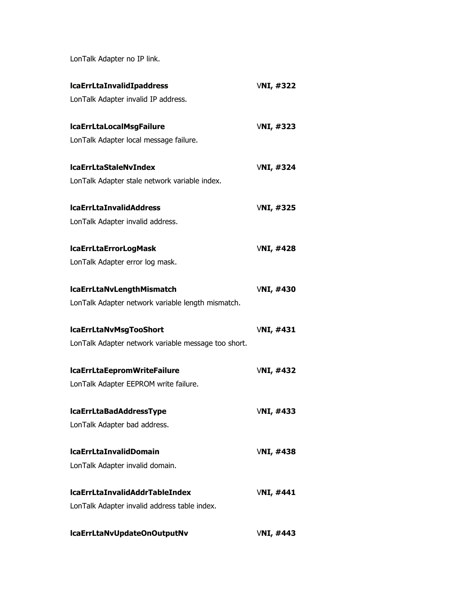LonTalk Adapter no IP link.

| <b>IcaErrLtaInvalidIpaddress</b>                    | <b>VNI, #322</b> |
|-----------------------------------------------------|------------------|
| LonTalk Adapter invalid IP address.                 |                  |
| <b>IcaErrLtaLocalMsgFailure</b>                     | <b>VNI, #323</b> |
| LonTalk Adapter local message failure.              |                  |
| <b>IcaErrLtaStaleNvIndex</b>                        | <b>VNI, #324</b> |
| LonTalk Adapter stale network variable index.       |                  |
| <b>IcaErrLtaInvalidAddress</b>                      | <b>VNI, #325</b> |
| LonTalk Adapter invalid address.                    |                  |
| <b>IcaErrLtaErrorLogMask</b>                        | <b>VNI, #428</b> |
| LonTalk Adapter error log mask.                     |                  |
| <b>IcaErrLtaNvLengthMismatch</b>                    | <b>VNI, #430</b> |
| LonTalk Adapter network variable length mismatch.   |                  |
| <b>IcaErrLtaNvMsgTooShort</b>                       | <b>VNI, #431</b> |
| LonTalk Adapter network variable message too short. |                  |
| IcaErrLtaEepromWriteFailure                         | <b>VNI, #432</b> |
| LonTalk Adapter EEPROM write failure.               |                  |
| <b>IcaErrLtaBadAddressType</b>                      | <b>VNI, #433</b> |
| LonTalk Adapter bad address.                        |                  |
| <b>IcaErrLtaInvalidDomain</b>                       | <b>VNI, #438</b> |
| LonTalk Adapter invalid domain.                     |                  |
| <b>IcaErrLtaInvalidAddrTableIndex</b>               | <b>VNI, #441</b> |
| LonTalk Adapter invalid address table index.        |                  |
| IcaErrLtaNvUpdateOnOutputNv                         | <b>VNI, #443</b> |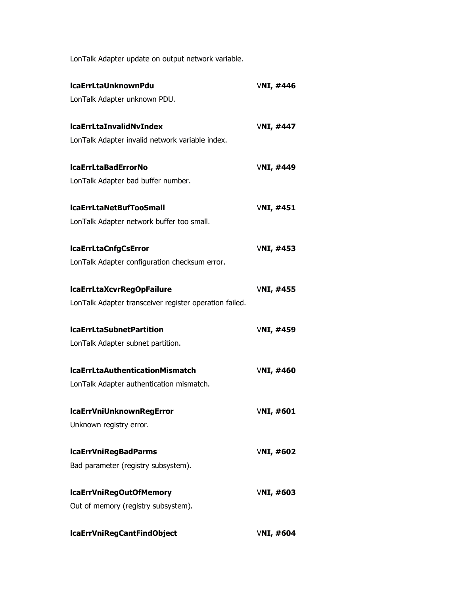LonTalk Adapter update on output network variable.

| <b>IcaErrLtaUnknownPdu</b>                             | <b>VNI, #446</b> |
|--------------------------------------------------------|------------------|
| LonTalk Adapter unknown PDU.                           |                  |
| <b>IcaErrLtaInvalidNvIndex</b>                         | <b>VNI, #447</b> |
| LonTalk Adapter invalid network variable index.        |                  |
| <b>IcaErrLtaBadErrorNo</b>                             | <b>VNI, #449</b> |
| LonTalk Adapter bad buffer number.                     |                  |
| <b>IcaErrLtaNetBufTooSmall</b>                         | <b>VNI, #451</b> |
| LonTalk Adapter network buffer too small.              |                  |
| <b>IcaErrLtaCnfgCsError</b>                            | <b>VNI, #453</b> |
| LonTalk Adapter configuration checksum error.          |                  |
| lcaErrLtaXcvrRegOpFailure                              | <b>VNI, #455</b> |
| LonTalk Adapter transceiver register operation failed. |                  |
| <b>IcaErrLtaSubnetPartition</b>                        | <b>VNI, #459</b> |
| LonTalk Adapter subnet partition.                      |                  |
| <b>IcaErrLtaAuthenticationMismatch</b>                 | <b>VNI, #460</b> |
| LonTalk Adapter authentication mismatch.               |                  |
| <b>IcaErrVniUnknownRegError</b>                        | <b>VNI, #601</b> |
| Unknown registry error.                                |                  |
| <b>IcaErrVniRegBadParms</b>                            | <b>VNI, #602</b> |
| Bad parameter (registry subsystem).                    |                  |
| lcaErrVniRegOutOfMemory                                | <b>VNI, #603</b> |
| Out of memory (registry subsystem).                    |                  |
| lcaErrVniRegCantFindObject                             | <b>VNI, #604</b> |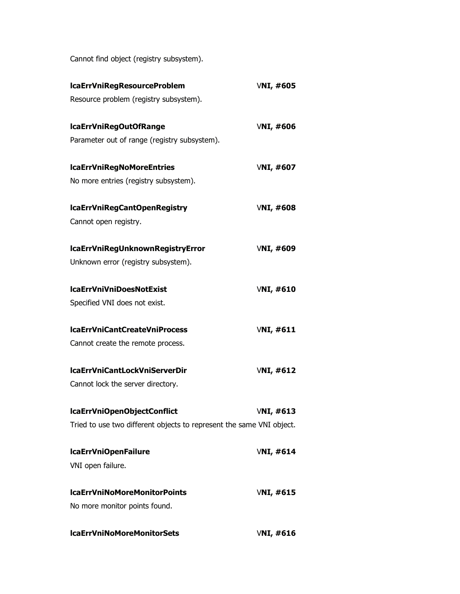Cannot find object (registry subsystem).

| lcaErrVniRegResourceProblem                                          | <b>VNI, #605</b> |
|----------------------------------------------------------------------|------------------|
| Resource problem (registry subsystem).                               |                  |
| IcaErrVniRegOutOfRange                                               | <b>VNI, #606</b> |
| Parameter out of range (registry subsystem).                         |                  |
| <b>IcaErrVniRegNoMoreEntries</b>                                     | VNI, $\#607$     |
| No more entries (registry subsystem).                                |                  |
| IcaErrVniRegCantOpenRegistry                                         | VNI, $\#608$     |
| Cannot open registry.                                                |                  |
| lcaErrVniRegUnknownRegistryError                                     | <b>VNI, #609</b> |
| Unknown error (registry subsystem).                                  |                  |
| <b>IcaErrVniVniDoesNotExist</b>                                      | VNI, $\#610$     |
| Specified VNI does not exist.                                        |                  |
| <b>IcaErrVniCantCreateVniProcess</b>                                 | VNI, $\#611$     |
| Cannot create the remote process.                                    |                  |
| <b>IcaErrVniCantLockVniServerDir</b>                                 | VNI, $\#612$     |
| Cannot lock the server directory.                                    |                  |
| IcaErrVniOpenObjectConflict                                          | VNI, $\#613$     |
| Tried to use two different objects to represent the same VNI object. |                  |
| <b>IcaErrVniOpenFailure</b>                                          | VNI, $\#614$     |
| VNI open failure.                                                    |                  |
| <b>IcaErrVniNoMoreMonitorPoints</b>                                  | <b>VNI, #615</b> |
| No more monitor points found.                                        |                  |
| <b>IcaErrVniNoMoreMonitorSets</b>                                    | VNI, #616        |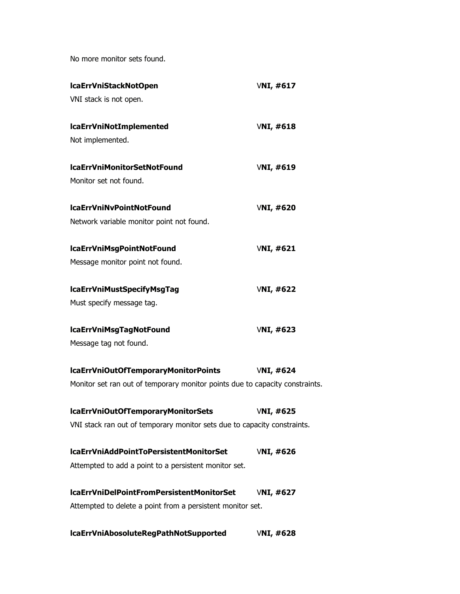No more monitor sets found.

| <b>IcaErrVniStackNotOpen</b>                                                 | VNI, #617        |
|------------------------------------------------------------------------------|------------------|
| VNI stack is not open.                                                       |                  |
| <b>IcaErrVniNotImplemented</b>                                               | <b>VNI, #618</b> |
| Not implemented.                                                             |                  |
| <b>IcaErrVniMonitorSetNotFound</b>                                           | <b>VNI, #619</b> |
| Monitor set not found.                                                       |                  |
| <b>IcaErrVniNvPointNotFound</b>                                              | <b>VNI, #620</b> |
| Network variable monitor point not found.                                    |                  |
| lcaErrVniMsgPointNotFound                                                    | <b>VNI, #621</b> |
| Message monitor point not found.                                             |                  |
| lcaErrVniMustSpecifyMsgTag                                                   | <b>VNI, #622</b> |
| Must specify message tag.                                                    |                  |
| lcaErrVniMsgTagNotFound                                                      | <b>VNI, #623</b> |
| Message tag not found.                                                       |                  |
| lcaErrVniOutOfTemporaryMonitorPoints                                         | VNI, $\#624$     |
| Monitor set ran out of temporary monitor points due to capacity constraints. |                  |
| lcaErrVniOutOfTemporaryMonitorSets                                           | <b>VNI, #625</b> |
| VNI stack ran out of temporary monitor sets due to capacity constraints.     |                  |
| IcaErrVniAddPointToPersistentMonitorSet                                      | <b>VNI, #626</b> |
| Attempted to add a point to a persistent monitor set.                        |                  |
| IcaErrVniDelPointFromPersistentMonitorSet                                    | <b>VNI, #627</b> |
| Attempted to delete a point from a persistent monitor set.                   |                  |
| lcaErrVniAbosoluteRegPathNotSupported                                        | VNI, #628        |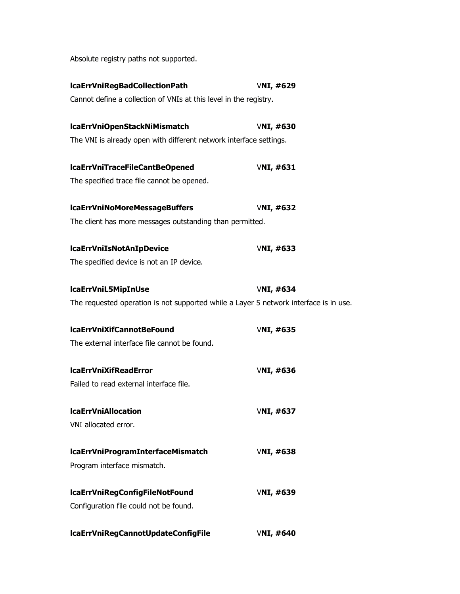Absolute registry paths not supported.

| <b>VNI, #629</b>                                                                      |
|---------------------------------------------------------------------------------------|
| Cannot define a collection of VNIs at this level in the registry.                     |
| VNI, $\#630$                                                                          |
| The VNI is already open with different network interface settings.                    |
| VNI, $\#631$                                                                          |
|                                                                                       |
| VNI, $\#632$                                                                          |
| The client has more messages outstanding than permitted.                              |
| <b>VNI, #633</b>                                                                      |
|                                                                                       |
| <b>VNI, #634</b>                                                                      |
| The requested operation is not supported while a Layer 5 network interface is in use. |
| <b>VNI, #635</b>                                                                      |
|                                                                                       |
| <b>VNI, #636</b>                                                                      |
|                                                                                       |
| <b>VNI, #637</b>                                                                      |
|                                                                                       |
| <b>VNI, #638</b>                                                                      |
|                                                                                       |
| <b>VNI, #639</b>                                                                      |
|                                                                                       |
|                                                                                       |
|                                                                                       |